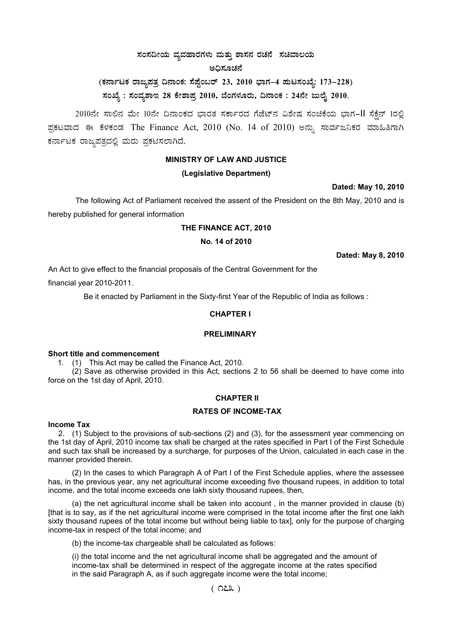# ಸಂಸದೀಯ ವ್ಯವಹಾರಗಳು ಮತ್ತು ಶಾಸನ ರಚನೆ ಸಚಿವಾಲಯ

#### ಅದಿಸೂಚನೆ

**(PÀ£ÁðlPÀ gÁdå¥ÀvÀæ ¢£ÁAPÀ: ¸É¥ÉÖA§gï 23, 2010 ¨sÁUÀ-4 ¥ÀÄl¸ÀASÉå: 173-228)**  ಸಂಖ್ಯೆ : ಸಂವ್ಯಶಾಇ 28 ಕೇಶಾಪ್ರ 2010, ಬೆಂಗಳೂರು, ದಿನಾಂಕ : 24ನೇ ಜುಲೈ 2010.

2010ನೇ ಸಾಲಿನ ಮೇ 10ನೇ ದಿನಾಂಕದ ಭಾರತ ಸರ್ಕಾರದ ಗೆಜೆಟ್ನ ವಿಶೇಷ ಸಂಚಿಕೆಯ ಭಾಗ-II ಸೆಕ್ಷೆನ್ 1ರಲ್ಲಿ ಪ್ರಕಟವಾದ ಈ ಕೆಳಕಂಡ The Finance Act, 2010 (No. 14 of 2010) ಅನ್ಸು ಸಾರ್ವಜನಿಕರ ಮಾಹಿತಿಗಾಗಿ ಕರ್ನಾಟಕ ರಾಜ್ಯಪತ್ರದಲ್ಲಿ ಮರು ಪ್ರಕಟಿಸಲಾಗಿದೆ.

#### **MINISTRY OF LAW AND JUSTICE**

### **(Legislative Department)**

**Dated: May 10, 2010**

The following Act of Parliament received the assent of the President on the 8th May, 2010 and is hereby published for general information

#### **THE FINANCE ACT, 2010**

#### **No. 14 of 2010**

**Dated: May 8, 2010**

An Act to give effect to the financial proposals of the Central Government for the

financial year 2010-2011.

Be it enacted by Parliament in the Sixty-first Year of the Republic of India as follows :

#### **CHAPTER I**

#### **PRELIMINARY**

#### **Short title and commencement**

1. (1) This Act may be called the Finance Act, 2010.

(2) Save as otherwise provided in this Act, sections 2 to 56 shall be deemed to have come into force on the 1st day of April, 2010.

#### **CHAPTER II**

#### **RATES OF INCOME-TAX**

#### **Income Tax**

2. (1) Subject to the provisions of sub-sections (2) and (3), for the assessment year commencing on the 1st day of April, 2010 income tax shall be charged at the rates specified in Part I of the First Schedule and such tax shall be increased by a surcharge, for purposes of the Union, calculated in each case in the manner provided therein.

(2) In the cases to which Paragraph A of Part I of the First Schedule applies, where the assessee has, in the previous year, any net agricultural income exceeding five thousand rupees, in addition to total income, and the total income exceeds one lakh sixty thousand rupees, then,

(a) the net agricultural income shall be taken into account , in the manner provided in clause (b) [that is to say, as if the net agricultural income were comprised in the total income after the first one lakh sixty thousand rupees of the total income but without being liable to tax], only for the purpose of charging income-tax in respect of the total income; and

(b) the income-tax chargeable shall be calculated as follows:

(i) the total income and the net agricultural income shall be aggregated and the amount of income-tax shall be determined in respect of the aggregate income at the rates specified in the said Paragraph A, as if such aggregate income were the total income;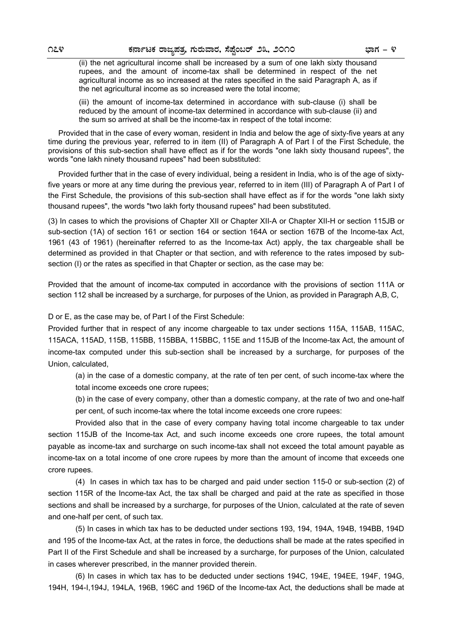(ii) the net agricultural income shall be increased by a sum of one lakh sixty thousand rupees, and the amount of income-tax shall be determined in respect of the net agricultural income as so increased at the rates specified in the said Paragraph A, as if the net agricultural income as so increased were the total income;

 (iii) the amount of income-tax determined in accordance with sub-clause (i) shall be reduced by the amount of income-tax determined in accordance with sub-clause (ii) and the sum so arrived at shall be the income-tax in respect of the total income:

 Provided that in the case of every woman, resident in India and below the age of sixty-five years at any time during the previous year, referred to in item (II) of Paragraph A of Part I of the First Schedule, the provisions of this sub-section shall have effect as if for the words "one lakh sixty thousand rupees", the words "one lakh ninety thousand rupees" had been substituted:

 Provided further that in the case of every individual, being a resident in India, who is of the age of sixtyfive years or more at any time during the previous year, referred to in item (III) of Paragraph A of Part I of the First Schedule, the provisions of this sub-section shall have effect as if for the words "one lakh sixty thousand rupees", the words "two lakh forty thousand rupees" had been substituted.

(3) In cases to which the provisions of Chapter XII or Chapter XII-A or Chapter XII-H or section 115JB or sub-section (1A) of section 161 or section 164 or section 164A or section 167B of the Income-tax Act, 1961 (43 of 1961) (hereinafter referred to as the Income-tax Act) apply, the tax chargeable shall be determined as provided in that Chapter or that section, and with reference to the rates imposed by subsection (I) or the rates as specified in that Chapter or section, as the case may be:

Provided that the amount of income-tax computed in accordance with the provisions of section 111A or section 112 shall be increased by a surcharge, for purposes of the Union, as provided in Paragraph A,B, C,

D or E, as the case may be, of Part I of the First Schedule:

Provided further that in respect of any income chargeable to tax under sections 115A, 115AB, 115AC, 115ACA, 115AD, 115B, 115BB, 115BBA, 115BBC, 115E and 115JB of the Income-tax Act, the amount of income-tax computed under this sub-section shall be increased by a surcharge, for purposes of the Union, calculated,

(a) in the case of a domestic company, at the rate of ten per cent, of such income-tax where the total income exceeds one crore rupees;

(b) in the case of every company, other than a domestic company, at the rate of two and one-half per cent, of such income-tax where the total income exceeds one crore rupees:

Provided also that in the case of every company having total income chargeable to tax under section 115JB of the Income-tax Act, and such income exceeds one crore rupees, the total amount payable as income-tax and surcharge on such income-tax shall not exceed the total amount payable as income-tax on a total income of one crore rupees by more than the amount of income that exceeds one crore rupees.

(4) In cases in which tax has to be charged and paid under section 115-0 or sub-section (2) of section 115R of the Income-tax Act, the tax shall be charged and paid at the rate as specified in those sections and shall be increased by a surcharge, for purposes of the Union, calculated at the rate of seven and one-half per cent, of such tax.

(5) In cases in which tax has to be deducted under sections 193, 194, 194A, 194B, 194BB, 194D and 195 of the Income-tax Act, at the rates in force, the deductions shall be made at the rates specified in Part II of the First Schedule and shall be increased by a surcharge, for purposes of the Union, calculated in cases wherever prescribed, in the manner provided therein.

(6) In cases in which tax has to be deducted under sections 194C, 194E, 194EE, 194F, 194G, 194H, 194-I,194J, 194LA, 196B, 196C and 196D of the Income-tax Act, the deductions shall be made at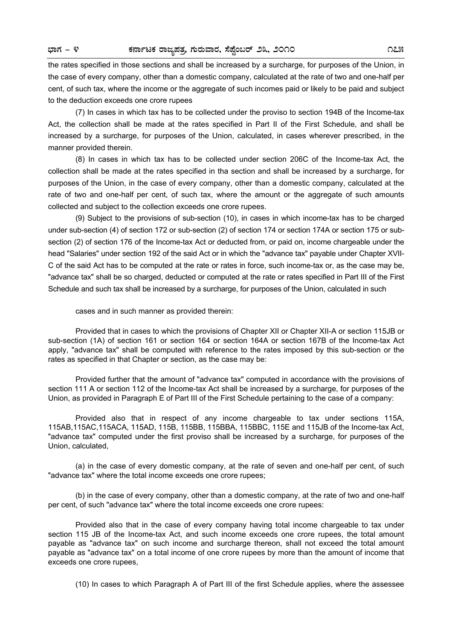the rates specified in those sections and shall be increased by a surcharge, for purposes of the Union, in the case of every company, other than a domestic company, calculated at the rate of two and one-half per cent, of such tax, where the income or the aggregate of such incomes paid or likely to be paid and subject to the deduction exceeds one crore rupees

(7) In cases in which tax has to be collected under the proviso to section 194B of the Income-tax Act, the collection shall be made at the rates specified in Part II of the First Schedule, and shall be increased by a surcharge, for purposes of the Union, calculated, in cases wherever prescribed, in the manner provided therein.

(8) In cases in which tax has to be collected under section 206C of the Income-tax Act, the collection shall be made at the rates specified in tha section and shall be increased by a surcharge, for purposes of the Union, in the case of every company, other than a domestic company, calculated at the rate of two and one-half per cent, of such tax, where the amount or the aggregate of such amounts collected and subject to the collection exceeds one crore rupees.

(9) Subject to the provisions of sub-section (10), in cases in which income-tax has to be charged under sub-section (4) of section 172 or sub-section (2) of section 174 or section 174A or section 175 or subsection (2) of section 176 of the Income-tax Act or deducted from, or paid on, income chargeable under the head "Salaries" under section 192 of the said Act or in which the "advance tax" payable under Chapter XVII-C of the said Act has to be computed at the rate or rates in force, such income-tax or, as the case may be, "advance tax" shall be so charged, deducted or computed at the rate or rates specified in Part III of the First Schedule and such tax shall be increased by a surcharge, for purposes of the Union, calculated in such

cases and in such manner as provided therein:

Provided that in cases to which the provisions of Chapter XII or Chapter XII-A or section 115JB or sub-section (1A) of section 161 or section 164 or section 164A or section 167B of the Income-tax Act apply, "advance tax" shall be computed with reference to the rates imposed by this sub-section or the rates as specified in that Chapter or section, as the case may be:

Provided further that the amount of "advance tax" computed in accordance with the provisions of section 111 A or section 112 of the Income-tax Act shall be increased by a surcharge, for purposes of the Union, as provided in Paragraph E of Part III of the First Schedule pertaining to the case of a company:

Provided also that in respect of any income chargeable to tax under sections 115A, 115AB,115AC,115ACA, 115AD, 115B, 115BB, 115BBA, 115BBC, 115E and 115JB of the Income-tax Act, "advance tax" computed under the first proviso shall be increased by a surcharge, for purposes of the Union, calculated,

(a) in the case of every domestic company, at the rate of seven and one-half per cent, of such "advance tax" where the total income exceeds one crore rupees;

(b) in the case of every company, other than a domestic company, at the rate of two and one-half per cent, of such "advance tax" where the total income exceeds one crore rupees:

Provided also that in the case of every company having total income chargeable to tax under section 115 JB of the Income-tax Act, and such income exceeds one crore rupees, the total amount payable as "advance tax" on such income and surcharge thereon, shall not exceed the total amount payable as "advance tax" on a total income of one crore rupees by more than the amount of income that exceeds one crore rupees,

(10) In cases to which Paragraph A of Part III of the first Schedule applies, where the assessee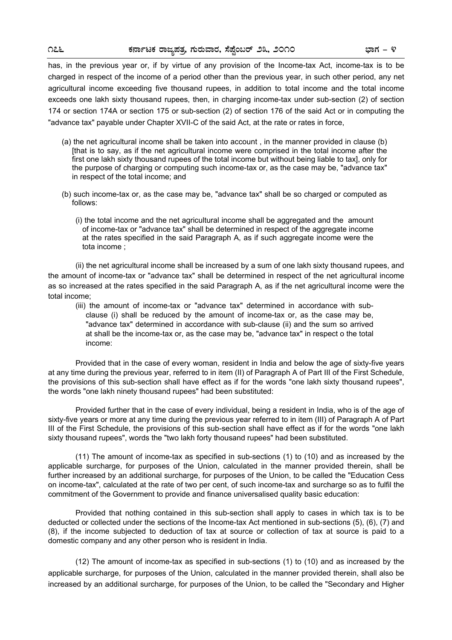has, in the previous year or, if by virtue of any provision of the Income-tax Act, income-tax is to be charged in respect of the income of a period other than the previous year, in such other period, any net agricultural income exceeding five thousand rupees, in addition to total income and the total income exceeds one lakh sixty thousand rupees, then, in charging income-tax under sub-section (2) of section 174 or section 174A or section 175 or sub-section (2) of section 176 of the said Act or in computing the "advance tax" payable under Chapter XVII-C of the said Act, at the rate or rates in force,

- (a) the net agricultural income shall be taken into account , in the manner provided in clause (b) [that is to say, as if the net agricultural income were comprised in the total income after the first one lakh sixty thousand rupees of the total income but without being liable to tax], only for the purpose of charging or computing such income-tax or, as the case may be, "advance tax" in respect of the total income; and
- (b) such income-tax or, as the case may be, "advance tax" shall be so charged or computed as follows:
	- (i) the total income and the net agricultural income shall be aggregated and the amount of income-tax or "advance tax" shall be determined in respect of the aggregate income at the rates specified in the said Paragraph A, as if such aggregate income were the tota income ;

(ii) the net agricultural income shall be increased by a sum of one lakh sixty thousand rupees, and the amount of income-tax or "advance tax" shall be determined in respect of the net agricultural income as so increased at the rates specified in the said Paragraph A, as if the net agricultural income were the total income;

(iii) the amount of income-tax or "advance tax" determined in accordance with subclause (i) shall be reduced by the amount of income-tax or, as the case may be, "advance tax" determined in accordance with sub-clause (ii) and the sum so arrived at shall be the income-tax or, as the case may be, "advance tax" in respect o the total income:

Provided that in the case of every woman, resident in India and below the age of sixty-five years at any time during the previous year, referred to in item (II) of Paragraph A of Part III of the First Schedule, the provisions of this sub-section shall have effect as if for the words "one lakh sixty thousand rupees", the words "one lakh ninety thousand rupees" had been substituted:

Provided further that in the case of every individual, being a resident in India, who is of the age of sixty-five years or more at any time during the previous year referred to in item (III) of Paragraph A of Part III of the First Schedule, the provisions of this sub-section shall have effect as if for the words "one lakh sixty thousand rupees", words the "two lakh forty thousand rupees" had been substituted.

(11) The amount of income-tax as specified in sub-sections (1) to (10) and as increased by the applicable surcharge, for purposes of the Union, calculated in the manner provided therein, shall be further increased by an additional surcharge, for purposes of the Union, to be called the "Education Cess on income-tax", calculated at the rate of two per cent, of such income-tax and surcharge so as to fulfil the commitment of the Government to provide and finance universalised quality basic education:

Provided that nothing contained in this sub-section shall apply to cases in which tax is to be deducted or collected under the sections of the Income-tax Act mentioned in sub-sections (5), (6), (7) and (8), if the income subjected to deduction of tax at source or collection of tax at source is paid to a domestic company and any other person who is resident in India.

(12) The amount of income-tax as specified in sub-sections (1) to (10) and as increased by the applicable surcharge, for purposes of the Union, calculated in the manner provided therein, shall also be increased by an additional surcharge, for purposes of the Union, to be called the "Secondary and Higher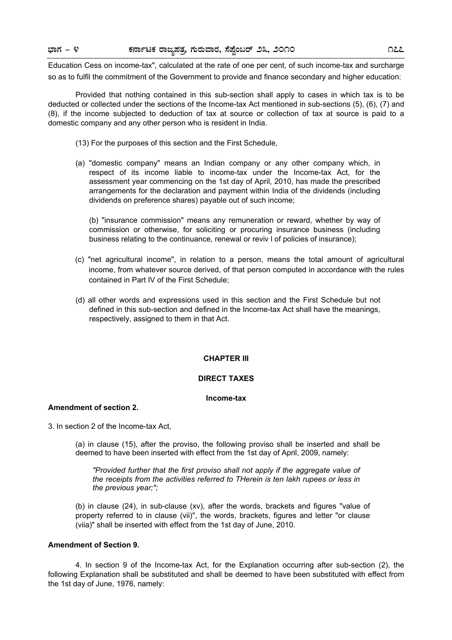Education Cess on income-tax", calculated at the rate of one per cent, of such income-tax and surcharge so as to fulfil the commitment of the Government to provide and finance secondary and higher education:

Provided that nothing contained in this sub-section shall apply to cases in which tax is to be deducted or collected under the sections of the Income-tax Act mentioned in sub-sections (5), (6), (7) and (8), if the income subjected to deduction of tax at source or collection of tax at source is paid to a domestic company and any other person who is resident in India.

- (13) For the purposes of this section and the First Schedule,
- (a) "domestic company" means an Indian company or any other company which, in respect of its income liable to income-tax under the Income-tax Act, for the assessment year commencing on the 1st day of April, 2010, has made the prescribed arrangements for the declaration and payment within India of the dividends (including dividends on preference shares) payable out of such income;

(b) "insurance commission" means any remuneration or reward, whether by way of commission or otherwise, for soliciting or procuring insurance business (including business relating to the continuance, renewal or reviv l of policies of insurance);

- (c) "net agricultural income", in relation to a person, means the total amount of agricultural income, from whatever source derived, of that person computed in accordance with the rules contained in Part IV of the First Schedule;
- (d) all other words and expressions used in this section and the First Schedule but not defined in this sub-section and defined in the Income-tax Act shall have the meanings, respectively, assigned to them in that Act.

#### **CHAPTER III**

#### **DIRECT TAXES**

#### **Income-tax**

# **Amendment of section 2.**

3. In section 2 of the Income-tax Act,

(a) in clause (15), after the proviso, the following proviso shall be inserted and shall be deemed to have been inserted with effect from the 1st day of April, 2009, namely:

*"Provided further that the first proviso shall not apply if the aggregate value of the receipts from the activities referred to THerein is ten lakh rupees or less in the previous year;";* 

(b) in clause (24), in sub-clause (xv), after the words, brackets and figures "value of property referred to in clause (vii)", the words, brackets, figures and letter "or clause (viia)" shall be inserted with effect from the 1st day of June, 2010.

#### **Amendment of Section 9.**

4. In section 9 of the Income-tax Act, for the Explanation occurring after sub-section (2), the following Explanation shall be substituted and shall be deemed to have been substituted with effect from the 1st day of June, 1976, namely: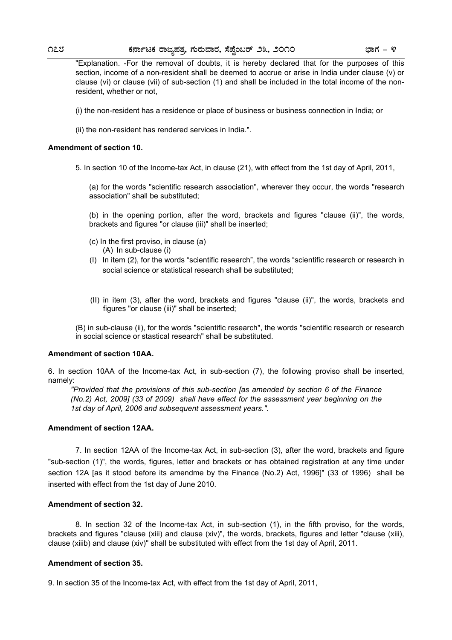"Explanation. -For the removal of doubts, it is hereby declared that for the purposes of this section, income of a non-resident shall be deemed to accrue or arise in India under clause (v) or clause (vi) or clause (vii) of sub-section (1) and shall be included in the total income of the nonresident, whether or not,

- (i) the non-resident has a residence or place of business or business connection in India; or
- (ii) the non-resident has rendered services in India.".

#### **Amendment of section 10.**

5. In section 10 of the Income-tax Act, in clause (21), with effect from the 1st day of April, 2011,

(a) for the words "scientific research association", wherever they occur, the words "research association" shall be substituted;

(b) in the opening portion, after the word, brackets and figures "clause (ii)", the words, brackets and figures "or clause (iii)" shall be inserted;

- (A) In sub-clause (i) (c) In the first proviso, in clause (a)
- (I) In item (2), for the words "scientific research", the words "scientific research or research in social science or statistical research shall be substituted;
- (II) in item (3), after the word, brackets and figures "clause (ii)", the words, brackets and figures "or clause (iii)" shall be inserted;

(B) in sub-clause (ii), for the words "scientific research", the words "scientific research or research in social science or stastical research" shall be substituted.

#### **Amendment of section 10AA.**

6. In section 10AA of the Income-tax Act, in sub-section (7), the following proviso shall be inserted, namely:

*"Provided that the provisions of this sub-section [as amended by section 6 of the Finance (No.2) Act, 2009] (33 of 2009) shall have effect for the assessment year beginning on the 1st day of April, 2006 and subsequent assessment years.".* 

#### **Amendment of section 12AA.**

 7. In section 12AA of the Income-tax Act, in sub-section (3), after the word, brackets and figure "sub-section (1)", the words, figures, letter and brackets or has obtained registration at any time under section 12A [as it stood before its amendme by the Finance (No.2) Act, 1996]" (33 of 1996) shall be inserted with effect from the 1st day of June 2010.

#### **Amendment of section 32.**

 8. In section 32 of the Income-tax Act, in sub-section (1), in the fifth proviso, for the words, brackets and figures "clause (xiii) and clause (xiv)", the words, brackets, figures and letter "clause (xiii), clause (xiiib) and clause (xiv)" shall be substituted with effect from the 1st day of April, 2011.

#### **Amendment of section 35.**

9. In section 35 of the Income-tax Act, with effect from the 1st day of April, 2011,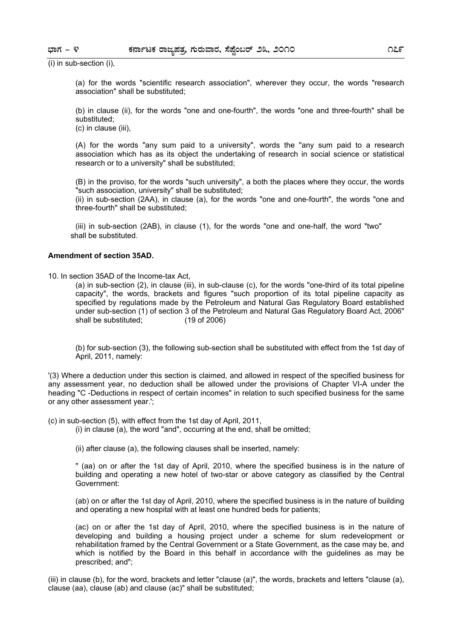(i) in sub-section (i),

(a) for the words "scientific research association", wherever they occur, the words "research association" shall be substituted;

(b) in clause (ii), for the words "one and one-fourth", the words "one and three-fourth" shall be substituted;

(c) in clause (iii),

(A) for the words "any sum paid to a university", words the "any sum paid to a research association which has as its object the undertaking of research in social science or statistical research or to a university" shall be substituted;

(B) in the proviso, for the words "such university", a both the places where they occur, the words "such association, university" shall be substituted;

(ii) in sub-section (2AA), in clause (a), for the words "one and one-fourth", the words "one and three-fourth" shall be substituted;

(iii) in sub-section (2AB), in clause (1), for the words "one and one-half, the word "two" shall be substituted.

#### **Amendment of section 35AD.**

10. In section 35AD of the Income-tax Act,

(a) in sub-section (2), in clause (iii), in sub-clause (c), for the words "one-third of its total pipeline capacity", the words, brackets and figures "such proportion of its total pipeline capacity as specified by regulations made by the Petroleum and Natural Gas Regulatory Board established under sub-section (1) of section 3 of the Petroleum and Natural Gas Regulatory Board Act, 2006" shall be substituted; (19 of 2006)

(b) for sub-section (3), the following sub-section shall be substituted with effect from the 1st day of April, 2011, namely:

'(3) Where a deduction under this section is claimed, and allowed in respect of the specified business for any assessment year, no deduction shall be allowed under the provisions of Chapter VI-A under the heading "C -Deductions in respect of certain incomes" in relation to such specified business for the same or any other assessment year.';

(c) in sub-section (5), with effect from the 1st day of April, 2011,

(i) in clause (a), the word "and", occurring at the end, shall be omitted;

(ii) after clause (a), the following clauses shall be inserted, namely:

" (aa) on or after the 1st day of April, 2010, where the specified business is in the nature of building and operating a new hotel of two-star or above category as classified by the Central Government:

(ab) on or after the 1st day of April, 2010, where the specified business is in the nature of building and operating a new hospital with at least one hundred beds for patients;

(ac) on or after the 1st day of April, 2010, where the specified business is in the nature of developing and building a housing project under a scheme for slum redevelopment or rehabilitation framed by the Central Government or a State Government, as the case may be, and which is notified by the Board in this behalf in accordance with the guidelines as may be prescribed; and";

(iii) in clause (b), for the word, brackets and letter "clause (a)", the words, brackets and letters "clause (a), clause (aa), clause (ab) and clause (ac)" shall be substituted;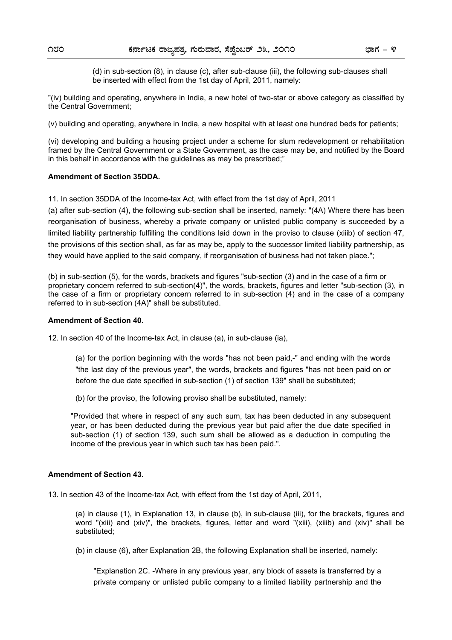(d) in sub-section (8), in clause (c), after sub-clause (iii), the following sub-clauses shall be inserted with effect from the 1st day of April, 2011, namely:

"(iv) building and operating, anywhere in India, a new hotel of two-star or above category as classified by the Central Government;

(v) building and operating, anywhere in India, a new hospital with at least one hundred beds for patients;

(vi) developing and building a housing project under a scheme for slum redevelopment or rehabilitation framed by the Central Government or a State Government, as the case may be, and notified by the Board in this behalf in accordance with the guidelines as may be prescribed;"

#### **Amendment of Section 35DDA.**

11. In section 35DDA of the Income-tax Act, with effect from the 1st day of April, 2011

(a) after sub-section (4), the following sub-section shall be inserted, namely: "(4A) Where there has been reorganisation of business, whereby a private company or unlisted public company is succeeded by a limited liability partnership fulfilling the conditions laid down in the proviso to clause (xiiib) of section 47, the provisions of this section shall, as far as may be, apply to the successor limited liability partnership, as they would have applied to the said company, if reorganisation of business had not taken place.";

(b) in sub-section (5), for the words, brackets and figures "sub-section (3) and in the case of a firm or proprietary concern referred to sub-section(4)", the words, brackets, figures and letter "sub-section (3), in the case of a firm or proprietary concern referred to in sub-section (4) and in the case of a company referred to in sub-section (4A)" shall be substituted.

#### **Amendment of Section 40.**

12. In section 40 of the Income-tax Act, in clause (a), in sub-clause (ia),

(a) for the portion beginning with the words "has not been paid,-" and ending with the words "the last day of the previous year", the words, brackets and figures "has not been paid on or before the due date specified in sub-section (1) of section 139" shall be substituted;

(b) for the proviso, the following proviso shall be substituted, namely:

"Provided that where in respect of any such sum, tax has been deducted in any subsequent year, or has been deducted during the previous year but paid after the due date specified in sub-section (1) of section 139, such sum shall be allowed as a deduction in computing the income of the previous year in which such tax has been paid.".

#### **Amendment of Section 43.**

13. In section 43 of the Income-tax Act, with effect from the 1st day of April, 2011,

(a) in clause (1), in Explanation 13, in clause (b), in sub-clause (iii), for the brackets, figures and word "(xiii) and (xiv)", the brackets, figures, letter and word "(xiii), (xiiib) and (xiv)" shall be substituted;

(b) in clause (6), after Explanation 2B, the following Explanation shall be inserted, namely:

"Explanation 2C. -Where in any previous year, any block of assets is transferred by a private company or unlisted public company to a limited liability partnership and the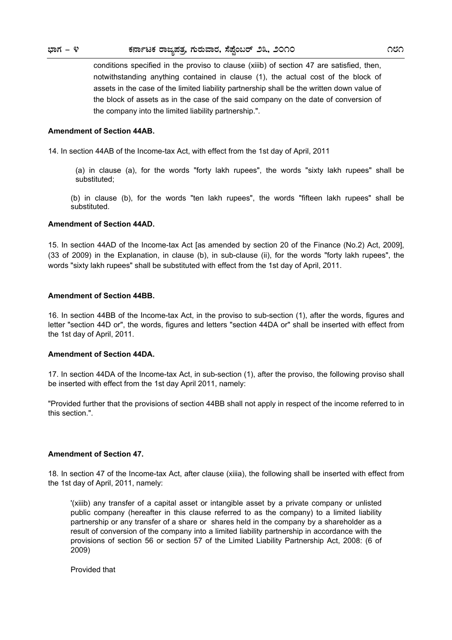conditions specified in the proviso to clause (xiiib) of section 47 are satisfied, then, notwithstanding anything contained in clause (1), the actual cost of the block of assets in the case of the limited liability partnership shall be the written down value of the block of assets as in the case of the said company on the date of conversion of the company into the limited liability partnership.".

#### **Amendment of Section 44AB.**

14. In section 44AB of the Income-tax Act, with effect from the 1st day of April, 2011

(a) in clause (a), for the words "forty lakh rupees", the words "sixty lakh rupees" shall be substituted;

(b) in clause (b), for the words "ten lakh rupees", the words "fifteen lakh rupees" shall be substituted.

#### **Amendment of Section 44AD.**

15. In section 44AD of the Income-tax Act [as amended by section 20 of the Finance (No.2) Act, 2009], (33 of 2009) in the Explanation, in clause (b), in sub-clause (ii), for the words "forty lakh rupees", the words "sixty lakh rupees" shall be substituted with effect from the 1st day of April, 2011.

#### **Amendment of Section 44BB.**

16. In section 44BB of the Income-tax Act, in the proviso to sub-section (1), after the words, figures and letter "section 44D or", the words, figures and letters "section 44DA or" shall be inserted with effect from the 1st day of April, 2011.

#### **Amendment of Section 44DA.**

17. In section 44DA of the Income-tax Act, in sub-section (1), after the proviso, the following proviso shall be inserted with effect from the 1st day April 2011, namely:

"Provided further that the provisions of section 44BB shall not apply in respect of the income referred to in this section.".

#### **Amendment of Section 47.**

18. In section 47 of the Income-tax Act, after clause (xiiia), the following shall be inserted with effect from the 1st day of April, 2011, namely:

'(xiiib) any transfer of a capital asset or intangible asset by a private company or unlisted public company (hereafter in this clause referred to as the company) to a limited liability partnership or any transfer of a share or shares held in the company by a shareholder as a result of conversion of the company into a limited liability partnership in accordance with the provisions of section 56 or section 57 of the Limited Liability Partnership Act, 2008: (6 of 2009)

Provided that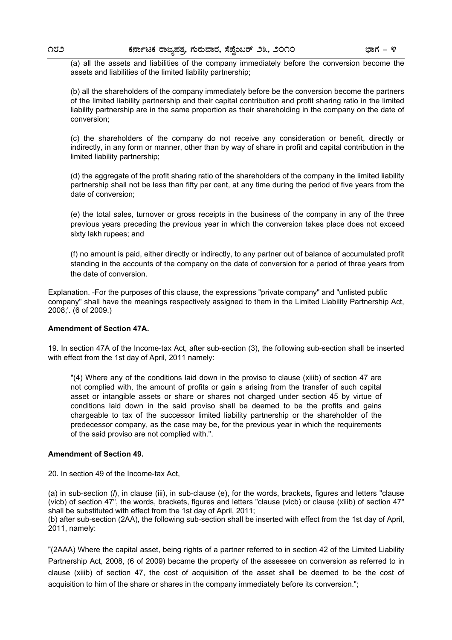(a) all the assets and liabilities of the company immediately before the conversion become the assets and liabilities of the limited liability partnership;

(b) all the shareholders of the company immediately before be the conversion become the partners of the limited liability partnership and their capital contribution and profit sharing ratio in the limited liability partnership are in the same proportion as their shareholding in the company on the date of conversion;

(c) the shareholders of the company do not receive any consideration or benefit, directly or indirectly, in any form or manner, other than by way of share in profit and capital contribution in the limited liability partnership;

(d) the aggregate of the profit sharing ratio of the shareholders of the company in the limited liability partnership shall not be less than fifty per cent, at any time during the period of five years from the date of conversion;

(e) the total sales, turnover or gross receipts in the business of the company in any of the three previous years preceding the previous year in which the conversion takes place does not exceed sixty lakh rupees; and

(f) no amount is paid, either directly or indirectly, to any partner out of balance of accumulated profit standing in the accounts of the company on the date of conversion for a period of three years from the date of conversion.

Explanation. -For the purposes of this clause, the expressions "private company" and "unlisted public company" shall have the meanings respectively assigned to them in the Limited Liability Partnership Act, 2008;'. (6 of 2009.)

#### **Amendment of Section 47A.**

19. In section 47A of the Income-tax Act, after sub-section (3), the following sub-section shall be inserted with effect from the 1st day of April, 2011 namely:

"(4) Where any of the conditions laid down in the proviso to clause (xiiib) of section 47 are not complied with, the amount of profits or gain s arising from the transfer of such capital asset or intangible assets or share or shares not charged under section 45 by virtue of conditions laid down in the said proviso shall be deemed to be the profits and gains chargeable to tax of the successor limited liability partnership or the shareholder of the predecessor company, as the case may be, for the previous year in which the requirements of the said proviso are not complied with.".

#### **Amendment of Section 49.**

20. In section 49 of the Income-tax Act,

(a) in sub-section (*l*), in clause (iii), in sub-clause (e), for the words, brackets, figures and letters "clause (vicb) of section 47", the words, brackets, figures and letters "clause (vicb) or clause (xiiib) of section 47" shall be substituted with effect from the 1st day of April, 2011;

(b) after sub-section (2AA), the following sub-section shall be inserted with effect from the 1st day of April, 2011, namely:

"(2AAA) Where the capital asset, being rights of a partner referred to in section 42 of the Limited Liability Partnership Act, 2008, (6 of 2009) became the property of the assessee on conversion as referred to in clause (xiiib) of section 47, the cost of acquisition of the asset shall be deemed to be the cost of acquisition to him of the share or shares in the company immediately before its conversion.";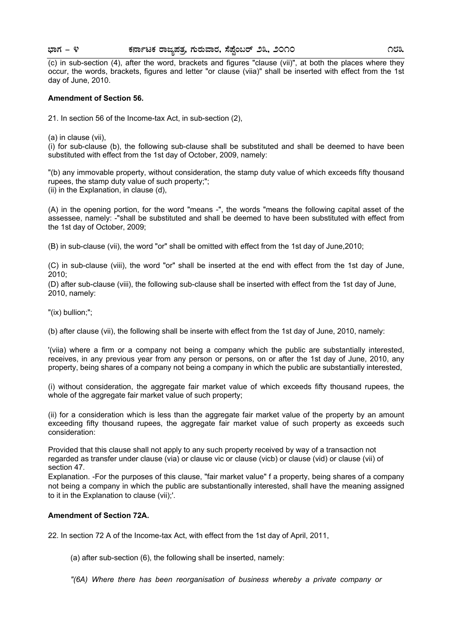# **¨sÁUÀ - 4 PÀ£ÁðlPÀ gÁdå¥ÀvÀæ, UÀÄgÀĪÁgÀ, ¸É¥ÉÖA§gï 23, 2010 183**

(c) in sub-section (4), after the word, brackets and figures "clause (vii)", at both the places where they occur, the words, brackets, figures and letter "or clause (viia)" shall be inserted with effect from the 1st day of June, 2010.

#### **Amendment of Section 56.**

21. In section 56 of the Income-tax Act, in sub-section (2),

(a) in clause (vii),

(i) for sub-clause (b), the following sub-clause shall be substituted and shall be deemed to have been substituted with effect from the 1st day of October, 2009, namely:

"(b) any immovable property, without consideration, the stamp duty value of which exceeds fifty thousand rupees, the stamp duty value of such property;";

(ii) in the Explanation, in clause (d),

(A) in the opening portion, for the word "means -", the words "means the following capital asset of the assessee, namely: -"shall be substituted and shall be deemed to have been substituted with effect from the 1st day of October, 2009;

(B) in sub-clause (vii), the word "or" shall be omitted with effect from the 1st day of June,2010;

(C) in sub-clause (viii), the word "or" shall be inserted at the end with effect from the 1st day of June, 2010;

(D) after sub-clause (viii), the following sub-clause shall be inserted with effect from the 1st day of June, 2010, namely:

"(ix) bullion;";

(b) after clause (vii), the following shall be inserte with effect from the 1st day of June, 2010, namely:

'(viia) where a firm or a company not being a company which the public are substantially interested, receives, in any previous year from any person or persons, on or after the 1st day of June, 2010, any property, being shares of a company not being a company in which the public are substantially interested,

(i) without consideration, the aggregate fair market value of which exceeds fifty thousand rupees, the whole of the aggregate fair market value of such property;

(ii) for a consideration which is less than the aggregate fair market value of the property by an amount exceeding fifty thousand rupees, the aggregate fair market value of such property as exceeds such consideration:

Provided that this clause shall not apply to any such property received by way of a transaction not regarded as transfer under clause (via) or clause vic or clause (vicb) or clause (vid) or clause (vii) of section 47.

Explanation. -For the purposes of this clause, "fair market value" f a property, being shares of a company not being a company in which the public are substantionally interested, shall have the meaning assigned to it in the Explanation to clause (vii);'.

#### **Amendment of Section 72A.**

22. In section 72 A of the Income-tax Act, with effect from the 1st day of April, 2011,

(a) after sub-section (6), the following shall be inserted, namely:

*"(6A) Where there has been reorganisation of business whereby a private company or*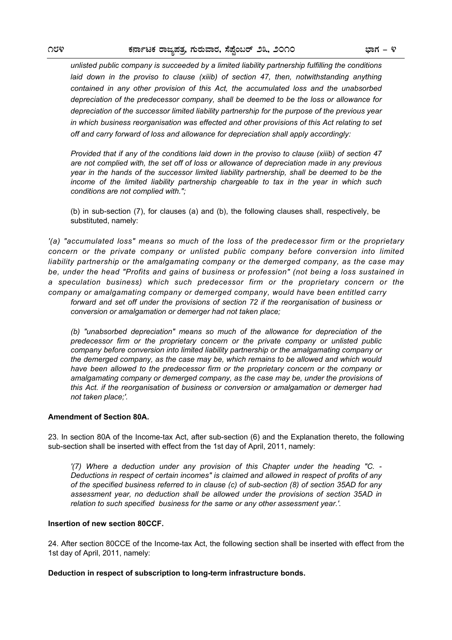*unlisted public company is succeeded by a limited liability partnership fulfilling the conditions*  laid down in the proviso to clause (xiiib) of section 47, then, notwithstanding anything *contained in any other provision of this Act, the accumulated loss and the unabsorbed depreciation of the predecessor company, shall be deemed to be the loss or allowance for depreciation of the successor limited liability partnership for the purpose of the previous year in which business reorganisation was effected and other provisions of this Act relating to set off and carry forward of loss and allowance for depreciation shall apply accordingly:* 

*Provided that if any of the conditions laid down in the proviso to clause (xiiib) of section 47 are not complied with, the set off of loss or allowance of depreciation made in any previous year in the hands of the successor limited liability partnership, shall be deemed to be the income of the limited liability partnership chargeable to tax in the year in which such conditions are not complied with.";* 

(b) in sub-section (7), for clauses (a) and (b), the following clauses shall, respectively, be substituted, namely:

*'(a) "accumulated loss" means so much of the loss of the predecessor firm or the proprietary concern or the private company or unlisted public company before conversion into limited liability partnership or the amalgamating company or the demerged company, as the case may be, under the head "Profits and gains of business or profession" (not being a loss sustained in a speculation business) which such predecessor firm or the proprietary concern or the company or amalgamating company or demerged company, would have been entitled carry forward and set off under the provisions of section 72 if the reorganisation of business or conversion or amalgamation or demerger had not taken place;* 

*(b) "unabsorbed depreciation" means so much of the allowance for depreciation of the predecessor firm or the proprietary concern or the private company or unlisted public company before conversion into limited liability partnership or the amalgamating company or the demerged company, as the case may be, which remains to be allowed and which would*  have been allowed to the predecessor firm or the proprietary concern or the company or *amalgamating company or demerged company, as the case may be, under the provisions of this Act. if the reorganisation of business or conversion or amalgamation or demerger had not taken place;'.* 

#### **Amendment of Section 80A.**

23. In section 80A of the Income-tax Act, after sub-section (6) and the Explanation thereto, the following sub-section shall be inserted with effect from the 1st day of April, 2011, namely:

*'(7) Where a deduction under any provision of this Chapter under the heading "C. - Deductions in respect of certain incomes" is claimed and allowed in respect of profits of any of the specified business referred to in clause (c) of sub-section (8) of section 35AD for any assessment year, no deduction shall be allowed under the provisions of section 35AD in relation to such specified business for the same or any other assessment year.'.* 

#### **Insertion of new section 80CCF.**

24. After section 80CCE of the Income-tax Act, the following section shall be inserted with effect from the 1st day of April, 2011, namely:

#### **Deduction in respect of subscription to long-term infrastructure bonds.**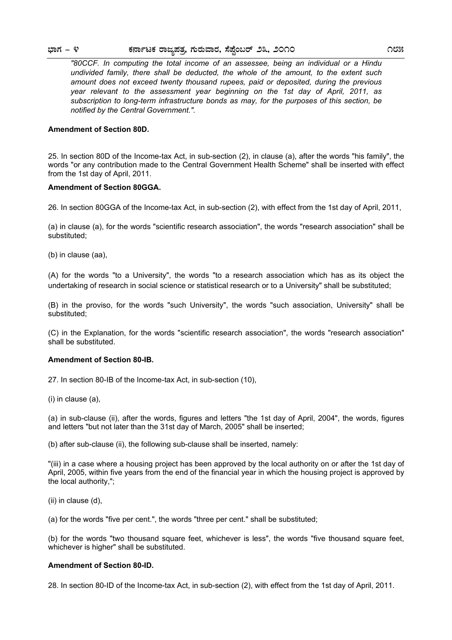*"80CCF. In computing the total income of an assessee, being an individual or a Hindu undivided family, there shall be deducted, the whole of the amount, to the extent such amount does not exceed twenty thousand rupees, paid or deposited, during the previous year relevant to the assessment year beginning on the 1st day of April, 2011, as subscription to long-term infrastructure bonds as may, for the purposes of this section, be notified by the Central Government.".* 

#### **Amendment of Section 80D.**

25. In section 80D of the Income-tax Act, in sub-section (2), in clause (a), after the words "his family", the words "or any contribution made to the Central Government Health Scheme" shall be inserted with effect from the 1st day of April, 2011.

#### **Amendment of Section 80GGA.**

26. In section 80GGA of the Income-tax Act, in sub-section (2), with effect from the 1st day of April, 2011,

(a) in clause (a), for the words "scientific research association", the words "research association" shall be substituted;

(b) in clause (aa),

(A) for the words "to a University", the words "to a research association which has as its object the undertaking of research in social science or statistical research or to a University" shall be substituted;

(B) in the proviso, for the words "such University", the words "such association, University" shall be substituted;

(C) in the Explanation, for the words "scientific research association", the words "research association" shall be substituted.

#### **Amendment of Section 80-IB.**

27. In section 80-IB of the Income-tax Act, in sub-section (10),

(i) in clause (a),

(a) in sub-clause (ii), after the words, figures and letters "the 1st day of April, 2004", the words, figures and letters "but not later than the 31st day of March, 2005" shall be inserted;

(b) after sub-clause (ii), the following sub-clause shall be inserted, namely:

"(iii) in a case where a housing project has been approved by the local authority on or after the 1st day of April, 2005, within five years from the end of the financial year in which the housing project is approved by the local authority,";

(ii) in clause (d),

(a) for the words "five per cent.", the words "three per cent." shall be substituted;

(b) for the words "two thousand square feet, whichever is less", the words "five thousand square feet, whichever is higher" shall be substituted.

#### **Amendment of Section 80-ID.**

28. In section 80-ID of the Income-tax Act, in sub-section (2), with effect from the 1st day of April, 2011.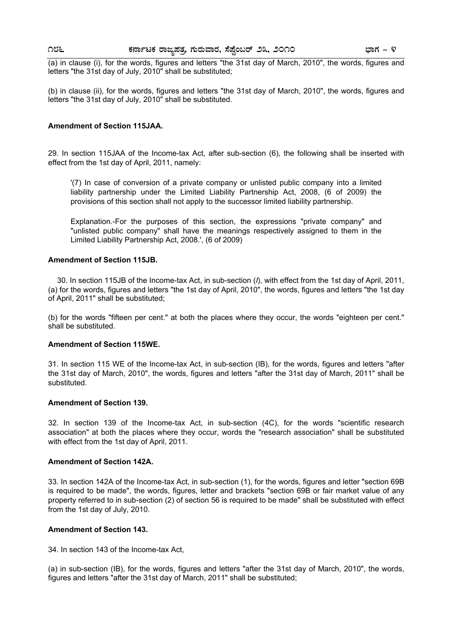(a) in clause (i), for the words, figures and letters "the 31st day of March, 2010", the words, figures and letters "the 31st day of July, 2010" shall be substituted;

(b) in clause (ii), for the words, figures and letters "the 31st day of March, 2010", the words, figures and letters "the 31st day of July, 2010" shall be substituted.

#### **Amendment of Section 115JAA.**

29. In section 115JAA of the Income-tax Act, after sub-section (6), the following shall be inserted with effect from the 1st day of April, 2011, namely:

'(7) In case of conversion of a private company or unlisted public company into a limited liability partnership under the Limited Liability Partnership Act, 2008, (6 of 2009) the provisions of this section shall not apply to the successor limited liability partnership.

Explanation.-For the purposes of this section, the expressions "private company" and "unlisted public company" shall have the meanings respectively assigned to them in the Limited Liability Partnership Act, 2008.', (6 of 2009)

#### **Amendment of Section 115JB.**

30. In section 115JB of the Income-tax Act, in sub-section (*l*), with effect from the 1st day of April, 2011, (a) for the words, figures and letters "the 1st day of April, 2010", the words, figures and letters "the 1st day of April, 2011" shall be substituted;

(b) for the words "fifteen per cent." at both the places where they occur, the words "eighteen per cent." shall be substituted.

#### **Amendment of Section 115WE.**

31. In section 115 WE of the Income-tax Act, in sub-section (IB), for the words, figures and letters "after the 31st day of March, 2010", the words, figures and letters "after the 31st day of March, 2011" shall be substituted.

#### **Amendment of Section 139.**

32. In section 139 of the Income-tax Act, in sub-section (4C), for the words "scientific research association" at both the places where they occur, words the "research association" shall be substituted with effect from the 1st day of April, 2011.

#### **Amendment of Section 142A.**

33. In section 142A of the Income-tax Act, in sub-section (1), for the words, figures and letter "section 69B is required to be made", the words, figures, letter and brackets "section 69B or fair market value of any property referred to in sub-section (2) of section 56 is required to be made" shall be substituted with effect from the 1st day of July, 2010.

#### **Amendment of Section 143.**

34. In section 143 of the Income-tax Act,

(a) in sub-section (IB), for the words, figures and letters "after the 31st day of March, 2010", the words, figures and letters "after the 31st day of March, 2011" shall be substituted;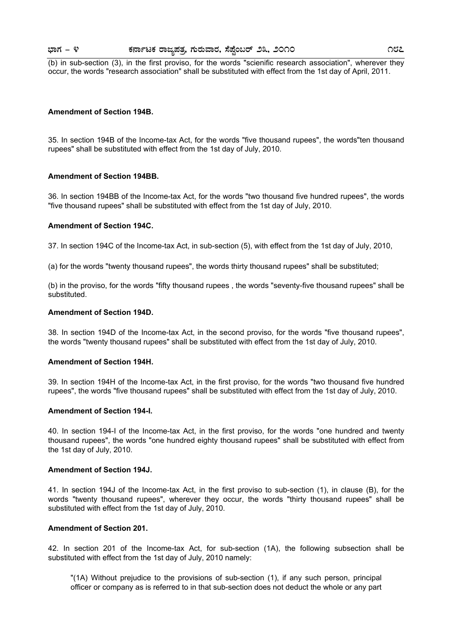(b) in sub-section (3), in the first proviso, for the words "scienific research association", wherever they occur, the words "research association" shall be substituted with effect from the 1st day of April, 2011.

#### **Amendment of Section 194B.**

35. In section 194B of the Income-tax Act, for the words "five thousand rupees", the words"ten thousand rupees" shall be substituted with effect from the 1st day of July, 2010.

#### **Amendment of Section 194BB.**

36. In section 194BB of the Income-tax Act, for the words "two thousand five hundred rupees", the words "five thousand rupees" shall be substituted with effect from the 1st day of July, 2010.

#### **Amendment of Section 194C.**

37. In section 194C of the Income-tax Act, in sub-section (5), with effect from the 1st day of July, 2010,

(a) for the words "twenty thousand rupees", the words thirty thousand rupees" shall be substituted;

(b) in the proviso, for the words "fifty thousand rupees , the words "seventy-five thousand rupees" shall be substituted.

#### **Amendment of Section 194D.**

38. In section 194D of the Income-tax Act, in the second proviso, for the words "five thousand rupees", the words "twenty thousand rupees" shall be substituted with effect from the 1st day of July, 2010.

#### **Amendment of Section 194H.**

39. In section 194H of the Income-tax Act, in the first proviso, for the words "two thousand five hundred rupees", the words "five thousand rupees" shall be substituted with effect from the 1st day of July, 2010.

#### **Amendment of Section 194-I.**

40. In section 194-I of the Income-tax Act, in the first proviso, for the words "one hundred and twenty thousand rupees", the words "one hundred eighty thousand rupees" shall be substituted with effect from the 1st day of July, 2010.

#### **Amendment of Section 194J.**

41. In section 194J of the Income-tax Act, in the first proviso to sub-section (1), in clause (B), for the words "twenty thousand rupees", wherever they occur, the words "thirty thousand rupees" shall be substituted with effect from the 1st day of July, 2010.

#### **Amendment of Section 201.**

42. In section 201 of the Income-tax Act, for sub-section (1A), the following subsection shall be substituted with effect from the 1st day of July, 2010 namely:

"(1A) Without prejudice to the provisions of sub-section (1), if any such person, principal officer or company as is referred to in that sub-section does not deduct the whole or any part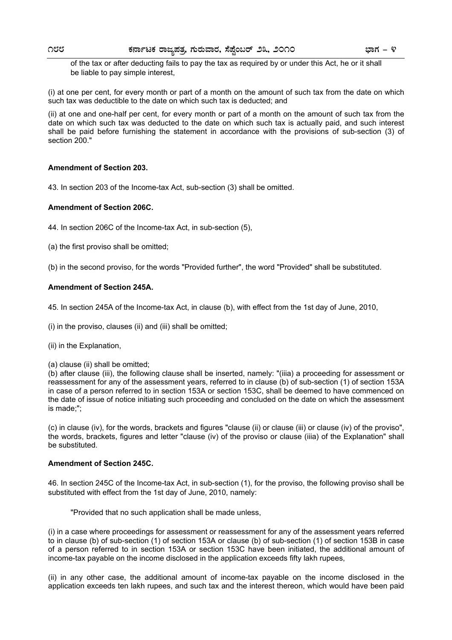of the tax or after deducting fails to pay the tax as required by or under this Act, he or it shall be liable to pay simple interest,

(i) at one per cent, for every month or part of a month on the amount of such tax from the date on which such tax was deductible to the date on which such tax is deducted; and

(ii) at one and one-half per cent, for every month or part of a month on the amount of such tax from the date on which such tax was deducted to the date on which such tax is actually paid, and such interest shall be paid before furnishing the statement in accordance with the provisions of sub-section (3) of section 200."

#### **Amendment of Section 203.**

43. In section 203 of the Income-tax Act, sub-section (3) shall be omitted.

#### **Amendment of Section 206C.**

44. In section 206C of the Income-tax Act, in sub-section (5),

(a) the first proviso shall be omitted;

(b) in the second proviso, for the words "Provided further", the word "Provided" shall be substituted.

#### **Amendment of Section 245A.**

45. In section 245A of the Income-tax Act, in clause (b), with effect from the 1st day of June, 2010,

(i) in the proviso, clauses (ii) and (iii) shall be omitted;

(ii) in the Explanation,

#### (a) clause (ii) shall be omitted;

(b) after clause (iii), the following clause shall be inserted, namely: "(iiia) a proceeding for assessment or reassessment for any of the assessment years, referred to in clause (b) of sub-section (1) of section 153A in case of a person referred to in section 153A or section 153C, shall be deemed to have commenced on the date of issue of notice initiating such proceeding and concluded on the date on which the assessment is made;";

(c) in clause (iv), for the words, brackets and figures "clause (ii) or clause (iii) or clause (iv) of the proviso", the words, brackets, figures and letter "clause (iv) of the proviso or clause (iiia) of the Explanation" shall be substituted.

#### **Amendment of Section 245C.**

46. In section 245C of the Income-tax Act, in sub-section (1), for the proviso, the following proviso shall be substituted with effect from the 1st day of June, 2010, namely:

"Provided that no such application shall be made unless,

(i) in a case where proceedings for assessment or reassessment for any of the assessment years referred to in clause (b) of sub-section (1) of section 153A or clause (b) of sub-section (1) of section 153B in case of a person referred to in section 153A or section 153C have been initiated, the additional amount of income-tax payable on the income disclosed in the application exceeds fifty lakh rupees,

(ii) in any other case, the additional amount of income-tax payable on the income disclosed in the application exceeds ten lakh rupees, and such tax and the interest thereon, which would have been paid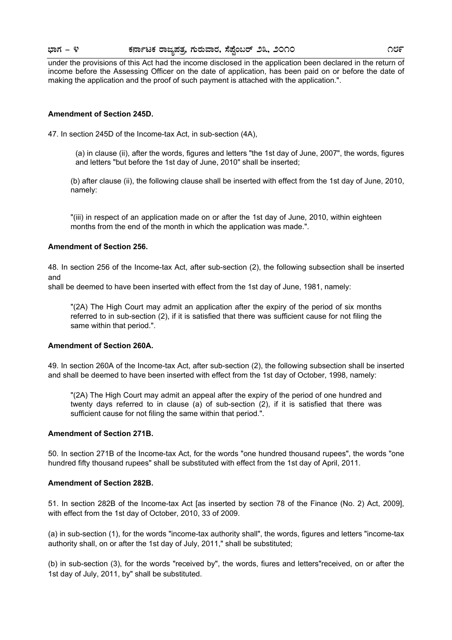# **¨sÁUÀ - 4 PÀ£ÁðlPÀ gÁdå¥ÀvÀæ, UÀÄgÀĪÁgÀ, ¸É¥ÉÖA§gï 23, 2010 189**

under the provisions of this Act had the income disclosed in the application been declared in the return of income before the Assessing Officer on the date of application, has been paid on or before the date of making the application and the proof of such payment is attached with the application.".

#### **Amendment of Section 245D.**

47. In section 245D of the Income-tax Act, in sub-section (4A),

(a) in clause (ii), after the words, figures and letters "the 1st day of June, 2007", the words, figures and letters "but before the 1st day of June, 2010" shall be inserted;

(b) after clause (ii), the following clause shall be inserted with effect from the 1st day of June, 2010, namely:

"(iii) in respect of an application made on or after the 1st day of June, 2010, within eighteen months from the end of the month in which the application was made.".

#### **Amendment of Section 256.**

48. In section 256 of the Income-tax Act, after sub-section (2), the following subsection shall be inserted and

shall be deemed to have been inserted with effect from the 1st day of June, 1981, namely:

"(2A) The High Court may admit an application after the expiry of the period of six months referred to in sub-section (2), if it is satisfied that there was sufficient cause for not filing the same within that period.".

#### **Amendment of Section 260A.**

49. In section 260A of the Income-tax Act, after sub-section (2), the following subsection shall be inserted and shall be deemed to have been inserted with effect from the 1st day of October, 1998, namely:

"(2A) The High Court may admit an appeal after the expiry of the period of one hundred and twenty days referred to in clause (a) of sub-section (2), if it is satisfied that there was sufficient cause for not filing the same within that period.".

#### **Amendment of Section 271B.**

50. In section 271B of the Income-tax Act, for the words "one hundred thousand rupees", the words "one hundred fifty thousand rupees" shall be substituted with effect from the 1st day of April, 2011.

#### **Amendment of Section 282B.**

51. In section 282B of the Income-tax Act [as inserted by section 78 of the Finance (No. 2) Act, 2009], with effect from the 1st day of October, 2010, 33 of 2009.

(a) in sub-section (1), for the words "income-tax authority shall", the words, figures and letters "income-tax authority shall, on or after the 1st day of July, 2011," shall be substituted;

(b) in sub-section (3), for the words "received by", the words, fiures and letters"received, on or after the 1st day of July, 2011, by" shall be substituted.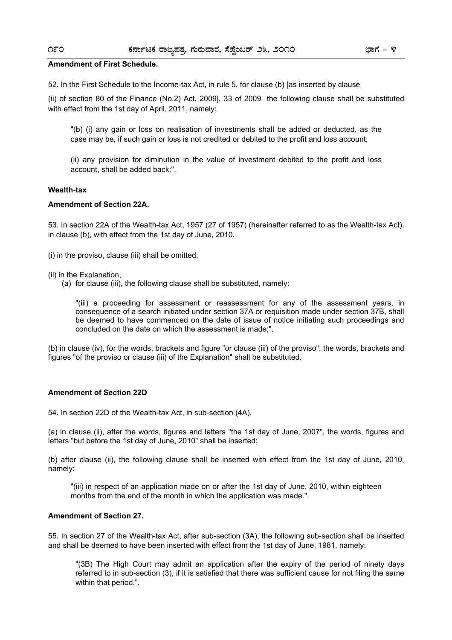#### **Amendment of First Schedule.**

52. In the First Schedule to the Income-tax Act, in rule 5, for clause (b) [as inserted by clause

(ii) of section 80 of the Finance (No.2) Act, 2009], 33 of 2009 the following clause shall be substituted with effect from the 1st day of April, 2011, namely:

"(b) (i) any gain or loss on realisation of investments shall be added or deducted, as the case may be, if such gain or loss is not credited or debited to the profit and loss account;

(ii) any provision for diminution in the value of investment debited to the profit and loss account, shall be added back;".

#### **Wealth-tax**

#### **Amendment of Section 22A.**

53. In section 22A of the Wealth-tax Act, 1957 (27 of 1957) (hereinafter referred to as the Wealth-tax Act), in clause (b), with effect from the 1st day of June, 2010,

(i) in the proviso, clause (iii) shall be omitted;

- (ii) in the Explanation,
	- (a) for clause (iii), the following clause shall be substituted, namely:

"(iii) a proceeding for assessment or reassessment for any of the assessment years, in consequence of a search initiated under section 37A or requisition made under section 37B, shall be deemed to have commenced on the date of issue of notice initiating such proceedings and concluded on the date on which the assessment is made;".

(b) in clause (iv), for the words, brackets and figure "or clause (iii) of the proviso", the words, brackets and figures "of the proviso or clause (iii) of the Explanation" shall be substituted.

#### **Amendment of Section 22D**

54. In section 22D of the Wealth-tax Act, in sub-section (4A),

(a) in clause (ii), after the words, figures and letters "the 1st day of June, 2007", the words, figures and letters "but before the 1st day of June, 2010" shall be inserted;

(b) after clause (ii), the following clause shall be inserted with effect from the 1st day of June, 2010, namely:

"(iii) in respect of an application made on or after the 1st day of June, 2010, within eighteen months from the end of the month in which the application was made.".

#### **Amendment of Section 27.**

55. In section 27 of the Wealth-tax Act, after sub-section (3A), the following sub-section shall be inserted and shall be deemed to have been inserted with effect from the 1st day of June, 1981, namely:

"(3B) The High Court may admit an application after the expiry of the period of ninety days referred to in sub-section (3), if it is satisfied that there was sufficient cause for not filing the same within that period.".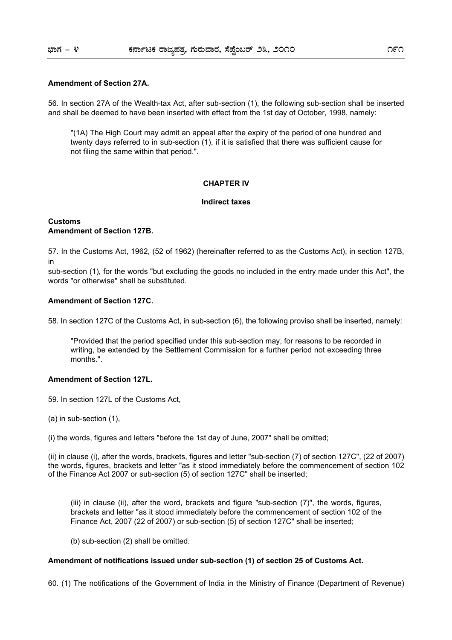#### **Amendment of Section 27A.**

56. In section 27A of the Wealth-tax Act, after sub-section (1), the following sub-section shall be inserted and shall be deemed to have been inserted with effect from the 1st day of October, 1998, namely:

"(1A) The High Court may admit an appeal after the expiry of the period of one hundred and twenty days referred to in sub-section (1), if it is satisfied that there was sufficient cause for not filing the same within that period.".

#### **CHAPTER IV**

#### **Indirect taxes**

#### **Customs Amendment of Section 127B.**

57. In the Customs Act, 1962, (52 of 1962) (hereinafter referred to as the Customs Act), in section 127B, in

sub-section (1), for the words "but excluding the goods no included in the entry made under this Act", the words "or otherwise" shall be substituted.

#### **Amendment of Section 127C.**

58. In section 127C of the Customs Act, in sub-section (6), the following proviso shall be inserted, namely:

"Provided that the period specified under this sub-section may, for reasons to be recorded in writing, be extended by the Settlement Commission for a further period not exceeding three months.".

#### **Amendment of Section 127L.**

59. In section 127L of the Customs Act,

(a) in sub-section (1),

(i) the words, figures and letters "before the 1st day of June, 2007" shall be omitted;

(ii) in clause (i), after the words, brackets, figures and letter "sub-section (7) of section 127C", (22 of 2007) the words, figures, brackets and letter "as it stood immediately before the commencement of section 102 of the Finance Act 2007 or sub-section (5) of section 127C" shall be inserted;

(iii) in clause (ii), after the word, brackets and figure "sub-section (7)", the words, figures, brackets and letter "as it stood immediately before the commencement of section 102 of the Finance Act, 2007 (22 of 2007) or sub-section (5) of section 127C" shall be inserted;

(b) sub-section (2) shall be omitted.

#### **Amendment of notifications issued under sub-section (1) of section 25 of Customs Act.**

60. (1) The notifications of the Government of India in the Ministry of Finance (Department of Revenue)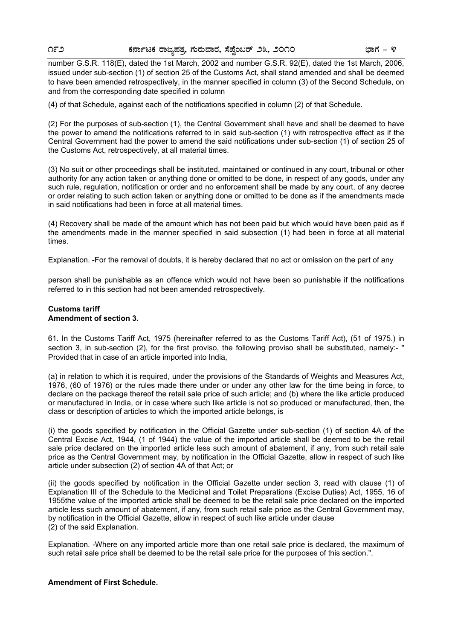number G.S.R. 118(E), dated the 1st March, 2002 and number G.S.R. 92(E), dated the 1st March, 2006, issued under sub-section (1) of section 25 of the Customs Act, shall stand amended and shall be deemed to have been amended retrospectively, in the manner specified in column (3) of the Second Schedule, on and from the corresponding date specified in column

(4) of that Schedule, against each of the notifications specified in column (2) of that Schedule.

(2) For the purposes of sub-section (1), the Central Government shall have and shall be deemed to have the power to amend the notifications referred to in said sub-section (1) with retrospective effect as if the Central Government had the power to amend the said notifications under sub-section (1) of section 25 of the Customs Act, retrospectively, at all material times.

(3) No suit or other proceedings shall be instituted, maintained or continued in any court, tribunal or other authority for any action taken or anything done or omitted to be done, in respect of any goods, under any such rule, regulation, notification or order and no enforcement shall be made by any court, of any decree or order relating to such action taken or anything done or omitted to be done as if the amendments made in said notifications had been in force at all material times.

(4) Recovery shall be made of the amount which has not been paid but which would have been paid as if the amendments made in the manner specified in said subsection (1) had been in force at all material times.

Explanation. -For the removal of doubts, it is hereby declared that no act or omission on the part of any

person shall be punishable as an offence which would not have been so punishable if the notifications referred to in this section had not been amended retrospectively.

#### **Customs tariff Amendment of section 3.**

61. In the Customs Tariff Act, 1975 (hereinafter referred to as the Customs Tariff Act), (51 of 1975.) in section 3, in sub-section (2), for the first proviso, the following proviso shall be substituted, namely:- " Provided that in case of an article imported into India,

(a) in relation to which it is required, under the provisions of the Standards of Weights and Measures Act, 1976, (60 of 1976) or the rules made there under or under any other law for the time being in force, to declare on the package thereof the retail sale price of such article; and (b) where the like article produced or manufactured in India, or in case where such like article is not so produced or manufactured, then, the class or description of articles to which the imported article belongs, is

(i) the goods specified by notification in the Official Gazette under sub-section (1) of section 4A of the Central Excise Act, 1944, (1 of 1944) the value of the imported article shall be deemed to be the retail sale price declared on the imported article less such amount of abatement, if any, from such retail sale price as the Central Government may, by notification in the Official Gazette, allow in respect of such like article under subsection (2) of section 4A of that Act; or

(ii) the goods specified by notification in the Official Gazette under section 3, read with clause (1) of Explanation III of the Schedule to the Medicinal and Toilet Preparations (Excise Duties) Act, 1955, 16 of 1955the value of the imported article shall be deemed to be the retail sale price declared on the imported article less such amount of abatement, if any, from such retail sale price as the Central Government may, by notification in the Official Gazette, allow in respect of such like article under clause (2) of the said Explanation.

Explanation. -Where on any imported article more than one retail sale price is declared, the maximum of such retail sale price shall be deemed to be the retail sale price for the purposes of this section.".

#### **Amendment of First Schedule.**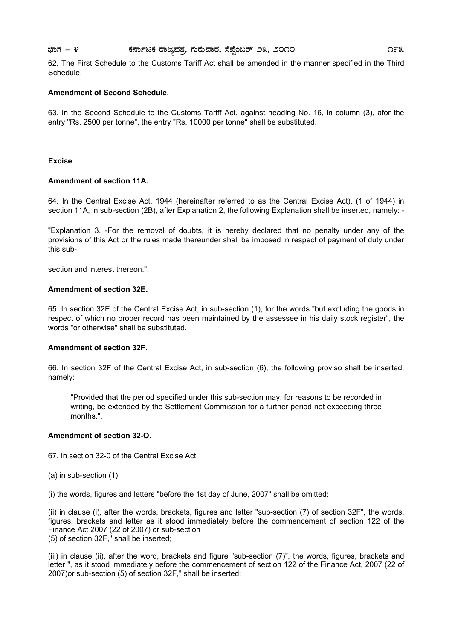#### **¨sÁUÀ - 4 PÀ£ÁðlPÀ gÁdå¥ÀvÀæ, UÀÄgÀĪÁgÀ, ¸É¥ÉÖA§gï 23, 2010 193**

62. The First Schedule to the Customs Tariff Act shall be amended in the manner specified in the Third Schedule.

#### **Amendment of Second Schedule.**

63. In the Second Schedule to the Customs Tariff Act, against heading No. 16, in column (3), afor the entry "Rs. 2500 per tonne", the entry "Rs. 10000 per tonne" shall be substituted.

#### **Excise**

#### **Amendment of section 11A.**

64. In the Central Excise Act, 1944 (hereinafter referred to as the Central Excise Act), (1 of 1944) in section 11A, in sub-section (2B), after Explanation 2, the following Explanation shall be inserted, namely: -

"Explanation 3. -For the removal of doubts, it is hereby declared that no penalty under any of the provisions of this Act or the rules made thereunder shall be imposed in respect of payment of duty under this sub-

section and interest thereon.".

#### **Amendment of section 32E.**

65. In section 32E of the Central Excise Act, in sub-section (1), for the words "but excluding the goods in respect of which no proper record has been maintained by the assessee in his daily stock register", the words "or otherwise" shall be substituted.

#### **Amendment of section 32F.**

66. In section 32F of the Central Excise Act, in sub-section (6), the following proviso shall be inserted, namely:

"Provided that the period specified under this sub-section may, for reasons to be recorded in writing, be extended by the Settlement Commission for a further period not exceeding three months.".

#### **Amendment of section 32-O.**

67. In section 32-0 of the Central Excise Act,

(a) in sub-section (1),

(i) the words, figures and letters "before the 1st day of June, 2007" shall be omitted;

(ii) in clause (i), after the words, brackets, figures and letter "sub-section (7) of section 32F", the words, figures, brackets and letter as it stood immediately before the commencement of section 122 of the Finance Act 2007 (22 of 2007) or sub-section (5) of section 32F," shall be inserted;

(iii) in clause (ii), after the word, brackets and figure "sub-section (7)", the words, figures, brackets and letter ", as it stood immediately before the commencement of section 122 of the Finance Act, 2007 (22 of 2007)or sub-section (5) of section 32F," shall be inserted;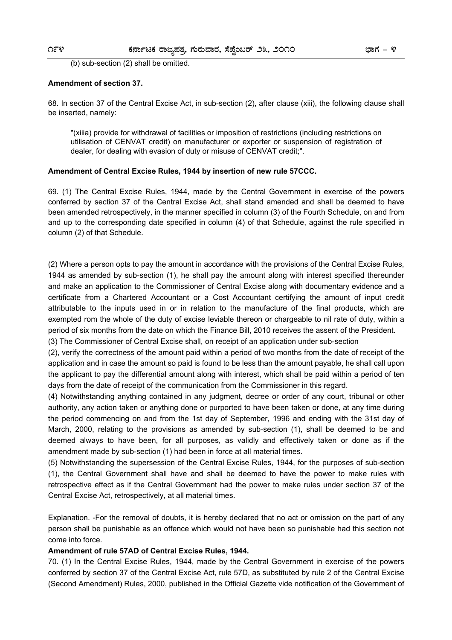(b) sub-section (2) shall be omitted.

#### **Amendment of section 37.**

68. In section 37 of the Central Excise Act, in sub-section (2), after clause (xiii), the following clause shall be inserted, namely:

"(xiiia) provide for withdrawal of facilities or imposition of restrictions (including restrictions on utilisation of CENVAT credit) on manufacturer or exporter or suspension of registration of dealer, for dealing with evasion of duty or misuse of CENVAT credit;".

#### **Amendment of Central Excise Rules, 1944 by insertion of new rule 57CCC.**

69. (1) The Central Excise Rules, 1944, made by the Central Government in exercise of the powers conferred by section 37 of the Central Excise Act, shall stand amended and shall be deemed to have been amended retrospectively, in the manner specified in column (3) of the Fourth Schedule, on and from and up to the corresponding date specified in column (4) of that Schedule, against the rule specified in column (2) of that Schedule.

(2) Where a person opts to pay the amount in accordance with the provisions of the Central Excise Rules, 1944 as amended by sub-section (1), he shall pay the amount along with interest specified thereunder and make an application to the Commissioner of Central Excise along with documentary evidence and a certificate from a Chartered Accountant or a Cost Accountant certifying the amount of input credit attributable to the inputs used in or in relation to the manufacture of the final products, which are exempted rom the whole of the duty of excise leviable thereon or chargeable to nil rate of duty, within a period of six months from the date on which the Finance Bill, 2010 receives the assent of the President.

(3) The Commissioner of Central Excise shall, on receipt of an application under sub-section

(2), verify the correctness of the amount paid within a period of two months from the date of receipt of the application and in case the amount so paid is found to be less than the amount payable, he shall call upon the applicant to pay the differential amount along with interest, which shall be paid within a period of ten days from the date of receipt of the communication from the Commissioner in this regard.

(4) Notwithstanding anything contained in any judgment, decree or order of any court, tribunal or other authority, any action taken or anything done or purported to have been taken or done, at any time during the period commencing on and from the 1st day of September, 1996 and ending with the 31st day of March, 2000, relating to the provisions as amended by sub-section (1), shall be deemed to be and deemed always to have been, for all purposes, as validly and effectively taken or done as if the amendment made by sub-section (1) had been in force at all material times.

(5) Notwithstanding the supersession of the Central Excise Rules, 1944, for the purposes of sub-section (1), the Central Government shall have and shall be deemed to have the power to make rules with retrospective effect as if the Central Government had the power to make rules under section 37 of the Central Excise Act, retrospectively, at all material times.

Explanation. -For the removal of doubts, it is hereby declared that no act or omission on the part of any person shall be punishable as an offence which would not have been so punishable had this section not come into force.

#### **Amendment of rule 57AD of Central Excise Rules, 1944.**

70. (1) In the Central Excise Rules, 1944, made by the Central Government in exercise of the powers conferred by section 37 of the Central Excise Act, rule 57D, as substituted by rule 2 of the Central Excise (Second Amendment) Rules, 2000, published in the Official Gazette vide notification of the Government of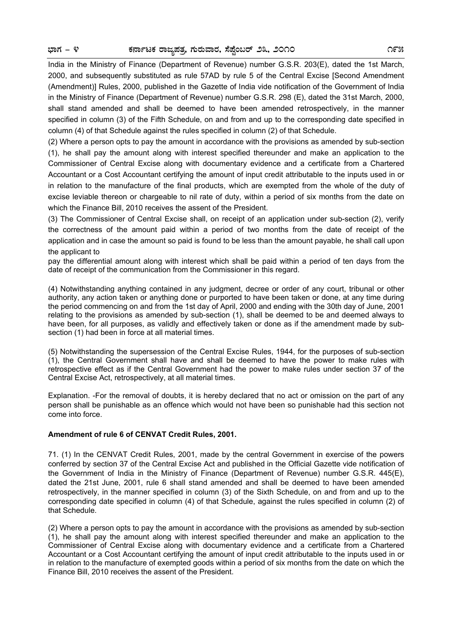India in the Ministry of Finance (Department of Revenue) number G.S.R. 203(E), dated the 1st March, 2000, and subsequently substituted as rule 57AD by rule 5 of the Central Excise [Second Amendment (Amendment)] Rules, 2000, published in the Gazette of India vide notification of the Government of India in the Ministry of Finance (Department of Revenue) number G.S.R. 298 (E), dated the 31st March, 2000, shall stand amended and shall be deemed to have been amended retrospectively, in the manner specified in column (3) of the Fifth Schedule, on and from and up to the corresponding date specified in column (4) of that Schedule against the rules specified in column (2) of that Schedule.

(2) Where a person opts to pay the amount in accordance with the provisions as amended by sub-section (1), he shall pay the amount along with interest specified thereunder and make an application to the Commissioner of Central Excise along with documentary evidence and a certificate from a Chartered Accountant or a Cost Accountant certifying the amount of input credit attributable to the inputs used in or in relation to the manufacture of the final products, which are exempted from the whole of the duty of excise leviable thereon or chargeable to nil rate of duty, within a period of six months from the date on which the Finance Bill, 2010 receives the assent of the President.

(3) The Commissioner of Central Excise shall, on receipt of an application under sub-section (2), verify the correctness of the amount paid within a period of two months from the date of receipt of the application and in case the amount so paid is found to be less than the amount payable, he shall call upon the applicant to

pay the differential amount along with interest which shall be paid within a period of ten days from the date of receipt of the communication from the Commissioner in this regard.

(4) Notwithstanding anything contained in any judgment, decree or order of any court, tribunal or other authority, any action taken or anything done or purported to have been taken or done, at any time during the period commencing on and from the 1st day of April, 2000 and ending with the 30th day of June, 2001 relating to the provisions as amended by sub-section (1), shall be deemed to be and deemed always to have been, for all purposes, as validly and effectively taken or done as if the amendment made by subsection (1) had been in force at all material times.

(5) Notwithstanding the supersession of the Central Excise Rules, 1944, for the purposes of sub-section (1), the Central Government shall have and shall be deemed to have the power to make rules with retrospective effect as if the Central Government had the power to make rules under section 37 of the Central Excise Act, retrospectively, at all material times.

Explanation. -For the removal of doubts, it is hereby declared that no act or omission on the part of any person shall be punishable as an offence which would not have been so punishable had this section not come into force.

#### **Amendment of rule 6 of CENVAT Credit Rules, 2001.**

71. (1) In the CENVAT Credit Rules, 2001, made by the central Government in exercise of the powers conferred by section 37 of the Central Excise Act and published in the Official Gazette vide notification of the Government of India in the Ministry of Finance (Department of Revenue) number G.S.R. 445(E), dated the 21st June, 2001, rule 6 shall stand amended and shall be deemed to have been amended retrospectively, in the manner specified in column (3) of the Sixth Schedule, on and from and up to the corresponding date specified in column (4) of that Schedule, against the rules specified in column (2) of that Schedule.

(2) Where a person opts to pay the amount in accordance with the provisions as amended by sub-section (1), he shall pay the amount along with interest specified thereunder and make an application to the Commissioner of Central Excise along with documentary evidence and a certificate from a Chartered Accountant or a Cost Accountant certifying the amount of input credit attributable to the inputs used in or in relation to the manufacture of exempted goods within a period of six months from the date on which the Finance Bill, 2010 receives the assent of the President.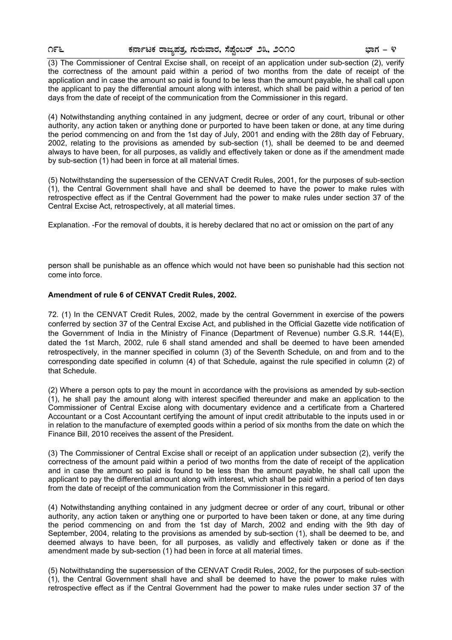(3) The Commissioner of Central Excise shall, on receipt of an application under sub-section (2), verify the correctness of the amount paid within a period of two months from the date of receipt of the application and in case the amount so paid is found to be less than the amount payable, he shall call upon the applicant to pay the differential amount along with interest, which shall be paid within a period of ten days from the date of receipt of the communication from the Commissioner in this regard.

(4) Notwithstanding anything contained in any judgment, decree or order of any court, tribunal or other authority, any action taken or anything done or purported to have been taken or done, at any time during the period commencing on and from the 1st day of July, 2001 and ending with the 28th day of February, 2002, relating to the provisions as amended by sub-section (1), shall be deemed to be and deemed always to have been, for all purposes, as validly and effectively taken or done as if the amendment made by sub-section (1) had been in force at all material times.

(5) Notwithstanding the supersession of the CENVAT Credit Rules, 2001, for the purposes of sub-section (1), the Central Government shall have and shall be deemed to have the power to make rules with retrospective effect as if the Central Government had the power to make rules under section 37 of the Central Excise Act, retrospectively, at all material times.

Explanation. -For the removal of doubts, it is hereby declared that no act or omission on the part of any

person shall be punishable as an offence which would not have been so punishable had this section not come into force.

#### **Amendment of rule 6 of CENVAT Credit Rules, 2002.**

72. (1) In the CENVAT Credit Rules, 2002, made by the central Government in exercise of the powers conferred by section 37 of the Central Excise Act, and published in the Official Gazette vide notification of the Government of India in the Ministry of Finance (Department of Revenue) number G.S.R. 144(E), dated the 1st March, 2002, rule 6 shall stand amended and shall be deemed to have been amended retrospectively, in the manner specified in column (3) of the Seventh Schedule, on and from and to the corresponding date specified in column (4) of that Schedule, against the rule specified in column (2) of that Schedule.

(2) Where a person opts to pay the mount in accordance with the provisions as amended by sub-section (1), he shall pay the amount along with interest specified thereunder and make an application to the Commissioner of Central Excise along with documentary evidence and a certificate from a Chartered Accountant or a Cost Accountant certifying the amount of input credit attributable to the inputs used in or in relation to the manufacture of exempted goods within a period of six months from the date on which the Finance Bill, 2010 receives the assent of the President.

(3) The Commissioner of Central Excise shall or receipt of an application under subsection (2), verify the correctness of the amount paid within a period of two months from the date of receipt of the application and in case the amount so paid is found to be less than the amount payable, he shall call upon the applicant to pay the differential amount along with interest, which shall be paid within a period of ten days from the date of receipt of the communication from the Commissioner in this regard.

(4) Notwithstanding anything contained in any judgment decree or order of any court, tribunal or other authority, any action taken or anything one or purported to have been taken or done, at any time during the period commencing on and from the 1st day of March, 2002 and ending with the 9th day of September, 2004, relating to the provisions as amended by sub-section (1), shall be deemed to be, and deemed always to have been, for all purposes, as validly and effectively taken or done as if the amendment made by sub-section (1) had been in force at all material times.

(5) Notwithstanding the supersession of the CENVAT Credit Rules, 2002, for the purposes of sub-section (1), the Central Government shall have and shall be deemed to have the power to make rules with retrospective effect as if the Central Government had the power to make rules under section 37 of the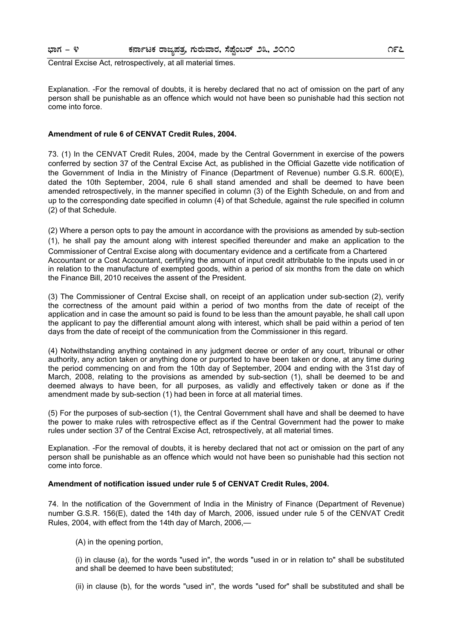#### **¨sÁUÀ - 4 PÀ£ÁðlPÀ gÁdå¥ÀvÀæ, UÀÄgÀĪÁgÀ, ¸É¥ÉÖA§gï 23, 2010 197**

Central Excise Act, retrospectively, at all material times.

Explanation. -For the removal of doubts, it is hereby declared that no act of omission on the part of any person shall be punishable as an offence which would not have been so punishable had this section not come into force.

#### **Amendment of rule 6 of CENVAT Credit Rules, 2004.**

73. (1) In the CENVAT Credit Rules, 2004, made by the Central Government in exercise of the powers conferred by section 37 of the Central Excise Act, as published in the Official Gazette vide notification of the Government of India in the Ministry of Finance (Department of Revenue) number G.S.R. 600(E), dated the 10th September, 2004, rule 6 shall stand amended and shall be deemed to have been amended retrospectively, in the manner specified in column (3) of the Eighth Schedule, on and from and up to the corresponding date specified in column (4) of that Schedule, against the rule specified in column (2) of that Schedule.

(2) Where a person opts to pay the amount in accordance with the provisions as amended by sub-section (1), he shall pay the amount along with interest specified thereunder and make an application to the Commissioner of Central Excise along with documentary evidence and a certificate from a Chartered Accountant or a Cost Accountant, certifying the amount of input credit attributable to the inputs used in or in relation to the manufacture of exempted goods, within a period of six months from the date on which the Finance Bill, 2010 receives the assent of the President.

(3) The Commissioner of Central Excise shall, on receipt of an application under sub-section (2), verify the correctness of the amount paid within a period of two months from the date of receipt of the application and in case the amount so paid is found to be less than the amount payable, he shall call upon the applicant to pay the differential amount along with interest, which shall be paid within a period of ten days from the date of receipt of the communication from the Commissioner in this regard.

(4) Notwithstanding anything contained in any judgment decree or order of any court, tribunal or other authority, any action taken or anything done or purported to have been taken or done, at any time during the period commencing on and from the 10th day of September, 2004 and ending with the 31st day of March, 2008, relating to the provisions as amended by sub-section (1), shall be deemed to be and deemed always to have been, for all purposes, as validly and effectively taken or done as if the amendment made by sub-section (1) had been in force at all material times.

(5) For the purposes of sub-section (1), the Central Government shall have and shall be deemed to have the power to make rules with retrospective effect as if the Central Government had the power to make rules under section 37 of the Central Excise Act, retrospectively, at all material times.

Explanation. -For the removal of doubts, it is hereby declared that not act or omission on the part of any person shall be punishable as an offence which would not have been so punishable had this section not come into force.

#### **Amendment of notification issued under rule 5 of CENVAT Credit Rules, 2004.**

74. In the notification of the Government of India in the Ministry of Finance (Department of Revenue) number G.S.R. 156(E), dated the 14th day of March, 2006, issued under rule 5 of the CENVAT Credit Rules, 2004, with effect from the 14th day of March, 2006,—

(A) in the opening portion,

(i) in clause (a), for the words "used in", the words "used in or in relation to" shall be substituted and shall be deemed to have been substituted;

(ii) in clause (b), for the words "used in", the words "used for" shall be substituted and shall be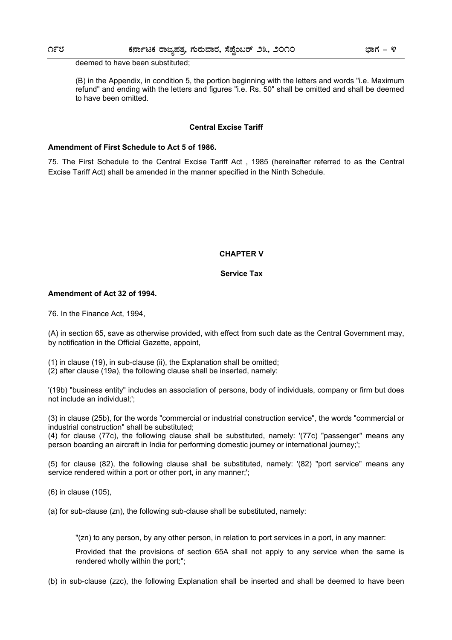deemed to have been substituted;

(B) in the Appendix, in condition 5, the portion beginning with the letters and words "i.e. Maximum refund" and ending with the letters and figures "i.e. Rs. 50" shall be omitted and shall be deemed to have been omitted.

#### **Central Excise Tariff**

#### **Amendment of First Schedule to Act 5 of 1986.**

75. The First Schedule to the Central Excise Tariff Act , 1985 (hereinafter referred to as the Central Excise Tariff Act) shall be amended in the manner specified in the Ninth Schedule.

#### **CHAPTER V**

#### **Service Tax**

#### **Amendment of Act 32 of 1994.**

76. In the Finance Act, 1994,

(A) in section 65, save as otherwise provided, with effect from such date as the Central Government may, by notification in the Official Gazette, appoint,

(1) in clause (19), in sub-clause (ii), the Explanation shall be omitted;

(2) after clause (19a), the following clause shall be inserted, namely:

'(19b) "business entity" includes an association of persons, body of individuals, company or firm but does not include an individual;';

(3) in clause (25b), for the words "commercial or industrial construction service", the words "commercial or industrial construction" shall be substituted;

(4) for clause (77c), the following clause shall be substituted, namely: '(77c) "passenger" means any person boarding an aircraft in India for performing domestic journey or international journey;';

(5) for clause (82), the following clause shall be substituted, namely: '(82) "port service" means any service rendered within a port or other port, in any manner;";

(6) in clause (105),

(a) for sub-clause (zn), the following sub-clause shall be substituted, namely:

"(zn) to any person, by any other person, in relation to port services in a port, in any manner:

Provided that the provisions of section 65A shall not apply to any service when the same is rendered wholly within the port;";

(b) in sub-clause (zzc), the following Explanation shall be inserted and shall be deemed to have been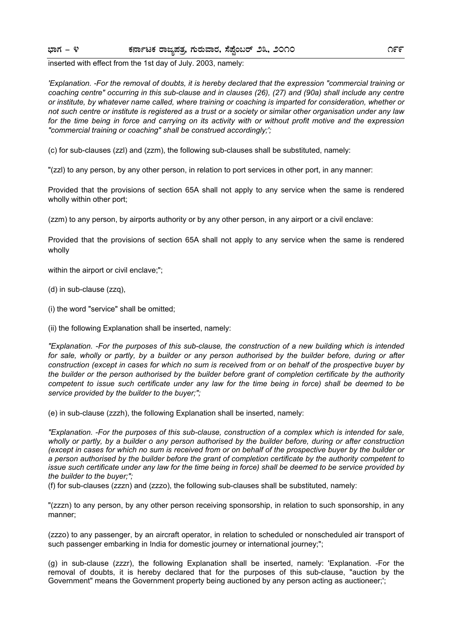inserted with effect from the 1st day of July. 2003, namely:

*'Explanation. -For the removal of doubts, it is hereby declared that the expression "commercial training or coaching centre" occurring in this sub-clause and in clauses (26), (27) and (90a) shall include any centre or institute, by whatever name called, where training or coaching is imparted for consideration, whether or not such centre or institute is registered as a trust or a society or similar other organisation under any law for the time being in force and carrying on its activity with or without profit motive and the expression "commercial training or coaching" shall be construed accordingly;';* 

(c) for sub-clauses (zzl) and (zzm), the following sub-clauses shall be substituted, namely:

"(zzl) to any person, by any other person, in relation to port services in other port, in any manner:

Provided that the provisions of section 65A shall not apply to any service when the same is rendered wholly within other port;

(zzm) to any person, by airports authority or by any other person, in any airport or a civil enclave:

Provided that the provisions of section 65A shall not apply to any service when the same is rendered wholly

within the airport or civil enclave;";

- (d) in sub-clause (zzq),
- (i) the word "service" shall be omitted;
- (ii) the following Explanation shall be inserted, namely:

*"Explanation. -For the purposes of this sub-clause, the construction of a new building which is intended*  for sale, wholly or partly, by a builder or any person authorised by the builder before, during or after *construction (except in cases for which no sum is received from or on behalf of the prospective buyer by the builder or the person authorised by the builder before grant of completion certificate by the authority competent to issue such certificate under any law for the time being in force) shall be deemed to be service provided by the builder to the buyer;";* 

(e) in sub-clause (zzzh), the following Explanation shall be inserted, namely:

*"Explanation. -For the purposes of this sub-clause, construction of a complex which is intended for sale, wholly or partly, by a builder o any person authorised by the builder before, during or after construction (except in cases for which no sum is received from or on behalf of the prospective buyer by the builder or a person authorised by the builder before the grant of completion certificate by the authority competent to issue such certificate under any law for the time being in force) shall be deemed to be service provided by the builder to the buyer;";* 

(f) for sub-clauses (zzzn) and (zzzo), the following sub-clauses shall be substituted, namely:

"(zzzn) to any person, by any other person receiving sponsorship, in relation to such sponsorship, in any manner;

(zzzo) to any passenger, by an aircraft operator, in relation to scheduled or nonscheduled air transport of such passenger embarking in India for domestic journey or international journey;";

(g) in sub-clause (zzzr), the following Explanation shall be inserted, namely: 'Explanation. -For the removal of doubts, it is hereby declared that for the purposes of this sub-clause, "auction by the Government" means the Government property being auctioned by any person acting as auctioneer;';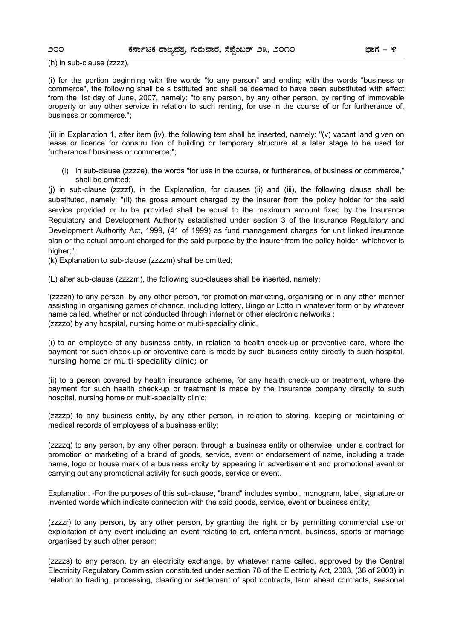(h) in sub-clause (zzzz),

(i) for the portion beginning with the words "to any person" and ending with the words "business or commerce", the following shall be s bstituted and shall be deemed to have been substituted with effect from the 1st day of June, 2007, namely: "to any person, by any other person, by renting of immovable property or any other service in relation to such renting, for use in the course of or for furtherance of, business or commerce.";

(ii) in Explanation 1, after item (iv), the following tem shall be inserted, namely: "(v) vacant land given on lease or licence for constru tion of building or temporary structure at a later stage to be used for furtherance f business or commerce;";

(i) in sub-clause (zzzze), the words "for use in the course, or furtherance, of business or commerce," shall be omitted;

(j) in sub-clause (zzzzf), in the Explanation, for clauses (ii) and (iii), the following clause shall be substituted, namely: "(ii) the gross amount charged by the insurer from the policy holder for the said service provided or to be provided shall be equal to the maximum amount fixed by the Insurance Regulatory and Development Authority established under section 3 of the Insurance Regulatory and Development Authority Act, 1999, (41 of 1999) as fund management charges for unit linked insurance plan or the actual amount charged for the said purpose by the insurer from the policy holder, whichever is higher:":

(k) Explanation to sub-clause (zzzzm) shall be omitted;

(L) after sub-clause (zzzzm), the following sub-clauses shall be inserted, namely:

'(zzzzn) to any person, by any other person, for promotion marketing, organising or in any other manner assisting in organising games of chance, including lottery, Bingo or Lotto in whatever form or by whatever name called, whether or not conducted through internet or other electronic networks ; (zzzzo) by any hospital, nursing home or multi-speciality clinic,

(i) to an employee of any business entity, in relation to health check-up or preventive care, where the payment for such check-up or preventive care is made by such business entity directly to such hospital, nursing home or multi-speciality clinic; or

(ii) to a person covered by health insurance scheme, for any health check-up or treatment, where the payment for such health check-up or treatment is made by the insurance company directly to such hospital, nursing home or multi-speciality clinic;

(zzzzp) to any business entity, by any other person, in relation to storing, keeping or maintaining of medical records of employees of a business entity;

(zzzzq) to any person, by any other person, through a business entity or otherwise, under a contract for promotion or marketing of a brand of goods, service, event or endorsement of name, including a trade name, logo or house mark of a business entity by appearing in advertisement and promotional event or carrying out any promotional activity for such goods, service or event.

Explanation. -For the purposes of this sub-clause, "brand" includes symbol, monogram, label, signature or invented words which indicate connection with the said goods, service, event or business entity;

(zzzzr) to any person, by any other person, by granting the right or by permitting commercial use or exploitation of any event including an event relating to art, entertainment, business, sports or marriage organised by such other person;

(zzzzs) to any person, by an electricity exchange, by whatever name called, approved by the Central Electricity Regulatory Commission constituted under section 76 of the Electricity Act, 2003, (36 of 2003) in relation to trading, processing, clearing or settlement of spot contracts, term ahead contracts, seasonal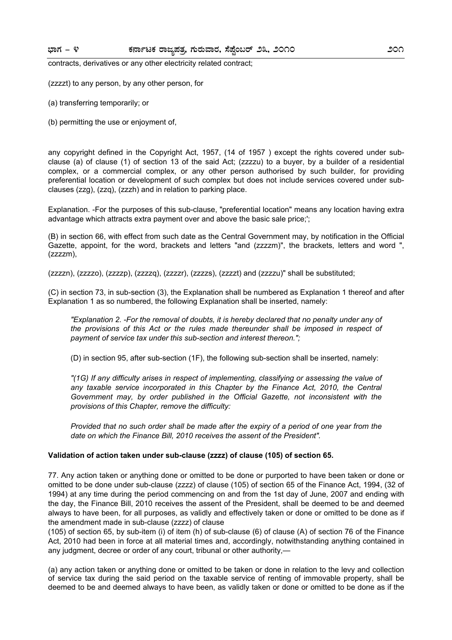contracts, derivatives or any other electricity related contract;

(zzzzt) to any person, by any other person, for

(a) transferring temporarily; or

(b) permitting the use or enjoyment of,

any copyright defined in the Copyright Act, 1957, (14 of 1957 ) except the rights covered under subclause (a) of clause (1) of section 13 of the said Act; (zzzzu) to a buyer, by a builder of a residential complex, or a commercial complex, or any other person authorised by such builder, for providing preferential location or development of such complex but does not include services covered under subclauses (zzg), (zzq), (zzzh) and in relation to parking place.

Explanation. -For the purposes of this sub-clause, "preferential location" means any location having extra advantage which attracts extra payment over and above the basic sale price;';

(B) in section 66, with effect from such date as the Central Government may, by notification in the Official Gazette, appoint, for the word, brackets and letters "and (zzzzm)", the brackets, letters and word ", (zzzzm),

(zzzzn), (zzzzo), (zzzzp), (zzzzq), (zzzzr), (zzzzs), (zzzzt) and (zzzzu)" shall be substituted;

(C) in section 73, in sub-section (3), the Explanation shall be numbered as Explanation 1 thereof and after Explanation 1 as so numbered, the following Explanation shall be inserted, namely:

*"Explanation 2. -For the removal of doubts, it is hereby declared that no penalty under any of the provisions of this Act or the rules made thereunder shall be imposed in respect of payment of service tax under this sub-section and interest thereon.";* 

(D) in section 95, after sub-section (1F), the following sub-section shall be inserted, namely:

*"(1G) If any difficulty arises in respect of implementing, classifying or assessing the value of*  any taxable service incorporated in this Chapter by the Finance Act, 2010, the Central *Government may, by order published in the Official Gazette, not inconsistent with the provisions of this Chapter, remove the difficulty:* 

*Provided that no such order shall be made after the expiry of a period of one year from the date on which the Finance Bill, 2010 receives the assent of the President".* 

#### **Validation of action taken under sub-clause (zzzz) of clause (105) of section 65.**

77. Any action taken or anything done or omitted to be done or purported to have been taken or done or omitted to be done under sub-clause (zzzz) of clause (105) of section 65 of the Finance Act, 1994, (32 of 1994) at any time during the period commencing on and from the 1st day of June, 2007 and ending with the day, the Finance Bill, 2010 receives the assent of the President, shall be deemed to be and deemed always to have been, for all purposes, as validly and effectively taken or done or omitted to be done as if the amendment made in sub-clause (zzzz) of clause

(105) of section 65, by sub-item (i) of item (h) of sub-clause (6) of clause (A) of section 76 of the Finance Act, 2010 had been in force at all material times and, accordingly, notwithstanding anything contained in any judgment, decree or order of any court, tribunal or other authority,—

(a) any action taken or anything done or omitted to be taken or done in relation to the levy and collection of service tax during the said period on the taxable service of renting of immovable property, shall be deemed to be and deemed always to have been, as validly taken or done or omitted to be done as if the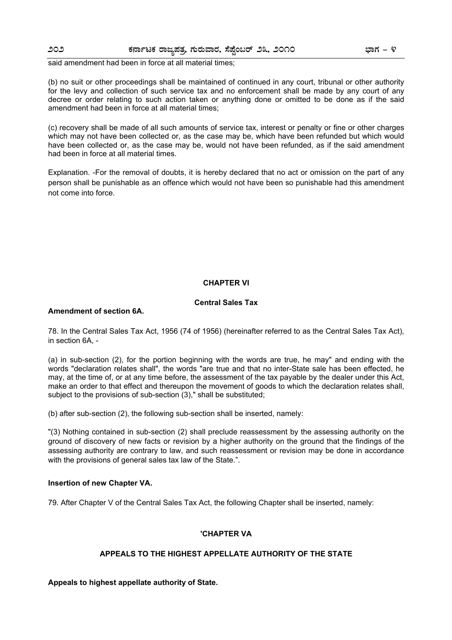said amendment had been in force at all material times;

(b) no suit or other proceedings shall be maintained of continued in any court, tribunal or other authority for the levy and collection of such service tax and no enforcement shall be made by any court of any decree or order relating to such action taken or anything done or omitted to be done as if the said amendment had been in force at all material times;

(c) recovery shall be made of all such amounts of service tax, interest or penalty or fine or other charges which may not have been collected or, as the case may be, which have been refunded but which would have been collected or, as the case may be, would not have been refunded, as if the said amendment had been in force at all material times.

Explanation. -For the removal of doubts, it is hereby declared that no act or omission on the part of any person shall be punishable as an offence which would not have been so punishable had this amendment not come into force.

#### **CHAPTER VI**

#### **Central Sales Tax**

#### **Amendment of section 6A.**

78. In the Central Sales Tax Act, 1956 (74 of 1956) (hereinafter referred to as the Central Sales Tax Act), in section 6A, -

(a) in sub-section (2), for the portion beginning with the words are true, he may" and ending with the words "declaration relates shall", the words "are true and that no inter-State sale has been effected, he may, at the time of, or at any time before, the assessment of the tax payable by the dealer under this Act, make an order to that effect and thereupon the movement of goods to which the declaration relates shall, subject to the provisions of sub-section (3)," shall be substituted;

(b) after sub-section (2), the following sub-section shall be inserted, namely:

"(3) Nothing contained in sub-section (2) shall preclude reassessment by the assessing authority on the ground of discovery of new facts or revision by a higher authority on the ground that the findings of the assessing authority are contrary to law, and such reassessment or revision may be done in accordance with the provisions of general sales tax law of the State.".

#### **Insertion of new Chapter VA.**

79. After Chapter V of the Central Sales Tax Act, the following Chapter shall be inserted, namely:

#### **'CHAPTER VA**

#### **APPEALS TO THE HIGHEST APPELLATE AUTHORITY OF THE STATE**

**Appeals to highest appellate authority of State.**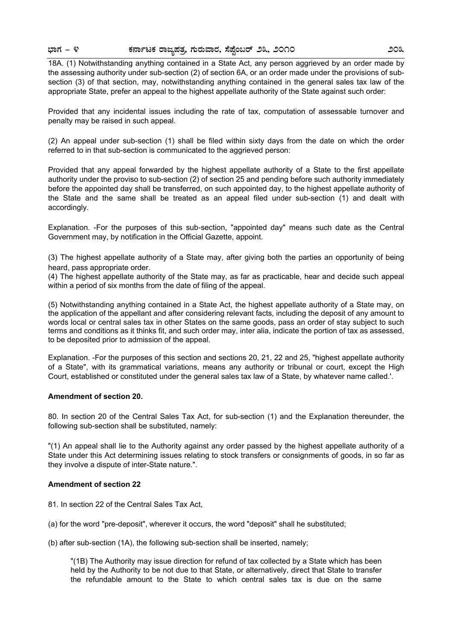18A. (1) Notwithstanding anything contained in a State Act, any person aggrieved by an order made by the assessing authority under sub-section (2) of section 6A, or an order made under the provisions of subsection (3) of that section, may, notwithstanding anything contained in the general sales tax law of the appropriate State, prefer an appeal to the highest appellate authority of the State against such order:

Provided that any incidental issues including the rate of tax, computation of assessable turnover and penalty may be raised in such appeal.

(2) An appeal under sub-section (1) shall be filed within sixty days from the date on which the order referred to in that sub-section is communicated to the aggrieved person:

Provided that any appeal forwarded by the highest appellate authority of a State to the first appellate authority under the proviso to sub-section (2) of section 25 and pending before such authority immediately before the appointed day shall be transferred, on such appointed day, to the highest appellate authority of the State and the same shall be treated as an appeal filed under sub-section (1) and dealt with accordingly.

Explanation. -For the purposes of this sub-section, "appointed day" means such date as the Central Government may, by notification in the Official Gazette, appoint.

(3) The highest appellate authority of a State may, after giving both the parties an opportunity of being heard, pass appropriate order.

(4) The highest appellate authority of the State may, as far as practicable, hear and decide such appeal within a period of six months from the date of filing of the appeal.

(5) Notwithstanding anything contained in a State Act, the highest appellate authority of a State may, on the application of the appellant and after considering relevant facts, including the deposit of any amount to words local or central sales tax in other States on the same goods, pass an order of stay subject to such terms and conditions as it thinks fit, and such order may, inter alia, indicate the portion of tax as assessed, to be deposited prior to admission of the appeal.

Explanation. -For the purposes of this section and sections 20, 21, 22 and 25, "highest appellate authority of a State", with its grammatical variations, means any authority or tribunal or court, except the High Court, established or constituted under the general sales tax law of a State, by whatever name called.'.

#### **Amendment of section 20.**

80. In section 20 of the Central Sales Tax Act, for sub-section (1) and the Explanation thereunder, the following sub-section shall be substituted, namely:

"(1) An appeal shall lie to the Authority against any order passed by the highest appellate authority of a State under this Act determining issues relating to stock transfers or consignments of goods, in so far as they involve a dispute of inter-State nature.".

#### **Amendment of section 22**

- 81. In section 22 of the Central Sales Tax Act,
- (a) for the word "pre-deposit", wherever it occurs, the word "deposit" shall he substituted;

(b) after sub-section (1A), the following sub-section shall be inserted, namely;

"(1B) The Authority may issue direction for refund of tax collected by a State which has been held by the Authority to be not due to that State, or alternatively, direct that State to transfer the refundable amount to the State to which central sales tax is due on the same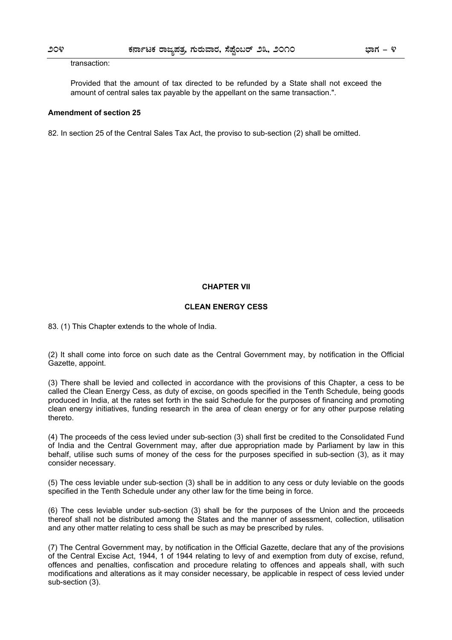#### transaction:

Provided that the amount of tax directed to be refunded by a State shall not exceed the amount of central sales tax payable by the appellant on the same transaction.".

#### **Amendment of section 25**

82. In section 25 of the Central Sales Tax Act, the proviso to sub-section (2) shall be omitted.

#### **CHAPTER VII**

#### **CLEAN ENERGY CESS**

83. (1) This Chapter extends to the whole of India.

(2) It shall come into force on such date as the Central Government may, by notification in the Official Gazette, appoint.

(3) There shall be levied and collected in accordance with the provisions of this Chapter, a cess to be called the Clean Energy Cess, as duty of excise, on goods specified in the Tenth Schedule, being goods produced in India, at the rates set forth in the said Schedule for the purposes of financing and promoting clean energy initiatives, funding research in the area of clean energy or for any other purpose relating thereto.

(4) The proceeds of the cess levied under sub-section (3) shall first be credited to the Consolidated Fund of India and the Central Government may, after due appropriation made by Parliament by law in this behalf, utilise such sums of money of the cess for the purposes specified in sub-section (3), as it may consider necessary.

(5) The cess leviable under sub-section (3) shall be in addition to any cess or duty leviable on the goods specified in the Tenth Schedule under any other law for the time being in force.

(6) The cess leviable under sub-section (3) shall be for the purposes of the Union and the proceeds thereof shall not be distributed among the States and the manner of assessment, collection, utilisation and any other matter relating to cess shall be such as may be prescribed by rules.

(7) The Central Government may, by notification in the Official Gazette, declare that any of the provisions of the Central Excise Act, 1944, 1 of 1944 relating to levy of and exemption from duty of excise, refund, offences and penalties, confiscation and procedure relating to offences and appeals shall, with such modifications and alterations as it may consider necessary, be applicable in respect of cess levied under sub-section (3).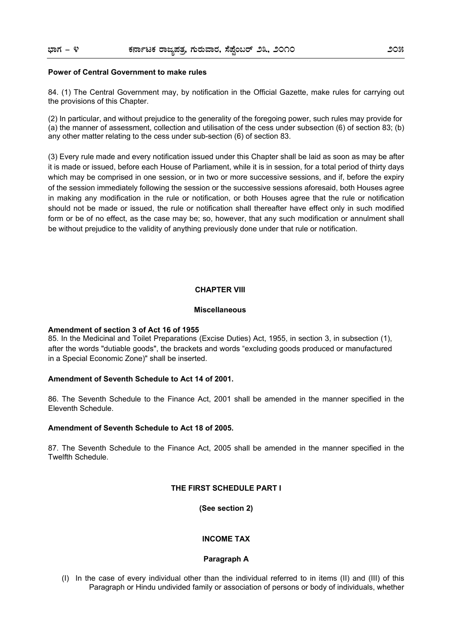#### **Power of Central Government to make rules**

84. (1) The Central Government may, by notification in the Official Gazette, make rules for carrying out the provisions of this Chapter.

(2) In particular, and without prejudice to the generality of the foregoing power, such rules may provide for (a) the manner of assessment, collection and utilisation of the cess under subsection (6) of section 83; (b) any other matter relating to the cess under sub-section (6) of section 83.

(3) Every rule made and every notification issued under this Chapter shall be laid as soon as may be after it is made or issued, before each House of Parliament, while it is in session, for a total period of thirty days which may be comprised in one session, or in two or more successive sessions, and if, before the expiry of the session immediately following the session or the successive sessions aforesaid, both Houses agree in making any modification in the rule or notification, or both Houses agree that the rule or notification should not be made or issued, the rule or notification shall thereafter have effect only in such modified form or be of no effect, as the case may be; so, however, that any such modification or annulment shall be without prejudice to the validity of anything previously done under that rule or notification.

#### **CHAPTER VIII**

#### **Miscellaneous**

#### **Amendment of section 3 of Act 16 of 1955**

85. In the Medicinal and Toilet Preparations (Excise Duties) Act, 1955, in section 3, in subsection (1), after the words "dutiable goods", the brackets and words "excluding goods produced or manufactured in a Special Economic Zone)" shall be inserted.

#### **Amendment of Seventh Schedule to Act 14 of 2001.**

86. The Seventh Schedule to the Finance Act, 2001 shall be amended in the manner specified in the Eleventh Schedule.

#### **Amendment of Seventh Schedule to Act 18 of 2005.**

87. The Seventh Schedule to the Finance Act, 2005 shall be amended in the manner specified in the Twelfth Schedule.

#### **THE FIRST SCHEDULE PART I**

**(See section 2)**

#### **INCOME TAX**

#### **Paragraph A**

(I) In the case of every individual other than the individual referred to in items (II) and (III) of this Paragraph or Hindu undivided family or association of persons or body of individuals, whether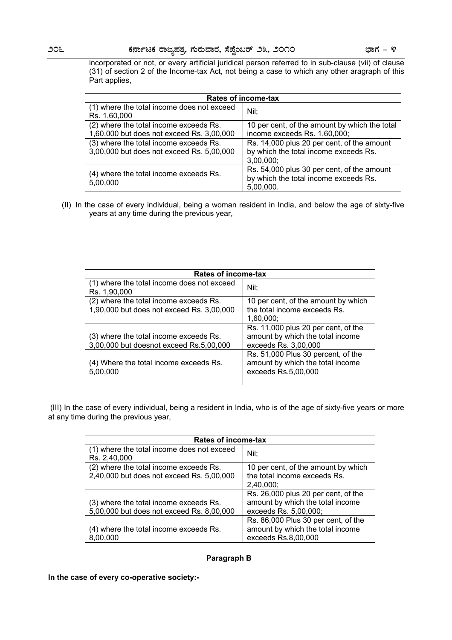incorporated or not, or every artificial juridical person referred to in sub-clause (vii) of clause (31) of section 2 of the Income-tax Act, not being a case to which any other aragraph of this Part applies,

| <b>Rates of income-tax</b>                                 |                                                                                                  |
|------------------------------------------------------------|--------------------------------------------------------------------------------------------------|
| (1) where the total income does not exceed<br>Rs. 1,60,000 | Nil:                                                                                             |
| (2) where the total income exceeds Rs.                     | 10 per cent, of the amount by which the total                                                    |
| 1,60.000 but does not exceed Rs. 3,00,000                  | income exceeds Rs. 1,60,000;                                                                     |
| (3) where the total income exceeds Rs.                     | Rs. 14,000 plus 20 per cent, of the amount                                                       |
| 3,00,000 but does not exceed Rs. 5,00,000                  | by which the total income exceeds Rs.<br>3,00,000;                                               |
| (4) where the total income exceeds Rs.<br>5,00,000         | Rs. 54,000 plus 30 per cent, of the amount<br>by which the total income exceeds Rs.<br>5,00,000. |

(II) In the case of every individual, being a woman resident in India, and below the age of sixty-five years at any time during the previous year,

| Rates of income-tax                                                                 |                                                                                                 |
|-------------------------------------------------------------------------------------|-------------------------------------------------------------------------------------------------|
| (1) where the total income does not exceed<br>Rs. 1,90,000                          | Nil;                                                                                            |
| (2) where the total income exceeds Rs.<br>1,90,000 but does not exceed Rs. 3,00,000 | 10 per cent, of the amount by which<br>the total income exceeds Rs.<br>1,60,000;                |
| (3) where the total income exceeds Rs.<br>3,00,000 but doesnot exceed Rs.5,00,000   | Rs. 11,000 plus 20 per cent, of the<br>amount by which the total income<br>exceeds Rs. 3,00,000 |
| (4) Where the total income exceeds Rs.<br>5,00,000                                  | Rs. 51,000 Plus 30 percent, of the<br>amount by which the total income<br>exceeds Rs.5,00,000   |

 (III) In the case of every individual, being a resident in India, who is of the age of sixty-five years or more at any time during the previous year,

| <b>Rates of income-tax</b>                                                          |                                                                                                  |
|-------------------------------------------------------------------------------------|--------------------------------------------------------------------------------------------------|
| (1) where the total income does not exceed<br>Rs. 2,40,000                          | Nil;                                                                                             |
| (2) where the total income exceeds Rs.<br>2,40,000 but does not exceed Rs. 5,00,000 | 10 per cent, of the amount by which<br>the total income exceeds Rs.<br>2,40,000;                 |
| (3) where the total income exceeds Rs.<br>5,00,000 but does not exceed Rs. 8,00,000 | Rs. 26,000 plus 20 per cent, of the<br>amount by which the total income<br>exceeds Rs. 5,00,000; |
| (4) where the total income exceeds Rs.<br>8,00,000                                  | Rs. 86,000 Plus 30 per cent, of the<br>amount by which the total income<br>exceeds Rs.8,00,000   |

#### **Paragraph B**

**In the case of every co-operative society:-**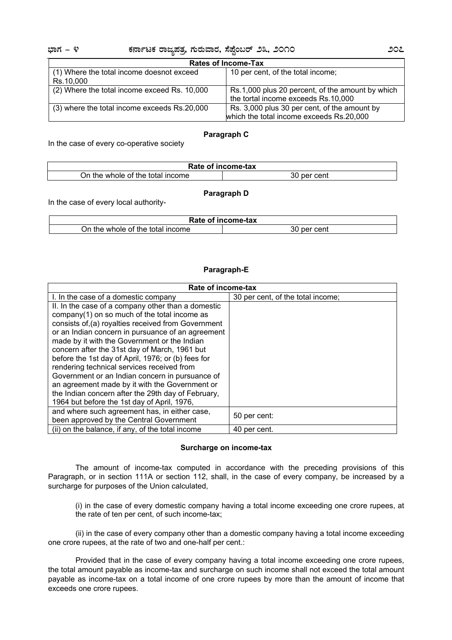#### **¨sÁUÀ - 4 PÀ£ÁðlPÀ gÁdå¥ÀvÀæ, UÀÄgÀĪÁgÀ, ¸É¥ÉÖA§gï 23, 2010 207**

| <b>Rates of Income-Tax</b>                   |                                                  |
|----------------------------------------------|--------------------------------------------------|
| (1) Where the total income doesnot exceed    | 10 per cent, of the total income;                |
| Rs.10,000                                    |                                                  |
| (2) Where the total income exceed Rs. 10,000 | Rs.1,000 plus 20 percent, of the amount by which |
|                                              | the tortal income exceeds Rs.10,000              |
| (3) where the total income exceeds Rs.20,000 | Rs. 3,000 plus 30 per cent, of the amount by     |
|                                              | which the total income exceeds Rs.20,000         |

#### **Paragraph C**

In the case of every co-operative society

| Rate of income-tax                              |                    |
|-------------------------------------------------|--------------------|
| , of the<br>total<br>.)n<br>income<br>the whole | 30<br>∵cent<br>ner |
|                                                 |                    |

#### **Paragraph D**

In the case of every local authority-

| Rate of<br>f income-tax             |                       |
|-------------------------------------|-----------------------|
| income<br>On the whole of the total | cent<br>' ner .<br>3U |

### **Paragraph-E**

| Rate of income-tax                                                                                                                                                                                                                                                                                                                                                                                                                                                     |                                   |
|------------------------------------------------------------------------------------------------------------------------------------------------------------------------------------------------------------------------------------------------------------------------------------------------------------------------------------------------------------------------------------------------------------------------------------------------------------------------|-----------------------------------|
| I. In the case of a domestic company                                                                                                                                                                                                                                                                                                                                                                                                                                   | 30 per cent, of the total income; |
| II. In the case of a company other than a domestic<br>company(1) on so much of the total income as<br>consists of, (a) royalties received from Government<br>or an Indian concern in pursuance of an agreement<br>made by it with the Government or the Indian<br>concern after the 31st day of March, 1961 but<br>before the 1st day of April, 1976; or (b) fees for<br>rendering technical services received from<br>Government or an Indian concern in pursuance of |                                   |
| an agreement made by it with the Government or<br>the Indian concern after the 29th day of February,<br>1964 but before the 1st day of April, 1976,                                                                                                                                                                                                                                                                                                                    |                                   |
| and where such agreement has, in either case,<br>been approved by the Central Government                                                                                                                                                                                                                                                                                                                                                                               | 50 per cent:                      |
| (ii) on the balance, if any, of the total income                                                                                                                                                                                                                                                                                                                                                                                                                       | 40 per cent.                      |

#### **Surcharge on income-tax**

 The amount of income-tax computed in accordance with the preceding provisions of this Paragraph, or in section 111A or section 112, shall, in the case of every company, be increased by a surcharge for purposes of the Union calculated,

 (i) in the case of every domestic company having a total income exceeding one crore rupees, at the rate of ten per cent, of such income-tax;

 (ii) in the case of every company other than a domestic company having a total income exceeding one crore rupees, at the rate of two and one-half per cent.:

 Provided that in the case of every company having a total income exceeding one crore rupees, the total amount payable as income-tax and surcharge on such income shall not exceed the total amount payable as income-tax on a total income of one crore rupees by more than the amount of income that exceeds one crore rupees.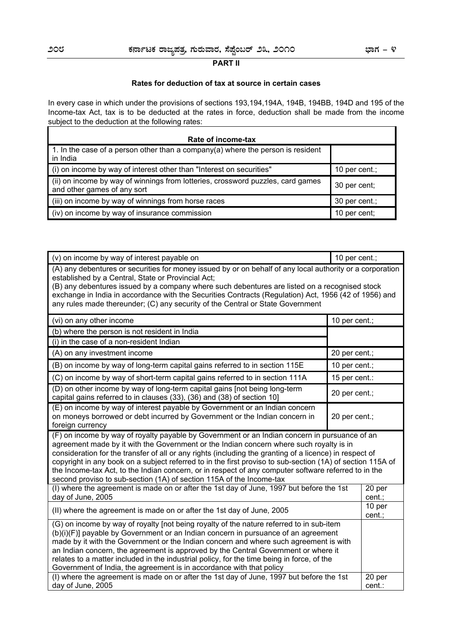#### **PART II**

#### **Rates for deduction of tax at source in certain cases**

In every case in which under the provisions of sections 193,194,194A, 194B, 194BB, 194D and 195 of the Income-tax Act, tax is to be deducted at the rates in force, deduction shall be made from the income subject to the deduction at the following rates: Ŧ.

| Rate of income-tax                                                                                             |               |  |
|----------------------------------------------------------------------------------------------------------------|---------------|--|
| 1. In the case of a person other than a company(a) where the person is resident<br>in India                    |               |  |
| (i) on income by way of interest other than "Interest on securities"                                           | 10 per cent.; |  |
| (ii) on income by way of winnings from lotteries, crossword puzzles, card games<br>and other games of any sort | 30 per cent;  |  |
| (iii) on income by way of winnings from horse races                                                            | 30 per cent.; |  |
| (iv) on income by way of insurance commission                                                                  | 10 per cent;  |  |

(v) on income by way of interest payable on 10 per cent.; 10 per cent.;

| (A) any debentures or securities for money issued by or on behalf of any local authority or a corporation<br>established by a Central, State or Provincial Act;<br>(B) any debentures issued by a company where such debentures are listed on a recognised stock<br>exchange in India in accordance with the Securities Contracts (Regulation) Act, 1956 (42 of 1956) and<br>any rules made thereunder; (C) any security of the Central or State Government                                                                                                                                       |               |                  |
|---------------------------------------------------------------------------------------------------------------------------------------------------------------------------------------------------------------------------------------------------------------------------------------------------------------------------------------------------------------------------------------------------------------------------------------------------------------------------------------------------------------------------------------------------------------------------------------------------|---------------|------------------|
| (vi) on any other income                                                                                                                                                                                                                                                                                                                                                                                                                                                                                                                                                                          | 10 per cent.; |                  |
| (b) where the person is not resident in India                                                                                                                                                                                                                                                                                                                                                                                                                                                                                                                                                     |               |                  |
| (i) in the case of a non-resident Indian                                                                                                                                                                                                                                                                                                                                                                                                                                                                                                                                                          |               |                  |
| (A) on any investment income                                                                                                                                                                                                                                                                                                                                                                                                                                                                                                                                                                      | 20 per cent.; |                  |
| (B) on income by way of long-term capital gains referred to in section 115E                                                                                                                                                                                                                                                                                                                                                                                                                                                                                                                       | 10 per cent.; |                  |
| (C) on income by way of short-term capital gains referred to in section 111A                                                                                                                                                                                                                                                                                                                                                                                                                                                                                                                      | 15 per cent.: |                  |
| (D) on other income by way of long-term capital gains [not being long-term<br>capital gains referred to in clauses (33), (36) and (38) of section 10]                                                                                                                                                                                                                                                                                                                                                                                                                                             | 20 per cent.; |                  |
| (E) on income by way of interest payable by Government or an Indian concern<br>on moneys borrowed or debt incurred by Government or the Indian concern in<br>20 per cent.;<br>foreign currency                                                                                                                                                                                                                                                                                                                                                                                                    |               |                  |
| (F) on income by way of royalty payable by Government or an Indian concern in pursuance of an<br>agreement made by it with the Government or the Indian concern where such royalty is in<br>consideration for the transfer of all or any rights (including the granting of a licence) in respect of<br>copyright in any book on a subject referred to in the first proviso to sub-section (1A) of section 115A of<br>the Income-tax Act, to the Indian concern, or in respect of any computer software referred to in the<br>second proviso to sub-section (1A) of section 115A of the Income-tax |               |                  |
| (I) where the agreement is made on or after the 1st day of June, 1997 but before the 1st<br>day of June, 2005                                                                                                                                                                                                                                                                                                                                                                                                                                                                                     |               | 20 per<br>cent.; |
| (II) where the agreement is made on or after the 1st day of June, 2005                                                                                                                                                                                                                                                                                                                                                                                                                                                                                                                            |               | 10 per<br>cent.; |
| (G) on income by way of royalty [not being royalty of the nature referred to in sub-item<br>(b)(i)(F)] payable by Government or an Indian concern in pursuance of an agreement<br>made by it with the Government or the Indian concern and where such agreement is with<br>an Indian concern, the agreement is approved by the Central Government or where it<br>relates to a matter included in the industrial policy, for the time being in force, of the<br>Government of India, the agreement is in accordance with that policy                                                               |               |                  |
| (I) where the agreement is made on or after the 1st day of June, 1997 but before the 1st<br>day of June, 2005                                                                                                                                                                                                                                                                                                                                                                                                                                                                                     |               | 20 per<br>cent.: |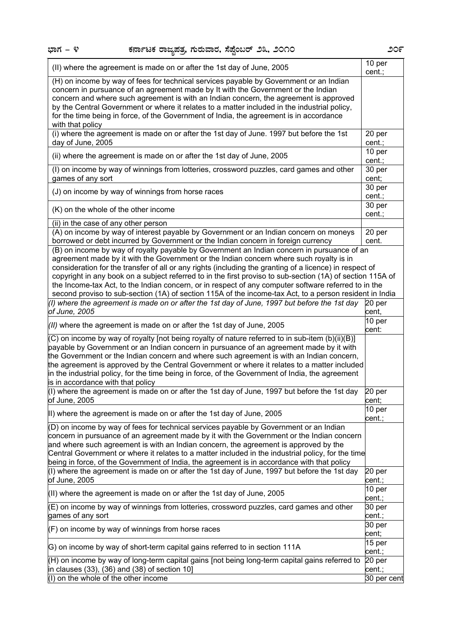÷

| (II) where the agreement is made on or after the 1st day of June, 2005                                                                                                                                                                                                                                                                                                                                                                                                                                                                                                                                                                            | 10 per<br>cent.;            |
|---------------------------------------------------------------------------------------------------------------------------------------------------------------------------------------------------------------------------------------------------------------------------------------------------------------------------------------------------------------------------------------------------------------------------------------------------------------------------------------------------------------------------------------------------------------------------------------------------------------------------------------------------|-----------------------------|
| (H) on income by way of fees for technical services payable by Government or an Indian<br>concern in pursuance of an agreement made by It with the Government or the Indian<br>concern and where such agreement is with an Indian concern, the agreement is approved<br>by the Central Government or where it relates to a matter included in the industrial policy,<br>for the time being in force, of the Government of India, the agreement is in accordance<br>with that policy                                                                                                                                                               |                             |
| (i) where the agreement is made on or after the 1st day of June. 1997 but before the 1st<br>day of June, 2005                                                                                                                                                                                                                                                                                                                                                                                                                                                                                                                                     | 20 per<br>cent.;            |
| (ii) where the agreement is made on or after the 1st day of June, 2005                                                                                                                                                                                                                                                                                                                                                                                                                                                                                                                                                                            | 10 per<br>cent.;            |
| (I) on income by way of winnings from lotteries, crossword puzzles, card games and other<br>games of any sort                                                                                                                                                                                                                                                                                                                                                                                                                                                                                                                                     | 30 per<br>cent;             |
| (J) on income by way of winnings from horse races                                                                                                                                                                                                                                                                                                                                                                                                                                                                                                                                                                                                 | 30 <sub>per</sub><br>cent.; |
| (K) on the whole of the other income                                                                                                                                                                                                                                                                                                                                                                                                                                                                                                                                                                                                              | 30 per<br>cent.;            |
| (ii) in the case of any other person                                                                                                                                                                                                                                                                                                                                                                                                                                                                                                                                                                                                              |                             |
| (A) on income by way of interest payable by Government or an Indian concern on moneys                                                                                                                                                                                                                                                                                                                                                                                                                                                                                                                                                             | 20 per                      |
| borrowed or debt incurred by Government or the Indian concern in foreign currency                                                                                                                                                                                                                                                                                                                                                                                                                                                                                                                                                                 | cent.                       |
| (B) on income by way of royalty payable by Government an Indian concern in pursuance of an<br>agreement made by it with the Government or the Indian concern where such royalty is in<br>consideration for the transfer of all or any rights (including the granting of a licence) in respect of<br>copyright in any book on a subject referred to in the first proviso to sub-section (1A) of section 115A of<br>the Income-tax Act, to the Indian concern, or in respect of any computer software referred to in the                                                                                                                            |                             |
| second proviso to sub-section (1A) of section 115A of the income-tax Act, to a person resident in India                                                                                                                                                                                                                                                                                                                                                                                                                                                                                                                                           |                             |
| (I) where the agreement is made on or after the 1st day of June, 1997 but before the 1st day<br>of June, 2005                                                                                                                                                                                                                                                                                                                                                                                                                                                                                                                                     | 20 per<br>cent,             |
|                                                                                                                                                                                                                                                                                                                                                                                                                                                                                                                                                                                                                                                   | 10 per                      |
| $(11)$ where the agreement is made on or after the 1st day of June, 2005                                                                                                                                                                                                                                                                                                                                                                                                                                                                                                                                                                          | cent:                       |
| (C) on income by way of royalty [not being royalty of nature referred to in sub-item (b)(ii)(B)]<br>payable by Government or an Indian concern in pursuance of an agreement made by it with<br>the Government or the Indian concern and where such agreement is with an Indian concern,<br>the agreement is approved by the Central Government or where it relates to a matter included<br>in the industrial policy, for the time being in force, of the Government of India, the agreement<br>is in accordance with that policy<br>(I) where the agreement is made on or after the 1st day of June, 1997 but before the 1st day<br>of June, 2005 | 20 per<br>cent;             |
| II) where the agreement is made on or after the 1st day of June, 2005                                                                                                                                                                                                                                                                                                                                                                                                                                                                                                                                                                             | 10 per                      |
| (D) on income by way of fees for technical services payable by Government or an Indian<br>concern in pursuance of an agreement made by it with the Government or the Indian concern<br>and where such agreement is with an Indian concern, the agreement is approved by the<br>Central Government or where it relates to a matter included in the industrial policy, for the time<br>being in force, of the Government of India, the agreement is in accordance with that policy<br>(I) where the agreement is made on or after the 1st day of June, 1997 but before the 1st day                                                                  | cent.;<br>20 per            |
| of June, 2005                                                                                                                                                                                                                                                                                                                                                                                                                                                                                                                                                                                                                                     | cent.;                      |
| (II) where the agreement is made on or after the 1st day of June, 2005                                                                                                                                                                                                                                                                                                                                                                                                                                                                                                                                                                            | 10 per<br>cent.;            |
| (E) on income by way of winnings from lotteries, crossword puzzles, card games and other<br>games of any sort                                                                                                                                                                                                                                                                                                                                                                                                                                                                                                                                     | 30 per<br>cent.;            |
| (F) on income by way of winnings from horse races                                                                                                                                                                                                                                                                                                                                                                                                                                                                                                                                                                                                 | 30 per<br>cent;             |
| G) on income by way of short-term capital gains referred to in section 111A                                                                                                                                                                                                                                                                                                                                                                                                                                                                                                                                                                       | 15 per<br>cent.;            |
| (H) on income by way of long-term capital gains [not being long-term capital gains referred to<br>in clauses (33), (36) and (38) of section 10]                                                                                                                                                                                                                                                                                                                                                                                                                                                                                                   | 20 per<br>cent.;            |
| (I) on the whole of the other income                                                                                                                                                                                                                                                                                                                                                                                                                                                                                                                                                                                                              | 30 per cent                 |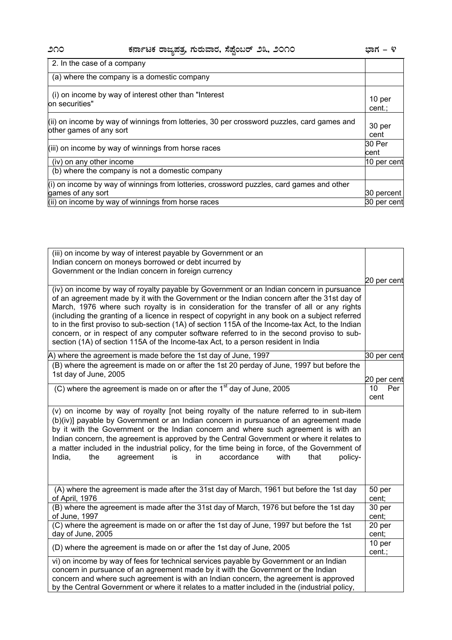| 2. In the case of a company                                                                                           |                  |
|-----------------------------------------------------------------------------------------------------------------------|------------------|
| (a) where the company is a domestic company                                                                           |                  |
| (i) on income by way of interest other than "Interest"<br>on securities"                                              | 10 per<br>cent.: |
| (ii) on income by way of winnings from lotteries, 30 per crossword puzzles, card games and<br>other games of any sort | 30 per<br>cent   |
| (iii) on income by way of winnings from horse races                                                                   | 30 Per<br>cent   |
| (iv) on any other income                                                                                              | 10 per cent      |
| (b) where the company is not a domestic company                                                                       |                  |
| $(i)$ on income by way of winnings from lotteries, crossword puzzles, card games and other                            |                  |
| games of any sort                                                                                                     | 30 percent       |
| (ii) on income by way of winnings from horse races                                                                    | 30 per cent      |

| (iii) on income by way of interest payable by Government or an                                                                                                                                                                                                                                                                                                                                                                                                                                                                                                                                                                                                             |                  |
|----------------------------------------------------------------------------------------------------------------------------------------------------------------------------------------------------------------------------------------------------------------------------------------------------------------------------------------------------------------------------------------------------------------------------------------------------------------------------------------------------------------------------------------------------------------------------------------------------------------------------------------------------------------------------|------------------|
| Indian concern on moneys borrowed or debt incurred by                                                                                                                                                                                                                                                                                                                                                                                                                                                                                                                                                                                                                      |                  |
| Government or the Indian concern in foreign currency                                                                                                                                                                                                                                                                                                                                                                                                                                                                                                                                                                                                                       |                  |
|                                                                                                                                                                                                                                                                                                                                                                                                                                                                                                                                                                                                                                                                            | 20 per cent      |
| (iv) on income by way of royalty payable by Government or an Indian concern in pursuance<br>of an agreement made by it with the Government or the Indian concern after the 31st day of<br>March, 1976 where such royalty is in consideration for the transfer of all or any rights<br>(including the granting of a licence in respect of copyright in any book on a subject referred<br>to in the first proviso to sub-section (1A) of section 115A of the Income-tax Act, to the Indian<br>concern, or in respect of any computer software referred to in the second proviso to sub-<br>section (1A) of section 115A of the Income-tax Act, to a person resident in India |                  |
| A) where the agreement is made before the 1st day of June, 1997                                                                                                                                                                                                                                                                                                                                                                                                                                                                                                                                                                                                            | 30 per cent      |
| (B) where the agreement is made on or after the 1st 20 perday of June, 1997 but before the<br>1st day of June, 2005                                                                                                                                                                                                                                                                                                                                                                                                                                                                                                                                                        | 20 per cent      |
| (C) where the agreement is made on or after the $1st$ day of June, 2005                                                                                                                                                                                                                                                                                                                                                                                                                                                                                                                                                                                                    | 10<br>Per        |
|                                                                                                                                                                                                                                                                                                                                                                                                                                                                                                                                                                                                                                                                            | cent             |
| (v) on income by way of royalty [not being royalty of the nature referred to in sub-item<br>(b)(iv)] payable by Government or an Indian concern in pursuance of an agreement made<br>by it with the Government or the Indian concern and where such agreement is with an<br>Indian concern, the agreement is approved by the Central Government or where it relates to<br>a matter included in the industrial policy, for the time being in force, of the Government of<br>India,<br>accordance<br>with<br>the<br>agreement<br>is<br>in<br>that<br>policy-                                                                                                                 |                  |
| (A) where the agreement is made after the 31st day of March, 1961 but before the 1st day<br>of April, 1976                                                                                                                                                                                                                                                                                                                                                                                                                                                                                                                                                                 | 50 per<br>cent;  |
| (B) where the agreement is made after the 31st day of March, 1976 but before the 1st day<br>of June, 1997                                                                                                                                                                                                                                                                                                                                                                                                                                                                                                                                                                  | 30 per<br>cent;  |
| (C) where the agreement is made on or after the 1st day of June, 1997 but before the 1st<br>day of June, 2005                                                                                                                                                                                                                                                                                                                                                                                                                                                                                                                                                              | 20 per<br>cent;  |
| (D) where the agreement is made on or after the 1st day of June, 2005                                                                                                                                                                                                                                                                                                                                                                                                                                                                                                                                                                                                      | 10 per<br>cent.; |
| vi) on income by way of fees for technical services payable by Government or an Indian<br>concern in pursuance of an agreement made by it with the Government or the Indian<br>concern and where such agreement is with an Indian concern, the agreement is approved<br>by the Central Government or where it relates to a matter included in the (industrial policy,                                                                                                                                                                                                                                                                                                      |                  |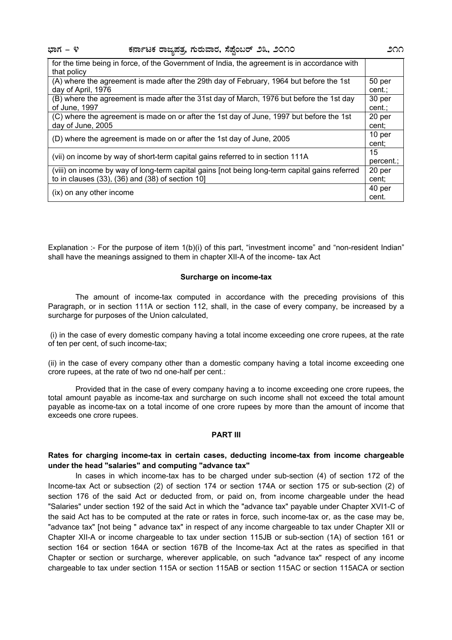**¨sÁUÀ - 4 PÀ£ÁðlPÀ gÁdå¥ÀvÀæ, UÀÄgÀĪÁgÀ, ¸É¥ÉÖA§gï 23, 2010 211**

| for the time being in force, of the Government of India, the agreement is in accordance with |        |
|----------------------------------------------------------------------------------------------|--------|
| that policy                                                                                  |        |
| (A) where the agreement is made after the 29th day of February, 1964 but before the 1st      | 50 per |
| day of April, 1976                                                                           | cent.; |
| (B) where the agreement is made after the 31st day of March, 1976 but before the 1st day     | 30 per |
| of June, 1997                                                                                | cent.; |
| (C) where the agreement is made on or after the 1st day of June, 1997 but before the 1st     | 20 per |
| day of June, 2005                                                                            | cent:  |
| (D) where the agreement is made on or after the 1st day of June, 2005                        |        |
|                                                                                              | cent:  |
| (vii) on income by way of short-term capital gains referred to in section 111A               |        |
|                                                                                              |        |
| to in clauses $(33)$ , $(36)$ and $(38)$ of section 10]                                      | cent:  |
|                                                                                              |        |
| (ix) on any other income                                                                     | cent.  |

Explanation :- For the purpose of item 1(b)(i) of this part, "investment income" and "non-resident Indian" shall have the meanings assigned to them in chapter XII-A of the income- tax Act

#### **Surcharge on income-tax**

 The amount of income-tax computed in accordance with the preceding provisions of this Paragraph, or in section 111A or section 112, shall, in the case of every company, be increased by a surcharge for purposes of the Union calculated.

 (i) in the case of every domestic company having a total income exceeding one crore rupees, at the rate of ten per cent, of such income-tax;

(ii) in the case of every company other than a domestic company having a total income exceeding one crore rupees, at the rate of two nd one-half per cent.:

 Provided that in the case of every company having a to income exceeding one crore rupees, the total amount payable as income-tax and surcharge on such income shall not exceed the total amount payable as income-tax on a total income of one crore rupees by more than the amount of income that exceeds one crore rupees.

#### **PART III**

#### **Rates for charging income-tax in certain cases, deducting income-tax from income chargeable under the head "salaries" and computing "advance tax"**

In cases in which income-tax has to be charged under sub-section (4) of section 172 of the Income-tax Act or subsection (2) of section 174 or section 174A or section 175 or sub-section (2) of section 176 of the said Act or deducted from, or paid on, from income chargeable under the head "Salaries" under section 192 of the said Act in which the "advance tax" payable under Chapter XVI1-C of the said Act has to be computed at the rate or rates in force, such income-tax or, as the case may be, "advance tax" [not being " advance tax" in respect of any income chargeable to tax under Chapter XII or Chapter XII-A or income chargeable to tax under section 115JB or sub-section (1A) of section 161 or section 164 or section 164A or section 167B of the Income-tax Act at the rates as specified in that Chapter or section or surcharge, wherever applicable, on such "advance tax" respect of any income chargeable to tax under section 115A or section 115AB or section 115AC or section 115ACA or section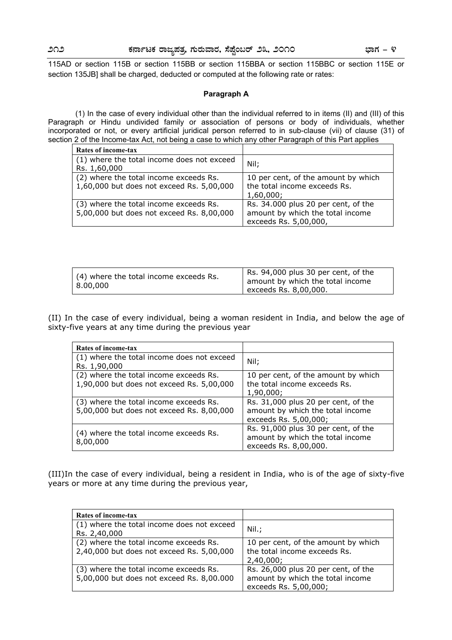115AD or section 115B or section 115BB or section 115BBA or section 115BBC or section 115E or section 135JB] shall be charged, deducted or computed at the following rate or rates:

#### **Paragraph A**

 (1) In the case of every individual other than the individual referred to in items (II) and (III) of this Paragraph or Hindu undivided family or association of persons or body of individuals, whether incorporated or not, or every artificial juridical person referred to in sub-clause (vii) of clause (31) of section 2 of the Income-tax Act, not being a case to which any other Paragraph of this Part applies

| Rates of income-tax                        |                                     |
|--------------------------------------------|-------------------------------------|
| (1) where the total income does not exceed | Nil:                                |
| Rs. 1,60,000                               |                                     |
| (2) where the total income exceeds Rs.     | 10 per cent, of the amount by which |
| 1,60,000 but does not exceed Rs. 5,00,000  | the total income exceeds Rs.        |
|                                            | 1,60,000;                           |
| (3) where the total income exceeds Rs.     | Rs. 34.000 plus 20 per cent, of the |
| 5,00,000 but does not exceed Rs. 8,00,000  | amount by which the total income    |
|                                            | exceeds Rs. 5,00,000,               |

| (4) where the total income exceeds Rs.<br>8.00.000 | Rs. 94,000 plus 30 per cent, of the |  |
|----------------------------------------------------|-------------------------------------|--|
|                                                    | amount by which the total income    |  |
|                                                    | exceeds Rs. $8,00,000$ .            |  |

(II) In the case of every individual, being a woman resident in India, and below the age of sixty-five years at any time during the previous year

| Rates of income-tax                                                                 |                                                                                                  |
|-------------------------------------------------------------------------------------|--------------------------------------------------------------------------------------------------|
| (1) where the total income does not exceed<br>Rs. 1,90,000                          | Nil:                                                                                             |
| (2) where the total income exceeds Rs.<br>1,90,000 but does not exceed Rs. 5,00,000 | 10 per cent, of the amount by which<br>the total income exceeds Rs.<br>1,90,000;                 |
| (3) where the total income exceeds Rs.<br>5,00,000 but does not exceed Rs. 8,00,000 | Rs. 31,000 plus 20 per cent, of the<br>amount by which the total income<br>exceeds Rs. 5,00,000; |
| (4) where the total income exceeds Rs.<br>8,00,000                                  | Rs. 91,000 plus 30 per cent, of the<br>amount by which the total income<br>exceeds Rs. 8,00,000. |

(III)In the case of every individual, being a resident in India, who is of the age of sixty-five years or more at any time during the previous year,

| Rates of income-tax                                                                 |                                                                                                  |
|-------------------------------------------------------------------------------------|--------------------------------------------------------------------------------------------------|
| (1) where the total income does not exceed<br>Rs. 2,40,000                          | Nil.;                                                                                            |
| (2) where the total income exceeds Rs.<br>2,40,000 but does not exceed Rs. 5,00,000 | 10 per cent, of the amount by which<br>the total income exceeds Rs.<br>2,40,000;                 |
| (3) where the total income exceeds Rs.<br>5,00,000 but does not exceed Rs. 8,00.000 | Rs. 26,000 plus 20 per cent, of the<br>amount by which the total income<br>exceeds Rs. 5,00,000; |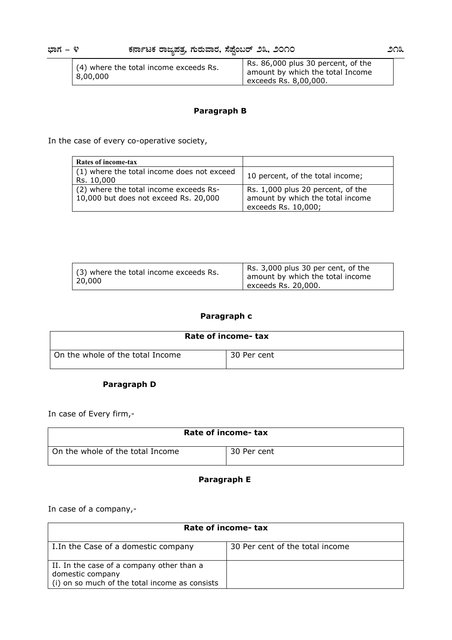| (4) where the total income exceeds Rs.<br>8,00,000 | Rs. 86,000 plus 30 percent, of the |
|----------------------------------------------------|------------------------------------|
|                                                    | amount by which the total Income   |
|                                                    | exceeds Rs. $8,00,000$ .           |

#### **Paragraph B**

In the case of every co-operative society,

| Rates of income-tax                                                             |                                                                                              |
|---------------------------------------------------------------------------------|----------------------------------------------------------------------------------------------|
| (1) where the total income does not exceed<br>Rs. 10,000                        | 10 percent, of the total income;                                                             |
| (2) where the total income exceeds Rs-<br>10,000 but does not exceed Rs. 20,000 | Rs. 1,000 plus 20 percent, of the<br>amount by which the total income<br>exceeds Rs. 10,000; |

| (3) where the total income exceeds Rs.<br>20,000 | Rs. 3,000 plus 30 per cent, of the<br>amount by which the total income<br>exceeds Rs. 20,000. |
|--------------------------------------------------|-----------------------------------------------------------------------------------------------|
|                                                  |                                                                                               |

### **Paragraph c**

| Rate of income- tax              |             |
|----------------------------------|-------------|
| On the whole of the total Income | 30 Per cent |

### **Paragraph D**

In case of Every firm,-

| Rate of income- tax              |             |
|----------------------------------|-------------|
| On the whole of the total Income | 30 Per cent |

### **Paragraph E**

In case of a company,-

| Rate of income- tax                                                                                             |                                 |
|-----------------------------------------------------------------------------------------------------------------|---------------------------------|
| I. In the Case of a domestic company                                                                            | 30 Per cent of the total income |
| II. In the case of a company other than a<br>domestic company<br>(i) on so much of the total income as consists |                                 |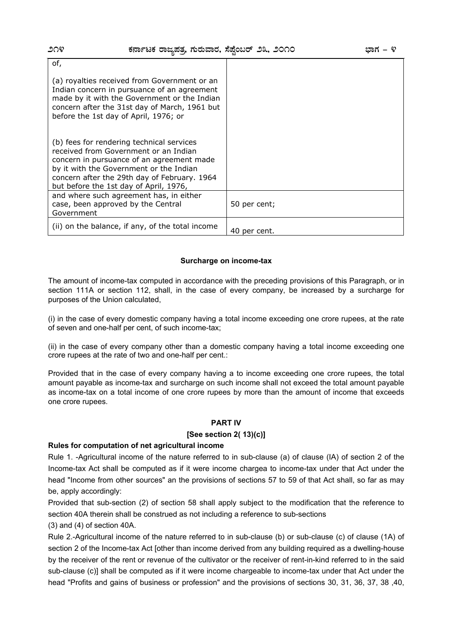| of,                                                                                                                                                                                                                                                                  |              |
|----------------------------------------------------------------------------------------------------------------------------------------------------------------------------------------------------------------------------------------------------------------------|--------------|
| (a) royalties received from Government or an<br>Indian concern in pursuance of an agreement<br>made by it with the Government or the Indian<br>concern after the 31st day of March, 1961 but<br>before the 1st day of April, 1976; or                                |              |
| (b) fees for rendering technical services<br>received from Government or an Indian<br>concern in pursuance of an agreement made<br>by it with the Government or the Indian<br>concern after the 29th day of February. 1964<br>but before the 1st day of April, 1976, |              |
| and where such agreement has, in either<br>case, been approved by the Central<br>Government                                                                                                                                                                          | 50 per cent; |
| (ii) on the balance, if any, of the total income                                                                                                                                                                                                                     | 40 per cent. |

#### **Surcharge on income-tax**

The amount of income-tax computed in accordance with the preceding provisions of this Paragraph, or in section 111A or section 112, shall, in the case of every company, be increased by a surcharge for purposes of the Union calculated,

(i) in the case of every domestic company having a total income exceeding one crore rupees, at the rate of seven and one-half per cent, of such income-tax;

(ii) in the case of every company other than a domestic company having a total income exceeding one crore rupees at the rate of two and one-half per cent.:

Provided that in the case of every company having a to income exceeding one crore rupees, the total amount payable as income-tax and surcharge on such income shall not exceed the total amount payable as income-tax on a total income of one crore rupees by more than the amount of income that exceeds one crore rupees.

#### **PART IV**

#### **[See section 2( 13)(c)]**

#### **Rules for computation of net agricultural income**

Rule 1. -Agricultural income of the nature referred to in sub-clause (a) of clause (IA) of section 2 of the Income-tax Act shall be computed as if it were income chargea to income-tax under that Act under the head "Income from other sources" an the provisions of sections 57 to 59 of that Act shall, so far as may be, apply accordingly:

Provided that sub-section (2) of section 58 shall apply subject to the modification that the reference to section 40A therein shall be construed as not including a reference to sub-sections

(3) and (4) of section 40A.

Rule 2.-Agricultural income of the nature referred to in sub-clause (b) or sub-clause (c) of clause (1A) of section 2 of the Income-tax Act [other than income derived from any building required as a dwelling-house by the receiver of the rent or revenue of the cultivator or the receiver of rent-in-kind referred to in the said sub-clause (c)] shall be computed as if it were income chargeable to income-tax under that Act under the head "Profits and gains of business or profession" and the provisions of sections 30, 31, 36, 37, 38 ,40,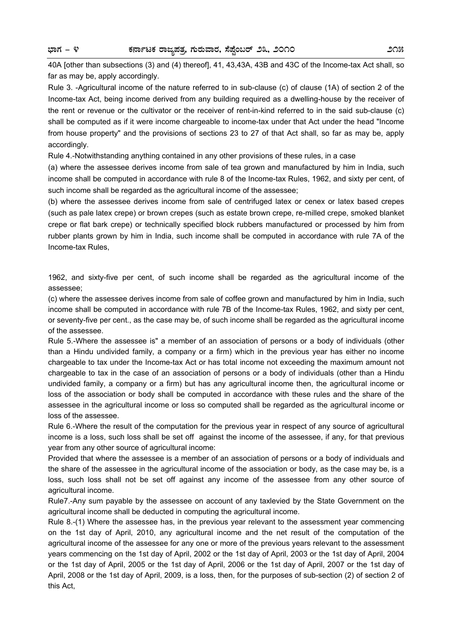40A [other than subsections (3) and (4) thereof], 41, 43,43A, 43B and 43C of the Income-tax Act shall, so far as may be, apply accordingly.

Rule 3. -Agricultural income of the nature referred to in sub-clause (c) of clause (1A) of section 2 of the Income-tax Act, being income derived from any building required as a dwelling-house by the receiver of the rent or revenue or the cultivator or the receiver of rent-in-kind referred to in the said sub-clause (c) shall be computed as if it were income chargeable to income-tax under that Act under the head "Income from house property" and the provisions of sections 23 to 27 of that Act shall, so far as may be, apply accordingly.

Rule 4.-Notwithstanding anything contained in any other provisions of these rules, in a case

(a) where the assessee derives income from sale of tea grown and manufactured by him in India, such income shall be computed in accordance with rule 8 of the Income-tax Rules, 1962, and sixty per cent, of such income shall be regarded as the agricultural income of the assessee;

(b) where the assessee derives income from sale of centrifuged latex or cenex or latex based crepes (such as pale latex crepe) or brown crepes (such as estate brown crepe, re-milled crepe, smoked blanket crepe or flat bark crepe) or technically specified block rubbers manufactured or processed by him from rubber plants grown by him in India, such income shall be computed in accordance with rule 7A of the Income-tax Rules,

1962, and sixty-five per cent, of such income shall be regarded as the agricultural income of the assessee;

(c) where the assessee derives income from sale of coffee grown and manufactured by him in India, such income shall be computed in accordance with rule 7B of the Income-tax Rules, 1962, and sixty per cent, or seventy-five per cent., as the case may be, of such income shall be regarded as the agricultural income of the assessee.

Rule 5.-Where the assessee is" a member of an association of persons or a body of individuals (other than a Hindu undivided family, a company or a firm) which in the previous year has either no income chargeable to tax under the Income-tax Act or has total income not exceeding the maximum amount not chargeable to tax in the case of an association of persons or a body of individuals (other than a Hindu undivided family, a company or a firm) but has any agricultural income then, the agricultural income or loss of the association or body shall be computed in accordance with these rules and the share of the assessee in the agricultural income or loss so computed shall be regarded as the agricultural income or loss of the assessee.

Rule 6.-Where the result of the computation for the previous year in respect of any source of agricultural income is a loss, such loss shall be set off against the income of the assessee, if any, for that previous year from any other source of agricultural income:

Provided that where the assessee is a member of an association of persons or a body of individuals and the share of the assessee in the agricultural income of the association or body, as the case may be, is a loss, such loss shall not be set off against any income of the assessee from any other source of agricultural income.

Rule7.-Any sum payable by the assessee on account of any taxlevied by the State Government on the agricultural income shall be deducted in computing the agricultural income.

Rule 8.-(1) Where the assessee has, in the previous year relevant to the assessment year commencing on the 1st day of April, 2010, any agricultural income and the net result of the computation of the agricultural income of the assessee for any one or more of the previous years relevant to the assessment years commencing on the 1st day of April, 2002 or the 1st day of April, 2003 or the 1st day of April, 2004 or the 1st day of April, 2005 or the 1st day of April, 2006 or the 1st day of April, 2007 or the 1st day of April, 2008 or the 1st day of April, 2009, is a loss, then, for the purposes of sub-section (2) of section 2 of this Act,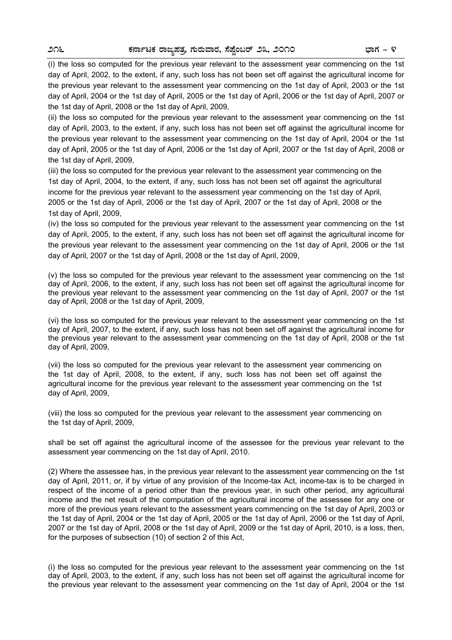(i) the loss so computed for the previous year relevant to the assessment year commencing on the 1st day of April, 2002, to the extent, if any, such loss has not been set off against the agricultural income for the previous year relevant to the assessment year commencing on the 1st day of April, 2003 or the 1st day of April, 2004 or the 1st day of April, 2005 or the 1st day of April, 2006 or the 1st day of April, 2007 or the 1st day of April, 2008 or the 1st day of April, 2009,

(ii) the loss so computed for the previous year relevant to the assessment year commencing on the 1st day of April, 2003, to the extent, if any, such loss has not been set off against the agricultural income for the previous year relevant to the assessment year commencing on the 1st day of April, 2004 or the 1st day of April, 2005 or the 1st day of April, 2006 or the 1st day of April, 2007 or the 1st day of April, 2008 or the 1st day of April, 2009,

(iii) the loss so computed for the previous year relevant to the assessment year commencing on the 1st day of April, 2004, to the extent, if any, such loss has not been set off against the agricultural income for the previous year relevant to the assessment year commencing on the 1st day of April, 2005 or the 1st day of April, 2006 or the 1st day of April, 2007 or the 1st day of April, 2008 or the 1st day of April, 2009,

(iv) the loss so computed for the previous year relevant to the assessment year commencing on the 1st day of April, 2005, to the extent, if any, such loss has not been set off against the agricultural income for the previous year relevant to the assessment year commencing on the 1st day of April, 2006 or the 1st day of April, 2007 or the 1st day of April, 2008 or the 1st day of April, 2009,

(v) the loss so computed for the previous year relevant to the assessment year commencing on the 1st day of April, 2006, to the extent, if any, such loss has not been set off against the agricultural income for the previous year relevant to the assessment year commencing on the 1st day of April, 2007 or the 1st day of April, 2008 or the 1st day of April, 2009,

(vi) the loss so computed for the previous year relevant to the assessment year commencing on the 1st day of April, 2007, to the extent, if any, such loss has not been set off against the agricultural income for the previous year relevant to the assessment year commencing on the 1st day of April, 2008 or the 1st day of April, 2009,

(vii) the loss so computed for the previous year relevant to the assessment year commencing on the 1st day of April, 2008, to the extent, if any, such loss has not been set off against the agricultural income for the previous year relevant to the assessment year commencing on the 1st day of April, 2009,

(viii) the loss so computed for the previous year relevant to the assessment year commencing on the 1st day of April, 2009,

shall be set off against the agricultural income of the assessee for the previous year relevant to the assessment year commencing on the 1st day of April, 2010.

(2) Where the assessee has, in the previous year relevant to the assessment year commencing on the 1st day of April, 2011, or, if by virtue of any provision of the Income-tax Act, income-tax is to be charged in respect of the income of a period other than the previous year, in such other period, any agricultural income and the net result of the computation of the agricultural income of the assessee for any one or more of the previous years relevant to the assessment years commencing on the 1st day of April, 2003 or the 1st day of April, 2004 or the 1st day of April, 2005 or the 1st day of April, 2006 or the 1st day of April, 2007 or the 1st day of April, 2008 or the 1st day of April, 2009 or the 1st day of April, 2010, is a loss, then, for the purposes of subsection (10) of section 2 of this Act,

(i) the loss so computed for the previous year relevant to the assessment year commencing on the 1st day of April, 2003, to the extent, if any, such loss has not been set off against the agricultural income for the previous year relevant to the assessment year commencing on the 1st day of April, 2004 or the 1st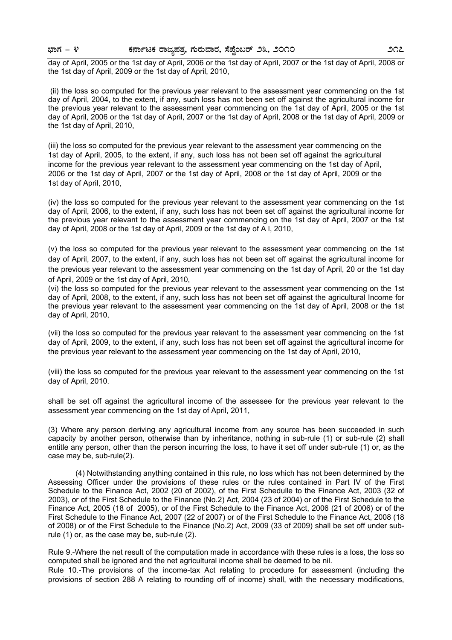# **¨sÁUÀ - 4 PÀ£ÁðlPÀ gÁdå¥ÀvÀæ, UÀÄgÀĪÁgÀ, ¸É¥ÉÖA§gï 23, 2010 217**

day of April, 2005 or the 1st day of April, 2006 or the 1st day of April, 2007 or the 1st day of April, 2008 or the 1st day of April, 2009 or the 1st day of April, 2010,

 (ii) the loss so computed for the previous year relevant to the assessment year commencing on the 1st day of April, 2004, to the extent, if any, such loss has not been set off against the agricultural income for the previous year relevant to the assessment year commencing on the 1st day of April, 2005 or the 1st day of April, 2006 or the 1st day of April, 2007 or the 1st day of April, 2008 or the 1st day of April, 2009 or the 1st day of April, 2010,

(iii) the loss so computed for the previous year relevant to the assessment year commencing on the 1st day of April, 2005, to the extent, if any, such loss has not been set off against the agricultural income for the previous year relevant to the assessment year commencing on the 1st day of April, 2006 or the 1st day of April, 2007 or the 1st day of April, 2008 or the 1st day of April, 2009 or the 1st day of April, 2010,

(iv) the loss so computed for the previous year relevant to the assessment year commencing on the 1st day of April, 2006, to the extent, if any, such loss has not been set off against the agricultural income for the previous year relevant to the assessment year commencing on the 1st day of April, 2007 or the 1st day of April, 2008 or the 1st day of April, 2009 or the 1st day of A l, 2010,

(v) the loss so computed for the previous year relevant to the assessment year commencing on the 1st day of April, 2007, to the extent, if any, such loss has not been set off against the agricultural income for the previous year relevant to the assessment year commencing on the 1st day of April, 20 or the 1st day of April, 2009 or the 1st day of April, 2010,

(vi) the loss so computed for the previous year relevant to the assessment year commencing on the 1st day of April, 2008, to the extent, if any, such loss has not been set off against the agricultural Income for the previous year relevant to the assessment year commencing on the 1st day of April, 2008 or the 1st day of April, 2010,

(vii) the loss so computed for the previous year relevant to the assessment year commencing on the 1st day of April, 2009, to the extent, if any, such loss has not been set off against the agricultural income for the previous year relevant to the assessment year commencing on the 1st day of April, 2010,

(viii) the loss so computed for the previous year relevant to the assessment year commencing on the 1st day of April, 2010.

shall be set off against the agricultural income of the assessee for the previous year relevant to the assessment year commencing on the 1st day of April, 2011,

(3) Where any person deriving any agricultural income from any source has been succeeded in such capacity by another person, otherwise than by inheritance, nothing in sub-rule (1) or sub-rule (2) shall entitle any person, other than the person incurring the loss, to have it set off under sub-rule (1) or, as the case may be, sub-rule(2).

 (4) Notwithstanding anything contained in this rule, no loss which has not been determined by the Assessing Officer under the provisions of these rules or the rules contained in Part IV of the First Schedule to the Finance Act, 2002 (20 of 2002), of the First Schedulle to the Finance Act, 2003 (32 of 2003), or of the First Schedule to the Finance (No.2) Act, 2004 (23 of 2004) or of the First Schedule to the Finance Act, 2005 (18 of 2005), or of the First Schedule to the Finance Act, 2006 (21 of 2006) or of the First Schedule to the Finance Act, 2007 (22 of 2007) or of the First Schedule to the Finance Act, 2008 (18 of 2008) or of the First Schedule to the Finance (No.2) Act, 2009 (33 of 2009) shall be set off under subrule (1) or, as the case may be, sub-rule (2).

Rule 9.-Where the net result of the computation made in accordance with these rules is a loss, the loss so computed shall be ignored and the net agricultural income shall be deemed to be nil.

Rule 10.-The provisions of the income-tax Act relating to procedure for assessment (including the provisions of section 288 A relating to rounding off of income) shall, with the necessary modifications,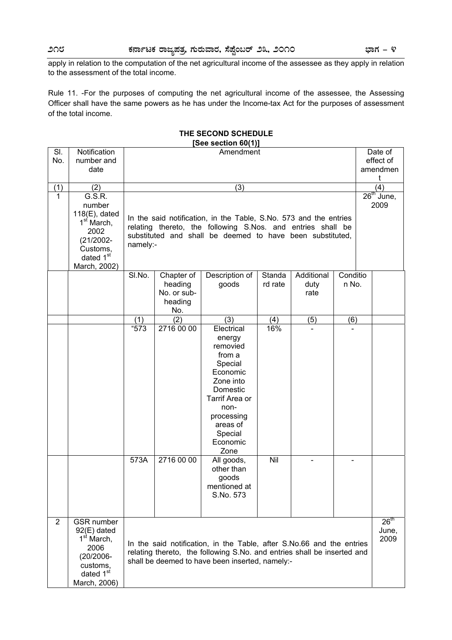apply in relation to the computation of the net agricultural income of the assessee as they apply in relation to the assessment of the total income.

Rule 11. -For the purposes of computing the net agricultural income of the assessee, the Assessing Officer shall have the same powers as he has under the Income-tax Act for the purposes of assessment of the total income.

#### **THE SECOND SCHEDULE [See section 60(1)]**

| SI.            | Notification                               |          |                                                                   | Amendment                                                               |         |                |                   |                       | Date of          |
|----------------|--------------------------------------------|----------|-------------------------------------------------------------------|-------------------------------------------------------------------------|---------|----------------|-------------------|-----------------------|------------------|
| No.            | number and<br>date                         |          |                                                                   |                                                                         |         |                |                   | effect of<br>amendmen |                  |
|                |                                            |          |                                                                   |                                                                         |         |                |                   | t                     |                  |
| (1)            | (2)                                        |          | (3)                                                               |                                                                         |         |                |                   |                       | (4)              |
| 1              | G.S.R.                                     |          |                                                                   |                                                                         |         |                |                   |                       | $26th$ June,     |
|                | number                                     |          |                                                                   |                                                                         |         |                |                   |                       | 2009             |
|                | $118(E)$ , dated<br>1 <sup>st</sup> March, |          | In the said notification, in the Table, S.No. 573 and the entries |                                                                         |         |                |                   |                       |                  |
|                | 2002                                       |          |                                                                   | relating thereto, the following S.Nos. and entries shall be             |         |                |                   |                       |                  |
|                | $(21/2002 -$                               |          |                                                                   | substituted and shall be deemed to have been substituted,               |         |                |                   |                       |                  |
|                | Customs,                                   | namely:- |                                                                   |                                                                         |         |                |                   |                       |                  |
|                | dated 1 <sup>st</sup>                      |          |                                                                   |                                                                         |         |                |                   |                       |                  |
|                | March, 2002)                               |          |                                                                   |                                                                         |         |                |                   |                       |                  |
|                |                                            | SI.No.   | Chapter of                                                        | Description of                                                          | Standa  | Additional     | Conditio<br>n No. |                       |                  |
|                |                                            |          | heading<br>No. or sub-                                            | goods                                                                   | rd rate | duty<br>rate   |                   |                       |                  |
|                |                                            |          | heading                                                           |                                                                         |         |                |                   |                       |                  |
|                |                                            |          | No.                                                               |                                                                         |         |                |                   |                       |                  |
|                |                                            | (1)      | (2)                                                               | (3)                                                                     | (4)     | (5)            | (6)               |                       |                  |
|                |                                            | "573     | 2716 00 00                                                        | Electrical                                                              | 16%     |                |                   |                       |                  |
|                |                                            |          |                                                                   | energy<br>removied                                                      |         |                |                   |                       |                  |
|                |                                            |          |                                                                   | from a                                                                  |         |                |                   |                       |                  |
|                |                                            |          |                                                                   | Special                                                                 |         |                |                   |                       |                  |
|                |                                            |          |                                                                   | Economic                                                                |         |                |                   |                       |                  |
|                |                                            |          |                                                                   | Zone into                                                               |         |                |                   |                       |                  |
|                |                                            |          |                                                                   | Domestic                                                                |         |                |                   |                       |                  |
|                |                                            |          |                                                                   | Tarrif Area or                                                          |         |                |                   |                       |                  |
|                |                                            |          |                                                                   | non-                                                                    |         |                |                   |                       |                  |
|                |                                            |          |                                                                   | processing<br>areas of                                                  |         |                |                   |                       |                  |
|                |                                            |          |                                                                   | Special                                                                 |         |                |                   |                       |                  |
|                |                                            |          |                                                                   | Economic                                                                |         |                |                   |                       |                  |
|                |                                            |          |                                                                   | Zone                                                                    |         |                |                   |                       |                  |
|                |                                            | 573A     | 2716 00 00                                                        | All goods,                                                              | Nil     | $\blacksquare$ |                   |                       |                  |
|                |                                            |          |                                                                   | other than<br>goods                                                     |         |                |                   |                       |                  |
|                |                                            |          |                                                                   | mentioned at                                                            |         |                |                   |                       |                  |
|                |                                            |          |                                                                   | S.No. 573                                                               |         |                |                   |                       |                  |
|                |                                            |          |                                                                   |                                                                         |         |                |                   |                       |                  |
|                |                                            |          |                                                                   |                                                                         |         |                |                   |                       |                  |
| $\overline{2}$ | <b>GSR</b> number                          |          |                                                                   |                                                                         |         |                |                   |                       | 26 <sup>th</sup> |
|                | $92(E)$ dated<br>1 <sup>st</sup> March,    |          |                                                                   |                                                                         |         |                |                   |                       | June,<br>2009    |
|                | 2006                                       |          |                                                                   | In the said notification, in the Table, after S.No.66 and the entries   |         |                |                   |                       |                  |
|                | (20/2006-                                  |          |                                                                   | relating thereto, the following S.No. and entries shall be inserted and |         |                |                   |                       |                  |
|                | customs,                                   |          |                                                                   | shall be deemed to have been inserted, namely:-                         |         |                |                   |                       |                  |
|                | dated 1 <sup>st</sup>                      |          |                                                                   |                                                                         |         |                |                   |                       |                  |
|                | March, 2006)                               |          |                                                                   |                                                                         |         |                |                   |                       |                  |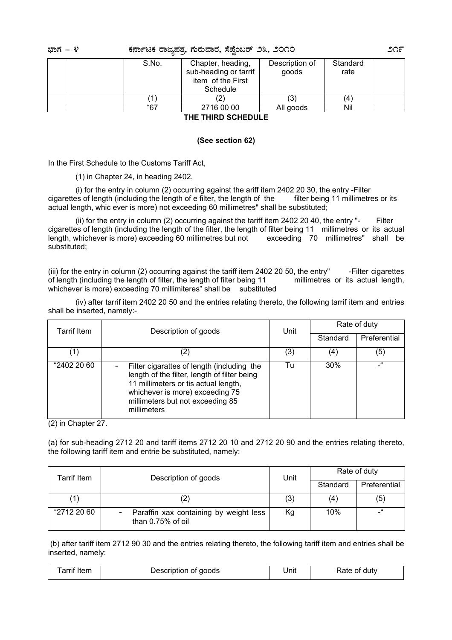| ಭಾಗ – ೪<br>ಕರ್ನಾಟಕ ರಾಜ್ಯಪತ್ತ ಗುರುವಾರ, ಸೆಪ್ಷೆಂಬರ್ ೨೩, ೨೦೧೦ |       |                                                                             |                         |                  | ೨೧೯ |
|-----------------------------------------------------------|-------|-----------------------------------------------------------------------------|-------------------------|------------------|-----|
|                                                           | S.No. | Chapter, heading,<br>sub-heading or tarrif<br>item of the First<br>Schedule | Description of<br>goods | Standard<br>rate |     |
|                                                           |       |                                                                             |                         | Ι4               |     |
|                                                           | "67   | 2716 00 00                                                                  | All goods               | Nil              |     |
|                                                           |       | TUE TURA AAUFAULE                                                           |                         |                  |     |

**THE THIRD SCHEDULE** 

#### **(See section 62)**

In the First Schedule to the Customs Tariff Act,

(1) in Chapter 24, in heading 2402,

 (i) for the entry in column (2) occurring against the ariff item 2402 20 30, the entry -Filter cigarettes of length (including the length of e filter, the length of the filter being 11 millimetres or its actual length, whic ever is more) not exceeding 60 millimetres" shall be substituted;

 (ii) for the entry in column (2) occurring against the tariff item 2402 20 40, the entry "- Filter cigarettes of length (including the length of the filter, the length of filter being 11 millimetres or its actual<br>length, whichever is more) exceeding 60 millimetres but not exceeding 70 millimetres" shall be length, whichever is more) exceeding 60 millimetres but not substituted;

(iii) for the entry in column (2) occurring against the tariff item 2402 20 50, the entry" -Filter cigarettes of length (including the length of filter, the length of filter being 11 millimetres or its actual length, whichever is more) exceeding 70 millimiteres" shall be substituted

 (iv) after tarrif item 2402 20 50 and the entries relating thereto, the following tarrif item and entries shall be inserted, namely:-

| Tarrif Item | Description of goods                                                                                                                                                                                                     |     | Rate of duty<br>Unit |              |
|-------------|--------------------------------------------------------------------------------------------------------------------------------------------------------------------------------------------------------------------------|-----|----------------------|--------------|
|             |                                                                                                                                                                                                                          |     | Standard             | Preferential |
| (1)         | (2)                                                                                                                                                                                                                      | (3) | (4)                  | (5)          |
| "2402 20 60 | Filter cigarattes of length (including the<br>length of the filter, length of filter being<br>11 millimeters or tis actual length,<br>whichever is more) exceeding 75<br>millimeters but not exceeding 85<br>millimeters | Tu  | 30%                  | $\epsilon$   |

(2) in Chapter 27.

(a) for sub-heading 2712 20 and tariff items 2712 20 10 and 2712 20 90 and the entries relating thereto, the following tariff item and entrie be substituted, namely:

| Tarrif Item | Description of goods                                          | Unit |          | Rate of duty |
|-------------|---------------------------------------------------------------|------|----------|--------------|
|             |                                                               |      | Standard | Preferential |
|             |                                                               | (3)  | (4)      | (5)          |
| "2712 20 60 | Paraffin xax containing by weight less<br>than $0.75%$ of oil | Kg   | 10%      | $^{16}$      |

 (b) after tariff item 2712 90 30 and the entries relating thereto, the following tariff item and entries shall be inserted, namely:

| arrit       | ਾ of goods  | Unit | Rate    |
|-------------|-------------|------|---------|
| <b>Item</b> | Description |      | of duty |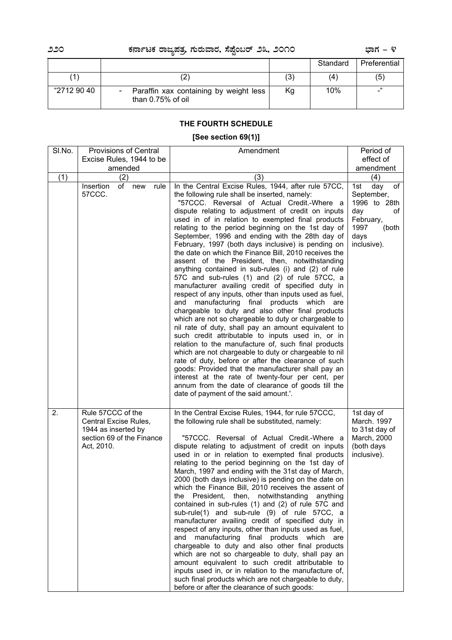# **220 PÀ£ÁðlPÀ gÁdå¥ÀvÀæ, U ÀÄgÀĪÁgÀ, ¸É¥ÉÖA§gï 23, 2010 ¨sÁUÀ - 4**

|             |                                                             |     | Standard | Preferential |
|-------------|-------------------------------------------------------------|-----|----------|--------------|
|             |                                                             | (3) | (4)      | (5)          |
| "2712 90 40 | Paraffin xax containing by weight less<br>than 0.75% of oil | Кg  | 10%      | "<br>-       |

# **THE FOURTH SCHEDULE**

# **[See section 69(1)]**

| SI.No. | <b>Provisions of Central</b>                                                                                 | Amendment                                                                                                                                                                                                                                                                                                                                                                                                                                                                                                                                                                                                                                                                                                                                                                                                                                                                                                                                                                                                                                                                                                                                                                                                                                                                                                                                                                                                                       |                                                                                                                         |  |
|--------|--------------------------------------------------------------------------------------------------------------|---------------------------------------------------------------------------------------------------------------------------------------------------------------------------------------------------------------------------------------------------------------------------------------------------------------------------------------------------------------------------------------------------------------------------------------------------------------------------------------------------------------------------------------------------------------------------------------------------------------------------------------------------------------------------------------------------------------------------------------------------------------------------------------------------------------------------------------------------------------------------------------------------------------------------------------------------------------------------------------------------------------------------------------------------------------------------------------------------------------------------------------------------------------------------------------------------------------------------------------------------------------------------------------------------------------------------------------------------------------------------------------------------------------------------------|-------------------------------------------------------------------------------------------------------------------------|--|
|        | Excise Rules, 1944 to be                                                                                     |                                                                                                                                                                                                                                                                                                                                                                                                                                                                                                                                                                                                                                                                                                                                                                                                                                                                                                                                                                                                                                                                                                                                                                                                                                                                                                                                                                                                                                 | effect of                                                                                                               |  |
|        | amended                                                                                                      |                                                                                                                                                                                                                                                                                                                                                                                                                                                                                                                                                                                                                                                                                                                                                                                                                                                                                                                                                                                                                                                                                                                                                                                                                                                                                                                                                                                                                                 | amendment                                                                                                               |  |
| (1)    | (2)<br>of<br>Insertion<br>new<br>rule<br>57CCC.                                                              | (3)<br>In the Central Excise Rules, 1944, after rule 57CC,<br>the following rule shall be inserted, namely:<br>"57CCC. Reversal of Actual Credit.-Where a<br>dispute relating to adjustment of credit on inputs<br>used in of in relation to exempted final products<br>relating to the period beginning on the 1st day of<br>September, 1996 and ending with the 28th day of<br>February, 1997 (both days inclusive) is pending on<br>the date on which the Finance Bill, 2010 receives the<br>assent of the President, then, notwithstanding<br>anything contained in sub-rules (i) and (2) of rule<br>57C and sub-rules (1) and (2) of rule 57CC, a<br>manufacturer availing credit of specified duty in<br>respect of any inputs, other than inputs used as fuel,<br>manufacturing final products which are<br>and<br>chargeable to duty and also other final products<br>which are not so chargeable to duty or chargeable to<br>nil rate of duty, shall pay an amount equivalent to<br>such credit attributable to inputs used in, or in<br>relation to the manufacture of, such final products<br>which are not chargeable to duty or chargeable to nil<br>rate of duty, before or after the clearance of such<br>goods: Provided that the manufacturer shall pay an<br>interest at the rate of twenty-four per cent, per<br>annum from the date of clearance of goods till the<br>date of payment of the said amount.'. | (4)<br>day<br>of<br>1st<br>September,<br>1996 to 28th<br>day<br>оf<br>February,<br>1997<br>(both<br>days<br>inclusive). |  |
| 2.     | Rule 57CCC of the<br>Central Excise Rules,<br>1944 as inserted by<br>section 69 of the Finance<br>Act, 2010. | In the Central Excise Rules, 1944, for rule 57CCC,<br>the following rule shall be substituted, namely:<br>"57CCC. Reversal of Actual Credit.-Where a<br>dispute relating to adjustment of credit on inputs<br>used in or in relation to exempted final products<br>relating to the period beginning on the 1st day of<br>March, 1997 and ending with the 31st day of March,<br>2000 (both days inclusive) is pending on the date on<br>which the Finance Bill, 2010 receives the assent of<br>President,<br>then,<br>notwithstanding<br>the<br>anything<br>contained in sub-rules (1) and (2) of rule 57C and<br>sub-rule(1) and sub-rule (9) of rule 57CC, a<br>manufacturer availing credit of specified duty in<br>respect of any inputs, other than inputs used as fuel,<br>manufacturing final products which are<br>and<br>chargeable to duty and also other final products<br>which are not so chargeable to duty, shall pay an<br>amount equivalent to such credit attributable to<br>inputs used in, or in relation to the manufacture of,<br>such final products which are not chargeable to duty,<br>before or after the clearance of such goods:                                                                                                                                                                                                                                                                    | 1st day of<br>March. 1997<br>to 31st day of<br>March, 2000<br>(both days<br>inclusive).                                 |  |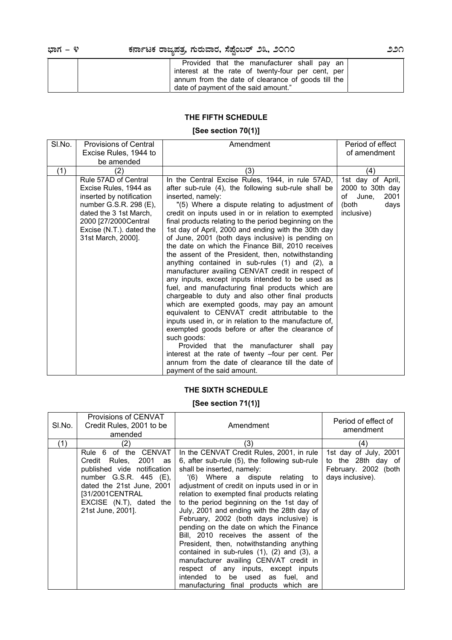| Provided that the manufacturer shall pay an        |  |
|----------------------------------------------------|--|
| interest at the rate of twenty-four per cent, per  |  |
| annum from the date of clearance of goods till the |  |
| date of payment of the said amount."               |  |

# **THE FIFTH SCHEDULE**

# **[See section 70(1)]**

| SI.No. | <b>Provisions of Central</b>                                                                                                                                                                            | Amendment                                                                                                                                                                                                                                                                                                                                                                                                                                                                                                                                                                                                                                                                                                                                                                                                                                                                                                                                                                                                                                                                                                                                                                                                    | Period of effect                                                                            |
|--------|---------------------------------------------------------------------------------------------------------------------------------------------------------------------------------------------------------|--------------------------------------------------------------------------------------------------------------------------------------------------------------------------------------------------------------------------------------------------------------------------------------------------------------------------------------------------------------------------------------------------------------------------------------------------------------------------------------------------------------------------------------------------------------------------------------------------------------------------------------------------------------------------------------------------------------------------------------------------------------------------------------------------------------------------------------------------------------------------------------------------------------------------------------------------------------------------------------------------------------------------------------------------------------------------------------------------------------------------------------------------------------------------------------------------------------|---------------------------------------------------------------------------------------------|
|        | Excise Rules, 1944 to                                                                                                                                                                                   |                                                                                                                                                                                                                                                                                                                                                                                                                                                                                                                                                                                                                                                                                                                                                                                                                                                                                                                                                                                                                                                                                                                                                                                                              | of amendment                                                                                |
|        | be amended                                                                                                                                                                                              |                                                                                                                                                                                                                                                                                                                                                                                                                                                                                                                                                                                                                                                                                                                                                                                                                                                                                                                                                                                                                                                                                                                                                                                                              |                                                                                             |
| (1)    | (2)                                                                                                                                                                                                     | (3)                                                                                                                                                                                                                                                                                                                                                                                                                                                                                                                                                                                                                                                                                                                                                                                                                                                                                                                                                                                                                                                                                                                                                                                                          | (4)                                                                                         |
|        | Rule 57AD of Central<br>Excise Rules, 1944 as<br>inserted by notification<br>number G.S.R. 298 (E),<br>dated the 3 1st March,<br>2000 [27/2000Central<br>Excise (N.T.). dated the<br>31st March, 2000]. | In the Central Excise Rules, 1944, in rule 57AD,<br>after sub-rule (4), the following sub-rule shall be<br>inserted, namely:<br>"(5) Where a dispute relating to adjustment of<br>credit on inputs used in or in relation to exempted<br>final products relating to the period beginning on the<br>1st day of April, 2000 and ending with the 30th day<br>of June, 2001 (both days inclusive) is pending on<br>the date on which the Finance Bill, 2010 receives<br>the assent of the President, then, notwithstanding<br>anything contained in sub-rules (1) and (2), a<br>manufacturer availing CENVAT credit in respect of<br>any inputs, except inputs intended to be used as<br>fuel, and manufacturing final products which are<br>chargeable to duty and also other final products<br>which are exempted goods, may pay an amount<br>equivalent to CENVAT credit attributable to the<br>inputs used in, or in relation to the manufacture of,<br>exempted goods before or after the clearance of<br>such goods:<br>Provided that the manufacturer shall pay<br>interest at the rate of twenty -four per cent. Per<br>annum from the date of clearance till the date of<br>payment of the said amount. | 1st day of April,<br>2000 to 30th day<br>of<br>June,<br>2001<br>(both<br>days<br>inclusive) |

# **THE SIXTH SCHEDULE**

# **[See section 71(1)]**

| SI.No. | Provisions of CENVAT<br>Credit Rules, 2001 to be<br>amended                                                                                                                                                  | Amendment                                                                                                                                                                                                                                                                                                                                                                                                                                                                                                                                                                                                                                                                                                                                                        | Period of effect of<br>amendment                                                        |
|--------|--------------------------------------------------------------------------------------------------------------------------------------------------------------------------------------------------------------|------------------------------------------------------------------------------------------------------------------------------------------------------------------------------------------------------------------------------------------------------------------------------------------------------------------------------------------------------------------------------------------------------------------------------------------------------------------------------------------------------------------------------------------------------------------------------------------------------------------------------------------------------------------------------------------------------------------------------------------------------------------|-----------------------------------------------------------------------------------------|
| (1)    | (2)                                                                                                                                                                                                          | (3)                                                                                                                                                                                                                                                                                                                                                                                                                                                                                                                                                                                                                                                                                                                                                              | (4)                                                                                     |
|        | Rule 6 of the CENVAT<br>2001<br>Credit Rules,<br>as<br>published vide notification<br>number G.S.R. 445 (E),<br>dated the 21st June, 2001<br>[31/2001CENTRAL<br>EXCISE (N.T), dated the<br>21st June, 2001]. | In the CENVAT Credit Rules, 2001, in rule<br>6, after sub-rule $(5)$ , the following sub-rule<br>shall be inserted, namely:<br>'(6) Where a dispute relating to<br>adjustment of credit on inputs used in or in<br>relation to exempted final products relating<br>to the period beginning on the 1st day of<br>July, 2001 and ending with the 28th day of<br>February, 2002 (both days inclusive) is<br>pending on the date on which the Finance<br>Bill, 2010 receives the assent of the<br>President, then, notwithstanding anything<br>contained in sub-rules $(1)$ , $(2)$ and $(3)$ , a<br>manufacturer availing CENVAT credit in<br>respect of any inputs, except inputs<br>intended to be used as<br>fuel, and<br>manufacturing final products which are | 1st day of July, 2001<br>to the 28th day of<br>February. 2002 (both<br>days inclusive). |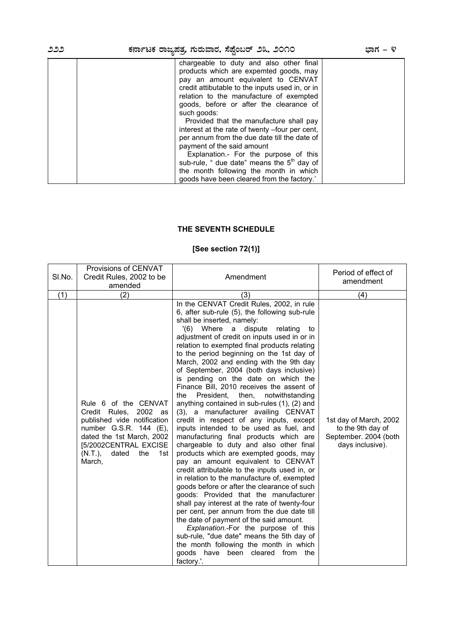# **222 PÀ£ÁðlPÀ gÁdå¥ÀvÀæ, U ÀÄgÀĪÁgÀ, ¸É¥ÉÖA§gï 23, 2010 ¨sÁUÀ - 4**

| chargeable to duty and also other final<br>products which are expemted goods, may<br>pay an amount equivalent to CENVAT<br>credit attibutable to the inputs used in, or in<br>relation to the manufacture of exempted<br>goods, before or after the clearance of<br>such goods:<br>Provided that the manufacture shall pay<br>interest at the rate of twenty -four per cent,<br>per annum from the due date till the date of |  |
|------------------------------------------------------------------------------------------------------------------------------------------------------------------------------------------------------------------------------------------------------------------------------------------------------------------------------------------------------------------------------------------------------------------------------|--|
|                                                                                                                                                                                                                                                                                                                                                                                                                              |  |
| payment of the said amount<br>Explanation.- For the purpose of this                                                                                                                                                                                                                                                                                                                                                          |  |
| sub-rule, " due date" means the $5th$ day of                                                                                                                                                                                                                                                                                                                                                                                 |  |
| the month following the month in which                                                                                                                                                                                                                                                                                                                                                                                       |  |
| goods have been cleared from the factory.'                                                                                                                                                                                                                                                                                                                                                                                   |  |

# **THE SEVENTH SCHEDULE**

# **[See section 72(1)]**

|        | Provisions of CENVAT                                                                                                                                                                                       |                                                                                                                                                                                                                                                                                                                                                                                                                                                                                                                                                                                                                                                                                                                                                                                                                                                                                                                                                                                                                                                                                                                                                                                                                                                                                                                                                                                                                                | Period of effect of                                                                      |
|--------|------------------------------------------------------------------------------------------------------------------------------------------------------------------------------------------------------------|--------------------------------------------------------------------------------------------------------------------------------------------------------------------------------------------------------------------------------------------------------------------------------------------------------------------------------------------------------------------------------------------------------------------------------------------------------------------------------------------------------------------------------------------------------------------------------------------------------------------------------------------------------------------------------------------------------------------------------------------------------------------------------------------------------------------------------------------------------------------------------------------------------------------------------------------------------------------------------------------------------------------------------------------------------------------------------------------------------------------------------------------------------------------------------------------------------------------------------------------------------------------------------------------------------------------------------------------------------------------------------------------------------------------------------|------------------------------------------------------------------------------------------|
| SI.No. | Credit Rules, 2002 to be                                                                                                                                                                                   | Amendment                                                                                                                                                                                                                                                                                                                                                                                                                                                                                                                                                                                                                                                                                                                                                                                                                                                                                                                                                                                                                                                                                                                                                                                                                                                                                                                                                                                                                      | amendment                                                                                |
|        | amended                                                                                                                                                                                                    |                                                                                                                                                                                                                                                                                                                                                                                                                                                                                                                                                                                                                                                                                                                                                                                                                                                                                                                                                                                                                                                                                                                                                                                                                                                                                                                                                                                                                                |                                                                                          |
| (1)    | (2)                                                                                                                                                                                                        | (3)                                                                                                                                                                                                                                                                                                                                                                                                                                                                                                                                                                                                                                                                                                                                                                                                                                                                                                                                                                                                                                                                                                                                                                                                                                                                                                                                                                                                                            | (4)                                                                                      |
|        | Rule 6 of the CENVAT<br>2002 as<br>Credit Rules,<br>published vide notification<br>number G.S.R. 144 (E),<br>dated the 1st March, 2002<br>[5/2002CENTRAL EXCISE<br>dated<br>the<br>(N.T.)<br>1st<br>March, | In the CENVAT Credit Rules, 2002, in rule<br>6, after sub-rule (5), the following sub-rule<br>shall be inserted, namely:<br>$'(6)$ Where<br>dispute<br>a<br>relating<br>to<br>adjustment of credit on inputs used in or in<br>relation to exempted final products relating<br>to the period beginning on the 1st day of<br>March, 2002 and ending with the 9th day<br>of September, 2004 (both days inclusive)<br>is pending on the date on which the<br>Finance Bill, 2010 receives the assent of<br>President,<br>then,<br>notwithstanding<br>the<br>anything contained in sub-rules (1), (2) and<br>(3), a manufacturer availing CENVAT<br>credit in respect of any inputs, except<br>inputs intended to be used as fuel, and<br>manufacturing final products which are<br>chargeable to duty and also other final<br>products which are exempted goods, may<br>pay an amount equivalent to CENVAT<br>credit attributable to the inputs used in, or<br>in relation to the manufacture of, exempted<br>goods before or after the clearance of such<br>goods: Provided that the manufacturer<br>shall pay interest at the rate of twenty-four<br>per cent, per annum from the due date till<br>the date of payment of the said amount.<br>Explanation.-For the purpose of this<br>sub-rule, "due date" means the 5th day of<br>the month following the month in which<br>goods have been<br>cleared<br>from the<br>factory.'. | 1st day of March, 2002<br>to the 9th day of<br>September. 2004 (both<br>days inclusive). |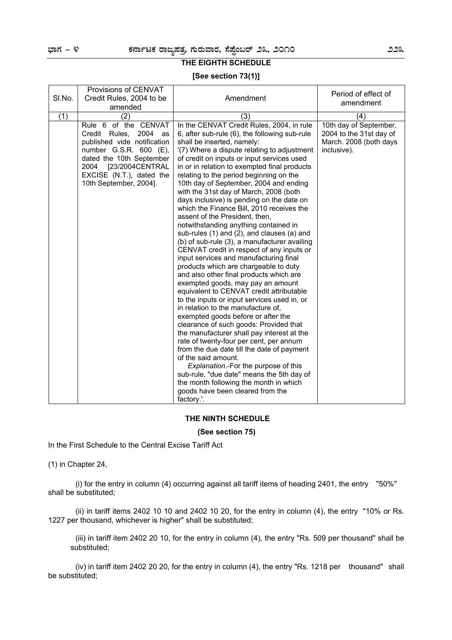# **THE EIGHTH SCHEDULE**

#### **[See section 73(1)]**

|        | Provisions of CENVAT        |                                                                                                                                       | Period of effect of     |
|--------|-----------------------------|---------------------------------------------------------------------------------------------------------------------------------------|-------------------------|
| SI.No. | Credit Rules, 2004 to be    | Amendment                                                                                                                             | amendment               |
|        | amended                     |                                                                                                                                       |                         |
| (1)    | (2)                         | (3)                                                                                                                                   | (4)                     |
|        | Rule 6 of the CENVAT        | In the CENVAT Credit Rules, 2004, in rule                                                                                             | 10th day of September,  |
|        | 2004 as<br>Credit Rules,    | 6, after sub-rule (6), the following sub-rule                                                                                         | 2004 to the 31st day of |
|        | published vide notification | shall be inserted, namely:                                                                                                            | March. 2008 (both days  |
|        | number G.S.R. 600 (E),      | '(7) Where a dispute relating to adjustment                                                                                           | inclusive).             |
|        | dated the 10th September    | of credit on inputs or input services used                                                                                            |                         |
|        | 2004 [23/2004CENTRAL        | in or in relation to exempted final products                                                                                          |                         |
|        | EXCISE (N.T.), dated the    | relating to the period beginning on the                                                                                               |                         |
|        | 10th September, 2004].      | 10th day of September, 2004 and ending                                                                                                |                         |
|        |                             | with the 31st day of March, 2008 (both                                                                                                |                         |
|        |                             | days inclusive) is pending on the date on<br>which the Finance Bill, 2010 receives the                                                |                         |
|        |                             | assent of the President, then,                                                                                                        |                         |
|        |                             | notwithstanding anything contained in                                                                                                 |                         |
|        |                             | sub-rules (1) and (2), and clauses (a) and                                                                                            |                         |
|        |                             | (b) of sub-rule (3), a manufacturer availing                                                                                          |                         |
|        |                             | CENVAT credit in respect of any inputs or                                                                                             |                         |
|        |                             | input services and manufacturing final                                                                                                |                         |
|        |                             | products which are chargeable to duty                                                                                                 |                         |
|        |                             | and also other final products which are                                                                                               |                         |
|        |                             | exempted goods, may pay an amount                                                                                                     |                         |
|        |                             | equivalent to CENVAT credit attributable                                                                                              |                         |
|        |                             | to the inputs or input services used in, or                                                                                           |                         |
|        |                             | in relation to the manufacture of,                                                                                                    |                         |
|        |                             | exempted goods before or after the                                                                                                    |                         |
|        |                             | clearance of such goods: Provided that                                                                                                |                         |
|        |                             | the manufacturer shall pay interest at the                                                                                            |                         |
|        |                             | rate of twenty-four per cent, per annum                                                                                               |                         |
|        |                             | from the due date till the date of payment                                                                                            |                         |
|        |                             | of the said amount.                                                                                                                   |                         |
|        |                             | Explanation.-For the purpose of this                                                                                                  |                         |
|        |                             |                                                                                                                                       |                         |
|        |                             |                                                                                                                                       |                         |
|        |                             |                                                                                                                                       |                         |
|        |                             | sub-rule, "due date" means the 5th day of<br>the month following the month in which<br>goods have been cleared from the<br>factory.'. |                         |

#### **THE NINTH SCHEDULE**

#### **(See section 75)**

In the First Schedule to the Central Excise Tariff Act

(1) in Chapter 24,

 (i) for the entry in column (4) occurring against all tariff items of heading 2401, the entry "50%" shall be substituted;

 (ii) in tariff items 2402 10 10 and 2402 10 20, for the entry in column (4), the entry "10% or Rs. 1227 per thousand, whichever is higher" shall be substituted;

 (iii) in tariff item 2402 20 10, for the entry in column (4), the entry "Rs. 509 per thousand" shall be substituted;

 (iv) in tariff item 2402 20 20, for the entry in column (4), the entry "Rs. 1218 per thousand" shall be substituted;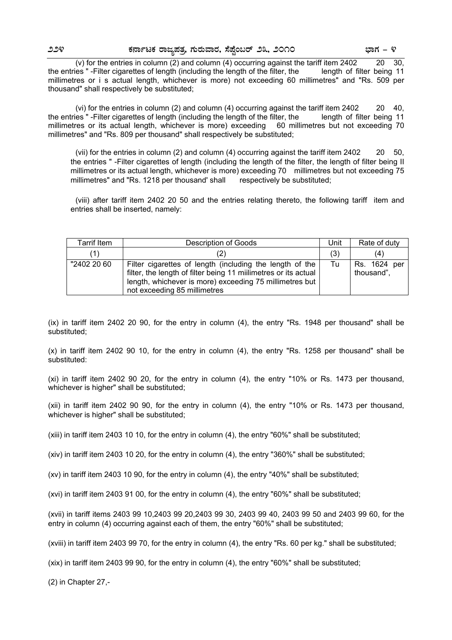(v) for the entries in column (2) and column (4) occurring against the tariff item  $2402$  20 30, the entries " -Filter cigarettes of length (including the length of the filter, the length of filter being 11 millimetres or i s actual length, whichever is more) not exceeding 60 millimetres" and "Rs. 509 per thousand" shall respectively be substituted;

 (vi) for the entries in column (2) and column (4) occurring against the tariff item 2402 20 40, the entries " -Filter cigarettes of length (including the length of the filter, the length of filter being 11 millimetres or its actual length, whichever is more) exceeding 60 millimetres but not exceeding 70 millimetres" and "Rs. 809 per thousand" shall respectively be substituted;

 (vii) for the entries in column (2) and column (4) occurring against the tariff item 2402 20 50, the entries " -Filter cigarettes of length (including the length of the filter, the length of filter being II millimetres or its actual length, whichever is more) exceeding 70 millimetres but not exceeding 75 millimetres" and "Rs. 1218 per thousand' shall respectively be substituted;

 (viii) after tariff item 2402 20 50 and the entries relating thereto, the following tariff item and entries shall be inserted, namely:

| <b>Tarrif Item</b> | Description of Goods                                                                                                                                                                                                   | Unit | Rate of duty               |
|--------------------|------------------------------------------------------------------------------------------------------------------------------------------------------------------------------------------------------------------------|------|----------------------------|
| (1)                | $\angle$                                                                                                                                                                                                               | (3)  | (4)                        |
| "2402 20 60        | Filter cigarettes of length (including the length of the<br>filter, the length of filter being 11 millimetres or its actual<br>length, whichever is more) exceeding 75 millimetres but<br>not exceeding 85 millimetres | Tu   | Rs. 1624 per<br>thousand", |

(ix) in tariff item 2402 20 90, for the entry in column (4), the entry "Rs. 1948 per thousand" shall be substituted;

(x) in tariff item 2402 90 10, for the entry in column (4), the entry "Rs. 1258 per thousand" shall be substituted:

(xi) in tariff item 2402 90 20, for the entry in column (4), the entry "10% or Rs. 1473 per thousand, whichever is higher" shall be substituted;

(xii) in tariff item 2402 90 90, for the entry in column (4), the entry "10% or Rs. 1473 per thousand, whichever is higher" shall be substituted;

(xiii) in tariff item 2403 10 10, for the entry in column (4), the entry "60%" shall be substituted;

(xiv) in tariff item 2403 10 20, for the entry in column (4), the entry "360%" shall be substituted;

(xv) in tariff item 2403 10 90, for the entry in column (4), the entry "40%" shall be substituted;

(xvi) in tariff item 2403 91 00, for the entry in column (4), the entry "60%" shall be substituted;

(xvii) in tariff items 2403 99 10,2403 99 20,2403 99 30, 2403 99 40, 2403 99 50 and 2403 99 60, for the entry in column (4) occurring against each of them, the entry "60%" shall be substituted;

(xviii) in tariff item 2403 99 70, for the entry in column (4), the entry "Rs. 60 per kg." shall be substituted;

(xix) in tariff item 2403 99 90, for the entry in column (4), the entry "60%" shall be substituted;

(2) in Chapter 27,-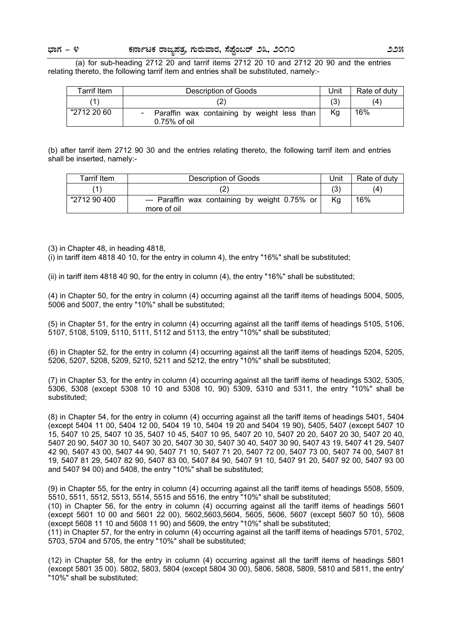(a) for sub-heading 2712 20 and tarrif items 2712 20 10 and 2712 20 90 and the entries relating thereto, the following tarrif item and entries shall be substituted, namely:-

| Tarrif Item | Description of Goods                                          | Jnit | Rate of duty |
|-------------|---------------------------------------------------------------|------|--------------|
|             |                                                               | (3)  | (4)          |
| "2712 20 60 | Paraffin wax containing by weight less than<br>$0.75%$ of oil | Кg   | 16%          |

(b) after tarrif item 2712 90 30 and the entries relating thereto, the following tarrif item and entries shall be inserted, namely:-

| Tarrif Item  | Description of Goods                                          |    | Rate of duty |
|--------------|---------------------------------------------------------------|----|--------------|
|              |                                                               |    | (4)          |
| "2712 90 400 | --- Paraffin wax containing by weight 0.75% or<br>more of oil | Κa | 16%          |

(3) in Chapter 48, in heading 4818,

(i) in tariff item 4818 40 10, for the entry in column 4), the entry "16%" shall be substituted;

(ii) in tariff item 4818 40 90, for the entry in column (4), the entry "16%" shall be substituted;

(4) in Chapter 50, for the entry in column (4) occurring against all the tariff items of headings 5004, 5005, 5006 and 5007, the entry "10%" shall be substituted;

(5) in Chapter 51, for the entry in column (4) occurring against all the tariff items of headings 5105, 5106, 5107, 5108, 5109, 5110, 5111, 5112 and 5113, the entry "10%" shall be substituted;

(6) in Chapter 52, for the entry in column (4) occurring against all the tariff items of headings 5204, 5205, 5206, 5207, 5208, 5209, 5210, 5211 and 5212, the entry "10%" shall be substituted;

(7) in Chapter 53, for the entry in column (4) occurring against all the tariff items of headings 5302, 5305, 5306, 5308 (except 5308 10 10 and 5308 10, 90) 5309, 5310 and 5311, the entry "10%" shall be substituted;

(8) in Chapter 54, for the entry in column (4) occurring against all the tariff items of headings 5401, 5404 (except 5404 11 00, 5404 12 00, 5404 19 10, 5404 19 20 and 5404 19 90), 5405, 5407 (except 5407 10 15, 5407 10 25, 5407 10 35, 5407 10 45, 5407 10 95, 5407 20 10, 5407 20 20, 5407 20 30, 5407 20 40, 5407 20 90, 5407 30 10, 5407 30 20, 5407 30 30, 5407 30 40, 5407 30 90, 5407 43 19, 5407 41 29, 5407 42 90, 5407 43 00, 5407 44 90, 5407 71 10, 5407 71 20, 5407 72 00, 5407 73 00, 5407 74 00, 5407 81 19, 5407 81 29, 5407 82 90, 5407 83 00, 5407 84 90, 5407 91 10, 5407 91 20, 5407 92 00, 5407 93 00 and 5407 94 00) and 5408, the entry "10%" shall be substituted;

(9) in Chapter 55, for the entry in column (4) occurring against all the tariff items of headings 5508, 5509, 5510, 5511, 5512, 5513, 5514, 5515 and 5516, the entry "10%" shall be substituted;

(10) in Chapter 56, for the entry in column (4) occurring against all the tariff items of headings 5601 (except 5601 10 00 and 5601 22 00), 5602,5603,5604, 5605, 5606, 5607 (except 5607 50 10), 5608 (except 5608 11 10 and 5608 11 90) and 5609, the entry "10%" shall be substituted;

(11) in Chapter 57, for the entry in column (4) occurring against all the tariff items of headings 5701, 5702, 5703, 5704 and 5705, the entry "10%" shall be substituted;

(12) in Chapter 58, for the entry in column (4) occurring against all the tariff items of headings 5801 (except 5801 35 00). 5802, 5803, 5804 (except 5804 30 00), 5806, 5808, 5809, 5810 and 5811, the entry' "10%" shall be substituted;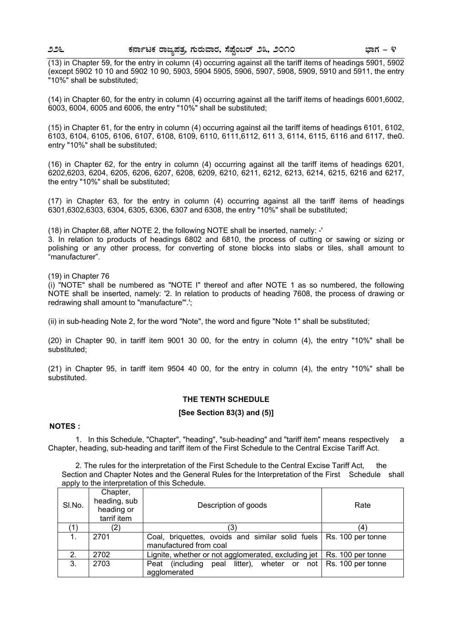(13) in Chapter 59, for the entry in column (4) occurring against all the tariff items of headings 5901, 5902 (except 5902 10 10 and 5902 10 90, 5903, 5904 5905, 5906, 5907, 5908, 5909, 5910 and 5911, the entry "10%" shall be substituted;

(14) in Chapter 60, for the entry in column (4) occurring against all the tariff items of headings 6001,6002, 6003, 6004, 6005 and 6006, the entry "10%" shall be substituted;

(15) in Chapter 61, for the entry in column (4) occurring against ail the tariff items of headings 6101, 6102, 6103, 6104, 6105, 6106, 6107, 6108, 6109, 6110, 6111,6112, 611 3, 6114, 6115, 6116 and 6117, the0. entry "10%" shall be substituted;

(16) in Chapter 62, for the entry in column (4) occurring against all the tariff items of headings 6201, 6202,6203, 6204, 6205, 6206, 6207, 6208, 6209, 6210, 6211, 6212, 6213, 6214, 6215, 6216 and 6217, the entry "10%" shall be substituted;

(17) in Chapter 63, for the entry in column (4) occurring against all the tariff items of headings 6301,6302,6303, 6304, 6305, 6306, 6307 and 6308, the entry "10%" shall be substituted;

(18) in Chapter.68, after NOTE 2, the following NOTE shall be inserted, namely: -'

3. In relation to products of headings 6802 and 6810, the process of cutting or sawing or sizing or polishing or any other process, for converting of stone blocks into slabs or tiles, shall amount to "manufacturer".

(19) in Chapter 76

(i) "NOTE" shall be numbered as "NOTE I" thereof and after NOTE 1 as so numbered, the following NOTE shall be inserted, namely: '2. In relation to products of heading 7608, the process of drawing or redrawing shall amount to "manufacture"'.';

(ii) in sub-heading Note 2, for the word "Note", the word and figure "Note 1" shall be substituted;

(20) in Chapter 90, in tariff item 9001 30 00, for the entry in column (4), the entry "10%" shall be substituted;

(21) in Chapter 95, in tariff item 9504 40 00, for the entry in column (4), the entry "10%" shall be substituted.

#### **THE TENTH SCHEDULE**

#### **[See Section 83(3) and (5)]**

#### **NOTES :**

 1. In this Schedule, "Chapter", "heading", "sub-heading" and "tariff item" means respectively a Chapter, heading, sub-heading and tariff item of the First Schedule to the Central Excise Tariff Act.

 2. The rules for the interpretation of the First Schedule to the Central Excise Tariff Act, the Section and Chapter Notes and the General Rules for the Interpretation of the First Schedule shall apply to the interpretation of this Schedule.

| SI.No. | Chapter,<br>heading, sub<br>heading or<br>tarrif item | Description of goods                                                     | Rate              |
|--------|-------------------------------------------------------|--------------------------------------------------------------------------|-------------------|
| (1)    | (2)                                                   | 3)                                                                       | $\left( 4\right)$ |
| 1.     | 2701                                                  | Coal, briquettes, ovoids and similar solid fuels   Rs. 100 per tonne     |                   |
|        |                                                       | manufactured from coal                                                   |                   |
| 2.     | 2702                                                  | Lignite, whether or not agglomerated, excluding jet                      | Rs. 100 per tonne |
| 3.     | 2703                                                  | (including peal litter), wheter or not $\vert$ Rs. 100 per tonne<br>Peat |                   |
|        |                                                       | agglomerated                                                             |                   |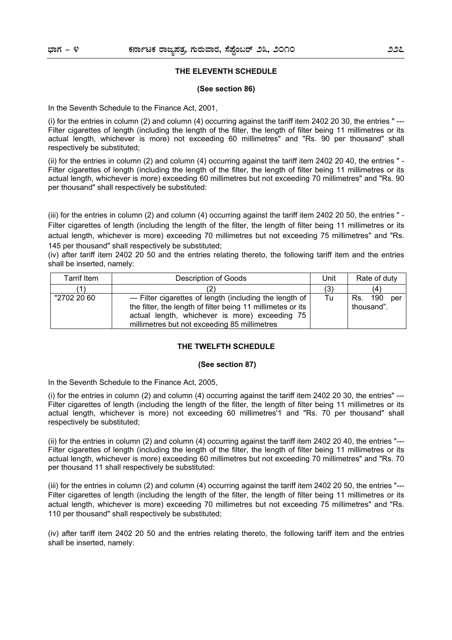#### **THE ELEVENTH SCHEDULE**

#### **(See section 86)**

In the Seventh Schedule to the Finance Act, 2001,

(i) for the entries in column (2) and column (4) occurring against the tariff item 2402 20 30, the entries " --- Filter cigarettes of length (including the length of the filter, the length of filter being 11 millimetres or its actual length, whichever is more) not exceeding 60 millimetres" and "Rs. 90 per thousand" shall respectively be substituted;

(ii) for the entries in column (2) and column (4) occurring against the tariff item 2402 20 40, the entries " - Filter cigarettes of length (including the length of the filter, the length of filter being 11 millimetres or its actual length, whichever is more) exceeding 60 millimetres but not exceeding 70 millimetres" and "Rs. 90 per thousand" shall respectively be substituted:

(iii) for the entries in column (2) and column (4) occurring against the tariff item 2402 20 50, the entries " - Filter cigarettes of length (including the length of the filter, the length of filter being 11 millimetres or its actual length, whichever is more) exceeding 70 millimetres but not exceeding 75 millimetres" and "Rs. 145 per thousand" shall respectively be substituted;

(iv) after tariff item 2402 20 50 and the entries relating thereto, the following tariff item and the entries shall be inserted, namely:

| Tarrif Item | Description of Goods                                                                                                                                                                                                      |     | Rate of duty                    |
|-------------|---------------------------------------------------------------------------------------------------------------------------------------------------------------------------------------------------------------------------|-----|---------------------------------|
|             |                                                                                                                                                                                                                           | (3) | (4                              |
| "2702 20 60 | --- Filter cigarettes of length (including the length of<br>the filter, the length of filter being 11 millimetes or its<br>actual length, whichever is more) exceeding 75<br>millimetres but not exceeding 85 millimetres | Tu  | 190<br>Rs.<br>per<br>thousand". |

#### **THE TWELFTH SCHEDULE**

#### **(See section 87)**

In the Seventh Schedule to the Finance Act, 2005,

(i) for the entries in column  $(2)$  and column  $(4)$  occurring against the tariff item 2402 20 30, the entries"  $-$ Filter cigarettes of length (including the length of the filter, the length of filter being 11 millimetres or its actual length, whichever is more) not exceeding 60 millimetres'1 and "Rs. 70 per thousand" shall respectively be substituted;

(ii) for the entries in column (2) and column (4) occurring against the tariff item 2402 20 40, the entries "--- Filter cigarettes of length (including the length of the filter, the length of filter being 11 millimetres or its actual length, whichever is more) exceeding 60 millimetres but not exceeding 70 millimetres" and "Rs. 70 per thousand 11 shall respectively be substituted:

(iii) for the entries in column (2) and column (4) occurring against the tariff item 2402 20 50, the entries "--- Filter cigarettes of length (including the length of the filter, the length of filter being 11 millimetres or its actual length, whichever is more) exceeding 70 millimetres but not exceeding 75 millimetres" and "Rs. 110 per thousand" shall respectively be substituted;

(iv) after tariff item 2402 20 50 and the entries relating thereto, the following tariff item and the entries shall be inserted, namely: